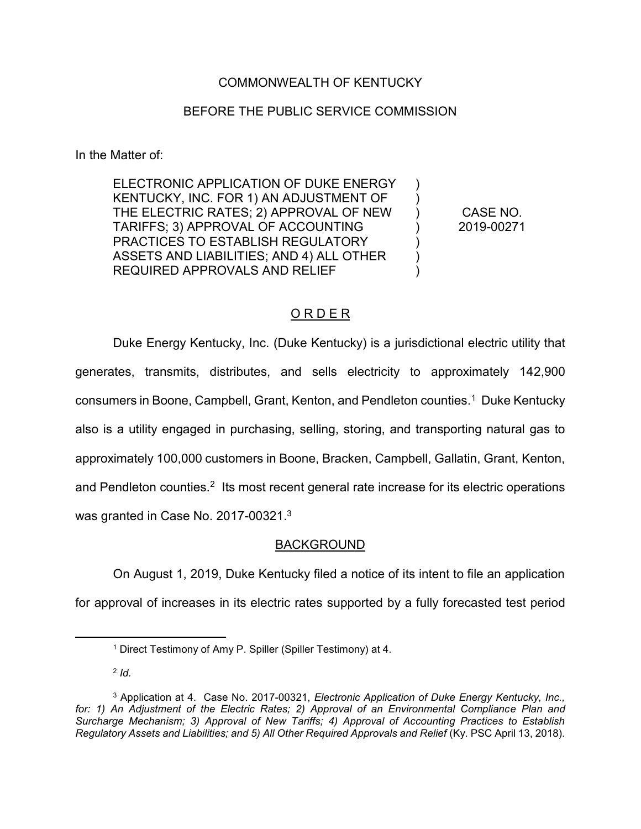## COMMONWEALTH OF KENTUCKY

## BEFORE THE PUBLIC SERVICE COMMISSION

In the Matter of:

ELECTRONIC APPLICATION OF DUKE ENERGY KENTUCKY, INC. FOR 1) AN ADJUSTMENT OF THE ELECTRIC RATES; 2) APPROVAL OF NEW TARIFFS; 3) APPROVAL OF ACCOUNTING PRACTICES TO ESTABLISH REGULATORY ASSETS AND LIABILITIES; AND 4) ALL OTHER REQUIRED APPROVALS AND RELIEF

CASE NO. 2019-00271

)  $\lambda$ ) ) ) ) )

# O R D E R

Duke Energy Kentucky, Inc. (Duke Kentucky) is a jurisdictional electric utility that generates, transmits, distributes, and sells electricity to approximately 142,900 consumers in Boone, Campbell, Grant, Kenton, and Pendleton counties.1 Duke Kentucky also is a utility engaged in purchasing, selling, storing, and transporting natural gas to approximately 100,000 customers in Boone, Bracken, Campbell, Gallatin, Grant, Kenton, and Pendleton counties.<sup>2</sup> Its most recent general rate increase for its electric operations was granted in Case No. 2017-00321. $^3$ 

## BACKGROUND

On August 1, 2019, Duke Kentucky filed a notice of its intent to file an application for approval of increases in its electric rates supported by a fully forecasted test period

<sup>2</sup> *Id.*

 <sup>1</sup> Direct Testimony of Amy P. Spiller (Spiller Testimony) at 4.

<sup>3</sup> Application at 4. Case No. 2017-00321, *Electronic Application of Duke Energy Kentucky, Inc.,*  for: 1) An Adjustment of the Electric Rates; 2) Approval of an Environmental Compliance Plan and *Surcharge Mechanism; 3) Approval of New Tariffs; 4) Approval of Accounting Practices to Establish Regulatory Assets and Liabilities; and 5) All Other Required Approvals and Relief (Ky. PSC April 13, 2018).*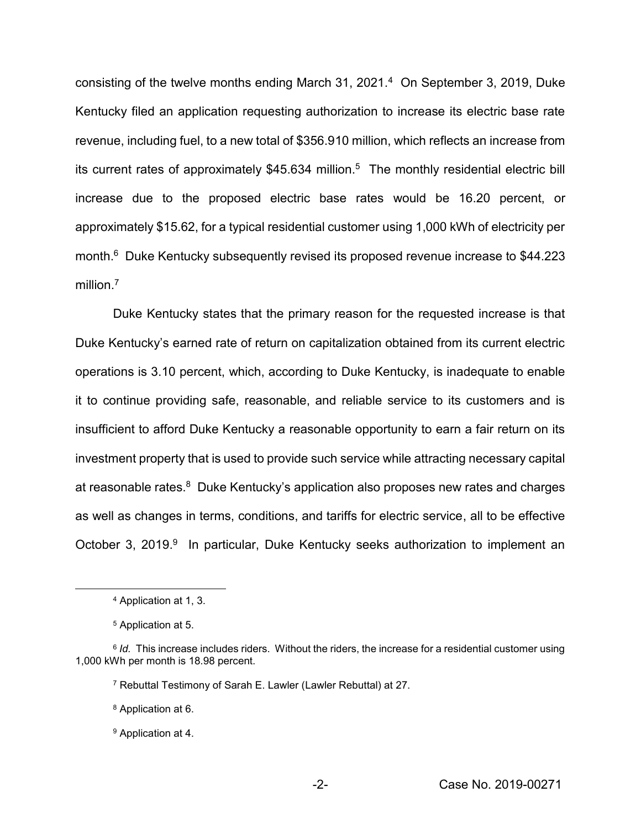consisting of the twelve months ending March 31, 2021.4 On September 3, 2019, Duke Kentucky filed an application requesting authorization to increase its electric base rate revenue, including fuel, to a new total of \$356.910 million, which reflects an increase from its current rates of approximately  $$45.634$  million.<sup>5</sup> The monthly residential electric bill increase due to the proposed electric base rates would be 16.20 percent, or approximately \$15.62, for a typical residential customer using 1,000 kWh of electricity per month.6 Duke Kentucky subsequently revised its proposed revenue increase to \$44.223 million.<sup>7</sup>

Duke Kentucky states that the primary reason for the requested increase is that Duke Kentucky's earned rate of return on capitalization obtained from its current electric operations is 3.10 percent, which, according to Duke Kentucky, is inadequate to enable it to continue providing safe, reasonable, and reliable service to its customers and is insufficient to afford Duke Kentucky a reasonable opportunity to earn a fair return on its investment property that is used to provide such service while attracting necessary capital at reasonable rates.<sup>8</sup> Duke Kentucky's application also proposes new rates and charges as well as changes in terms, conditions, and tariffs for electric service, all to be effective October 3, 2019.<sup>9</sup> In particular, Duke Kentucky seeks authorization to implement an

 <sup>4</sup> Application at 1, 3.

<sup>5</sup> Application at 5.

<sup>&</sup>lt;sup>6</sup> *Id.* This increase includes riders. Without the riders, the increase for a residential customer using 1,000 kWh per month is 18.98 percent.

<sup>7</sup> Rebuttal Testimony of Sarah E. Lawler (Lawler Rebuttal) at 27.

<sup>8</sup> Application at 6.

<sup>&</sup>lt;sup>9</sup> Application at 4.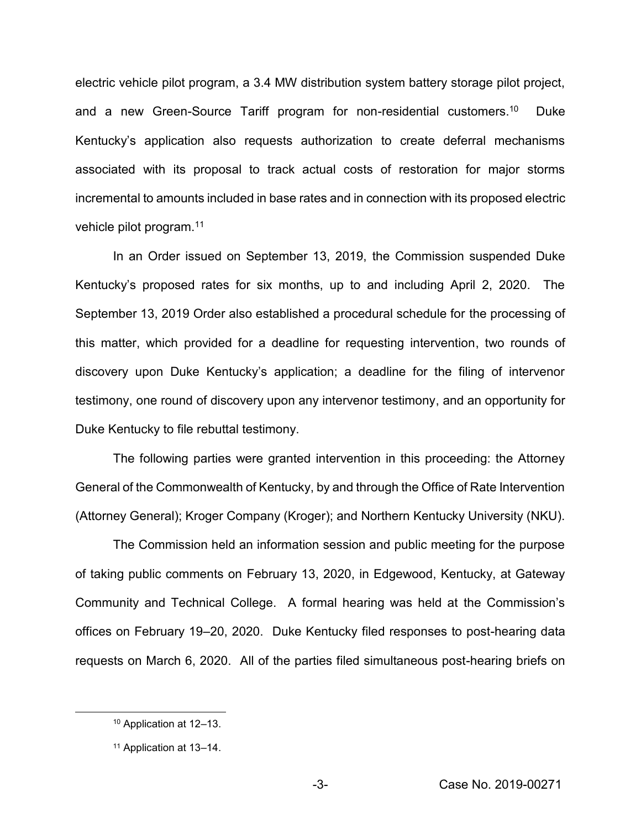electric vehicle pilot program, a 3.4 MW distribution system battery storage pilot project, and a new Green-Source Tariff program for non-residential customers.<sup>10</sup> Duke Kentucky's application also requests authorization to create deferral mechanisms associated with its proposal to track actual costs of restoration for major storms incremental to amounts included in base rates and in connection with its proposed electric vehicle pilot program.11

In an Order issued on September 13, 2019, the Commission suspended Duke Kentucky's proposed rates for six months, up to and including April 2, 2020. The September 13, 2019 Order also established a procedural schedule for the processing of this matter, which provided for a deadline for requesting intervention, two rounds of discovery upon Duke Kentucky's application; a deadline for the filing of intervenor testimony, one round of discovery upon any intervenor testimony, and an opportunity for Duke Kentucky to file rebuttal testimony.

The following parties were granted intervention in this proceeding: the Attorney General of the Commonwealth of Kentucky, by and through the Office of Rate Intervention (Attorney General); Kroger Company (Kroger); and Northern Kentucky University (NKU).

The Commission held an information session and public meeting for the purpose of taking public comments on February 13, 2020, in Edgewood, Kentucky, at Gateway Community and Technical College. A formal hearing was held at the Commission's offices on February 19-20, 2020. Duke Kentucky filed responses to post-hearing data requests on March 6, 2020. All of the parties filed simultaneous post-hearing briefs on

<sup>10</sup> Application at 12-13.

<sup>11</sup> Application at 13-14.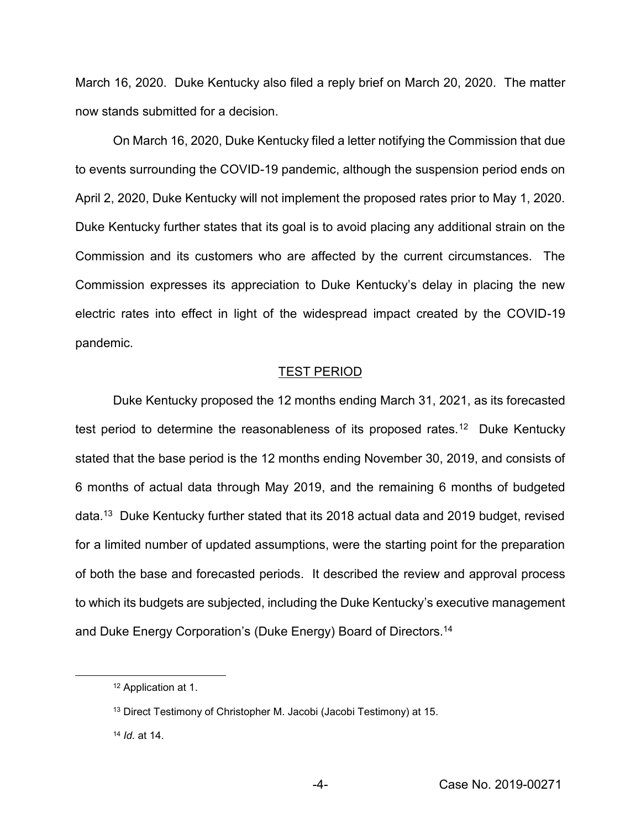March 16, 2020. Duke Kentucky also filed a reply brief on March 20, 2020. The matter now stands submitted for a decision.

On March 16, 2020, Duke Kentucky filed a letter notifying the Commission that due to events surrounding the COVID-19 pandemic, although the suspension period ends on April 2, 2020, Duke Kentucky will not implement the proposed rates prior to May 1, 2020. Duke Kentucky further states that its goal is to avoid placing any additional strain on the Commission and its customers who are affected by the current circumstances. The Commission expresses its appreciation to Duke Kentucky's delay in placing the new electric rates into effect in light of the widespread impact created by the COVID-19 pandemic.

#### TEST PERIOD

Duke Kentucky proposed the 12 months ending March 31, 2021, as its forecasted test period to determine the reasonableness of its proposed rates.<sup>12</sup> Duke Kentucky stated that the base period is the 12 months ending November 30, 2019, and consists of 6 months of actual data through May 2019, and the remaining 6 months of budgeted data.13 Duke Kentucky further stated that its 2018 actual data and 2019 budget, revised for a limited number of updated assumptions, were the starting point for the preparation of both the base and forecasted periods. It described the review and approval process to which its budgets are subjected, including the Duke Kentucky's executive management and Duke Energy Corporation's (Duke Energy) Board of Directors.<sup>14</sup>

 <sup>12</sup> Application at 1.

<sup>13</sup> Direct Testimony of Christopher M. Jacobi (Jacobi Testimony) at 15.

<sup>14</sup> *Id.* at 14.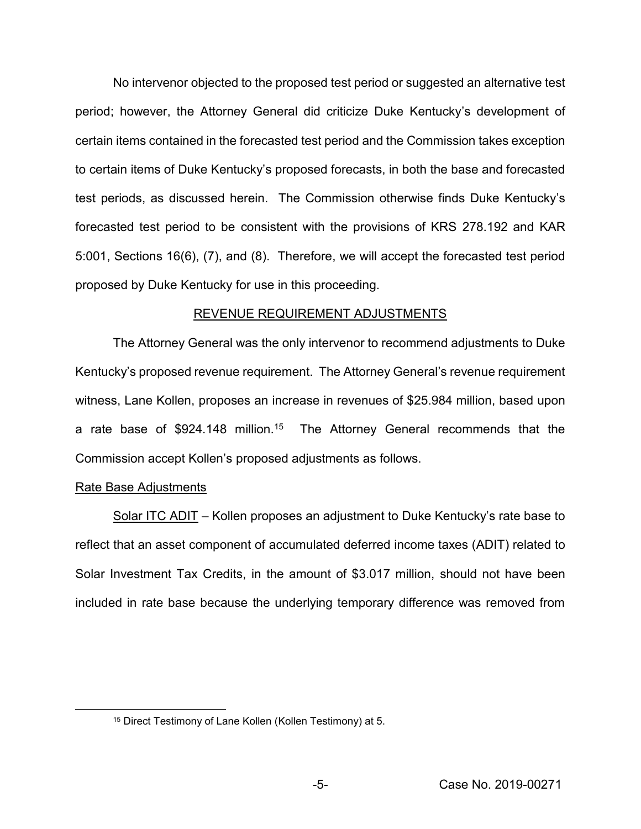No intervenor objected to the proposed test period or suggested an alternative test period; however, the Attorney General did criticize Duke Kentucky's development of certain items contained in the forecasted test period and the Commission takes exception to certain items of Duke Kentucky's proposed forecasts, in both the base and forecasted test periods, as discussed herein. The Commission otherwise finds Duke Kentucky's forecasted test period to be consistent with the provisions of KRS 278.192 and KAR 5:001, Sections 16(6), (7), and (8). Therefore, we will accept the forecasted test period proposed by Duke Kentucky for use in this proceeding.

### REVENUE REQUIREMENT ADJUSTMENTS

The Attorney General was the only intervenor to recommend adjustments to Duke Kentucky's proposed revenue requirement. The Attorney General's revenue requirement witness, Lane Kollen, proposes an increase in revenues of \$25.984 million, based upon a rate base of \$924.148 million.<sup>15</sup> The Attorney General recommends that the Commission accept Kollen's proposed adjustments as follows.

## Rate Base Adjustments

Solar ITC ADIT – Kollen proposes an adjustment to Duke Kentucky's rate base to reflect that an asset component of accumulated deferred income taxes (ADIT) related to Solar Investment Tax Credits, in the amount of \$3.017 million, should not have been included in rate base because the underlying temporary difference was removed from

 <sup>15</sup> Direct Testimony of Lane Kollen (Kollen Testimony) at 5.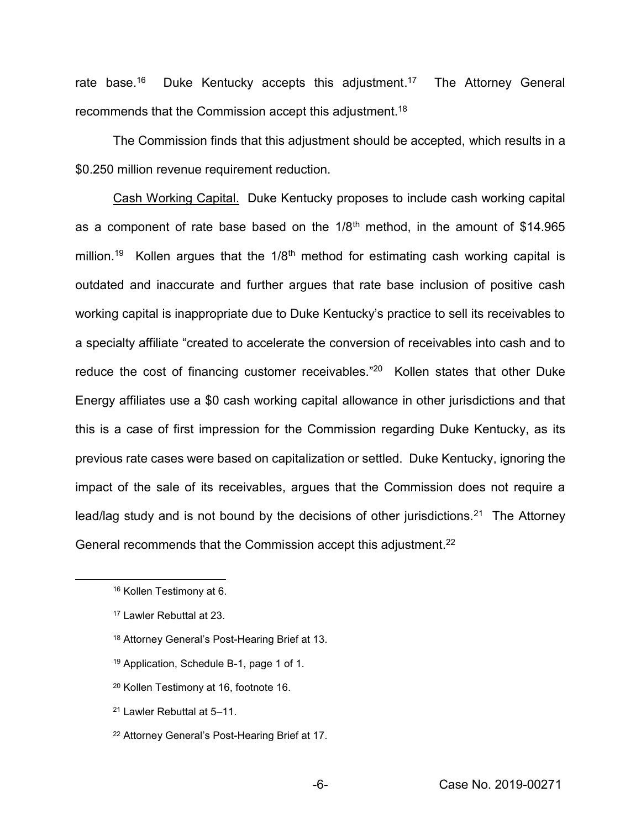rate base.<sup>16</sup> <sup>16</sup> Duke Kentucky accepts this adjustment.<sup>17</sup> The Attorney General recommends that the Commission accept this adjustment.18

The Commission finds that this adjustment should be accepted, which results in a \$0.250 million revenue requirement reduction.

Cash Working Capital. Duke Kentucky proposes to include cash working capital as a component of rate base based on the 1/8<sup>th</sup> method, in the amount of \$14.965 million.<sup>19</sup> Kollen argues that the  $1/8<sup>th</sup>$  method for estimating cash working capital is outdated and inaccurate and further argues that rate base inclusion of positive cash working capital is inappropriate due to Duke Kentucky's practice to sell its receivables to a specialty affiliate "created to accelerate the conversion of receivables into cash and to reduce the cost of financing customer receivables.<sup>"20</sup> Kollen states that other Duke Energy affiliates use a \$0 cash working capital allowance in other jurisdictions and that this is a case of first impression for the Commission regarding Duke Kentucky, as its previous rate cases were based on capitalization or settled. Duke Kentucky, ignoring the impact of the sale of its receivables, argues that the Commission does not require a lead/lag study and is not bound by the decisions of other jurisdictions.<sup>21</sup> The Attorney General recommends that the Commission accept this adjustment.22

- <sup>19</sup> Application, Schedule B-1, page 1 of 1.
- <sup>20</sup> Kollen Testimony at 16, footnote 16.
- $21$  Lawler Rebuttal at 5-11.
- <sup>22</sup> Attorney General's Post-Hearing Brief at 17.

 <sup>16</sup> Kollen Testimony at 6.

<sup>17</sup> Lawler Rebuttal at 23.

<sup>18</sup> Attorney General's Post-Hearing Brief at 13.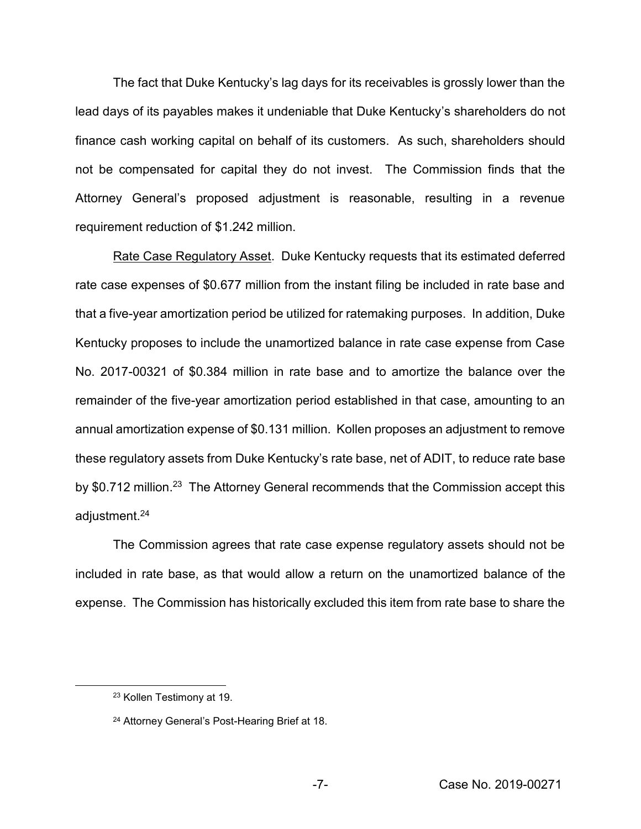The fact that Duke Kentucky's lag days for its receivables is grossly lower than the lead days of its payables makes it undeniable that Duke Kentucky's shareholders do not finance cash working capital on behalf of its customers. As such, shareholders should not be compensated for capital they do not invest. The Commission finds that the Attorney General's proposed adjustment is reasonable, resulting in a revenue requirement reduction of \$1.242 million.

Rate Case Regulatory Asset. Duke Kentucky requests that its estimated deferred rate case expenses of \$0.677 million from the instant filing be included in rate base and that a five-year amortization period be utilized for ratemaking purposes. In addition, Duke Kentucky proposes to include the unamortized balance in rate case expense from Case No. 2017-00321 of \$0.384 million in rate base and to amortize the balance over the remainder of the five-year amortization period established in that case, amounting to an annual amortization expense of \$0.131 million. Kollen proposes an adjustment to remove these regulatory assets from Duke Kentucky's rate base, net of ADIT, to reduce rate base by \$0.712 million.<sup>23</sup> The Attorney General recommends that the Commission accept this adjustment.24

The Commission agrees that rate case expense regulatory assets should not be included in rate base, as that would allow a return on the unamortized balance of the expense. The Commission has historically excluded this item from rate base to share the

 <sup>23</sup> Kollen Testimony at 19.

<sup>&</sup>lt;sup>24</sup> Attorney General's Post-Hearing Brief at 18.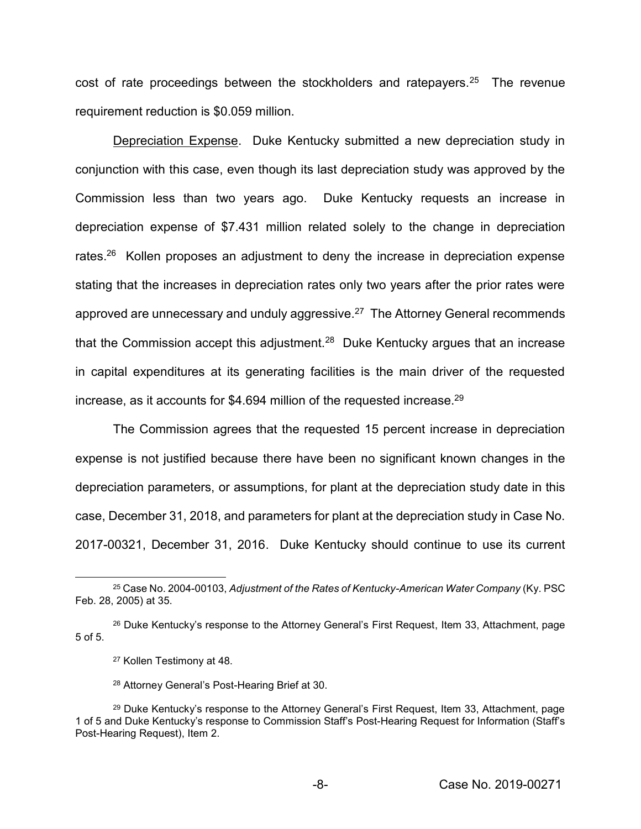cost of rate proceedings between the stockholders and ratepayers.<sup>25</sup> The revenue requirement reduction is \$0.059 million.

Depreciation Expense. Duke Kentucky submitted a new depreciation study in conjunction with this case, even though its last depreciation study was approved by the Commission less than two years ago. Duke Kentucky requests an increase in depreciation expense of \$7.431 million related solely to the change in depreciation rates.<sup>26</sup> Kollen proposes an adjustment to deny the increase in depreciation expense stating that the increases in depreciation rates only two years after the prior rates were approved are unnecessary and unduly aggressive. $27$  The Attorney General recommends that the Commission accept this adjustment.<sup>28</sup> Duke Kentucky argues that an increase in capital expenditures at its generating facilities is the main driver of the requested increase, as it accounts for \$4.694 million of the requested increase.29

The Commission agrees that the requested 15 percent increase in depreciation expense is not justified because there have been no significant known changes in the depreciation parameters, or assumptions, for plant at the depreciation study date in this case, December 31, 2018, and parameters for plant at the depreciation study in Case No. 2017-00321, December 31, 2016. Duke Kentucky should continue to use its current

 <sup>25</sup> Case No. 2004-00103, *Adjustment of the Rates of Kentucky-American Water Company* (Ky. PSC Feb. 28, 2005) at 35.

 $26$  Duke Kentucky's response to the Attorney General's First Request, Item 33, Attachment, page 5 of 5.

<sup>27</sup> Kollen Testimony at 48.

<sup>&</sup>lt;sup>28</sup> Attorney General's Post-Hearing Brief at 30.

 $29$  Duke Kentucky's response to the Attorney General's First Request, Item 33, Attachment, page 1 of 5 and Duke Kentucky's response to Commission Staff's Post-Hearing Request for Information (Staff's Post-Hearing Request), Item 2.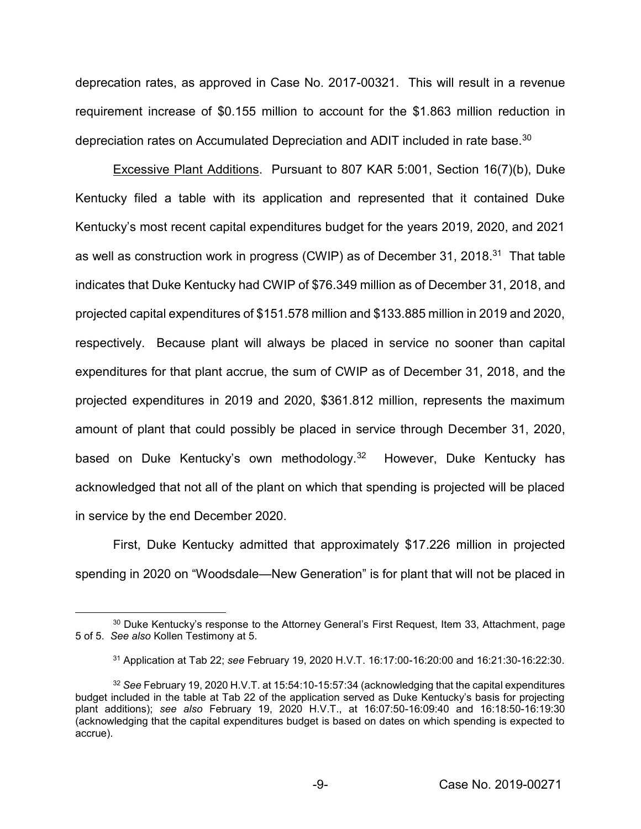deprecation rates, as approved in Case No. 2017-00321. This will result in a revenue requirement increase of \$0.155 million to account for the \$1.863 million reduction in depreciation rates on Accumulated Depreciation and ADIT included in rate base.<sup>30</sup>

Excessive Plant Additions. Pursuant to 807 KAR 5:001, Section 16(7)(b), Duke Kentucky filed a table with its application and represented that it contained Duke Kentucky's most recent capital expenditures budget for the years 2019, 2020, and 2021 as well as construction work in progress (CWIP) as of December 31, 2018.<sup>31</sup> That table indicates that Duke Kentucky had CWIP of \$76.349 million as of December 31, 2018, and projected capital expenditures of \$151.578 million and \$133.885 million in 2019 and 2020, respectively. Because plant will always be placed in service no sooner than capital expenditures for that plant accrue, the sum of CWIP as of December 31, 2018, and the projected expenditures in 2019 and 2020, \$361.812 million, represents the maximum amount of plant that could possibly be placed in service through December 31, 2020, based on Duke Kentucky's own methodology.<sup>32</sup> However, Duke Kentucky has acknowledged that not all of the plant on which that spending is projected will be placed in service by the end December 2020.

First, Duke Kentucky admitted that approximately \$17.226 million in projected spending in 2020 on "Woodsdale—New Generation" is for plant that will not be placed in

 $30$  Duke Kentucky's response to the Attorney General's First Request, Item 33, Attachment, page 5 of 5. *See also* Kollen Testimony at 5.

<sup>31</sup> Application at Tab 22; *see* February 19, 2020 H.V.T. 16:17:00-16:20:00 and 16:21:30-16:22:30.

<sup>32</sup> *See* February 19, 2020 H.V.T. at 15:54:10-15:57:34 (acknowledging that the capital expenditures budget included in the table at Tab 22 of the application served as Duke Kentucky's basis for projecting plant additions); *see also* February 19, 2020 H.V.T., at 16:07:50-16:09:40 and 16:18:50-16:19:30 (acknowledging that the capital expenditures budget is based on dates on which spending is expected to accrue).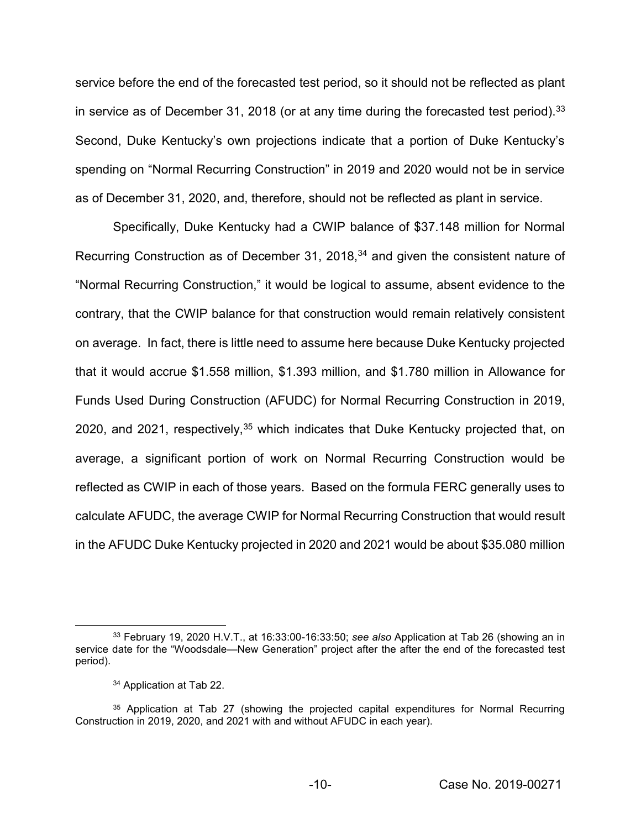service before the end of the forecasted test period, so it should not be reflected as plant in service as of December 31, 2018 (or at any time during the forecasted test period).  $33$ Second, Duke Kentucky's own projections indicate that a portion of Duke Kentucky's spending on "Normal Recurring Construction" in 2019 and 2020 would not be in service as of December 31, 2020, and, therefore, should not be reflected as plant in service.

Specifically, Duke Kentucky had a CWIP balance of \$37.148 million for Normal Recurring Construction as of December 31, 2018,<sup>34</sup> and given the consistent nature of "Normal Recurring Construction," it would be logical to assume, absent evidence to the contrary, that the CWIP balance for that construction would remain relatively consistent on average. In fact, there is little need to assume here because Duke Kentucky projected that it would accrue \$1.558 million, \$1.393 million, and \$1.780 million in Allowance for Funds Used During Construction (AFUDC) for Normal Recurring Construction in 2019, 2020, and 2021, respectively,<sup>35</sup> which indicates that Duke Kentucky projected that, on average, a significant portion of work on Normal Recurring Construction would be reflected as CWIP in each of those years. Based on the formula FERC generally uses to calculate AFUDC, the average CWIP for Normal Recurring Construction that would result in the AFUDC Duke Kentucky projected in 2020 and 2021 would be about \$35.080 million

 <sup>33</sup> February 19, 2020 H.V.T., at 16:33:00-16:33:50; *see also* Application at Tab 26 (showing an in service date for the "Woodsdale—New Generation" project after the after the end of the forecasted test period).

<sup>34</sup> Application at Tab 22.

<sup>&</sup>lt;sup>35</sup> Application at Tab 27 (showing the projected capital expenditures for Normal Recurring Construction in 2019, 2020, and 2021 with and without AFUDC in each year).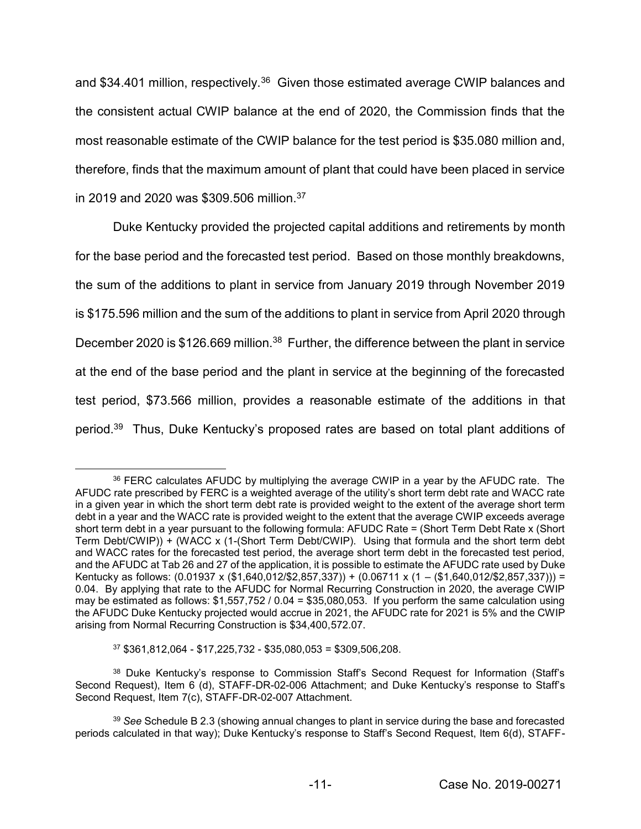and \$34.401 million, respectively.<sup>36</sup> Given those estimated average CWIP balances and the consistent actual CWIP balance at the end of 2020, the Commission finds that the most reasonable estimate of the CWIP balance for the test period is \$35.080 million and, therefore, finds that the maximum amount of plant that could have been placed in service in 2019 and 2020 was \$309.506 million.37

Duke Kentucky provided the projected capital additions and retirements by month for the base period and the forecasted test period. Based on those monthly breakdowns, the sum of the additions to plant in service from January 2019 through November 2019 is \$175.596 million and the sum of the additions to plant in service from April 2020 through December 2020 is \$126.669 million.<sup>38</sup> Further, the difference between the plant in service at the end of the base period and the plant in service at the beginning of the forecasted test period, \$73.566 million, provides a reasonable estimate of the additions in that period.<sup>39</sup> Thus, Duke Kentucky's proposed rates are based on total plant additions of

 $37$  \$361,812,064 - \$17,225,732 - \$35,080,053 = \$309,506,208.

 <sup>36</sup> FERC calculates AFUDC by multiplying the average CWIP in a year by the AFUDC rate. The AFUDC rate prescribed by FERC is a weighted average of the utility's short term debt rate and WACC rate in a given year in which the short term debt rate is provided weight to the extent of the average short term debt in a year and the WACC rate is provided weight to the extent that the average CWIP exceeds average short term debt in a year pursuant to the following formula: AFUDC Rate = (Short Term Debt Rate x (Short Term Debt/CWIP)) + (WACC x (1-(Short Term Debt/CWIP). Using that formula and the short term debt and WACC rates for the forecasted test period, the average short term debt in the forecasted test period, and the AFUDC at Tab 26 and 27 of the application, it is possible to estimate the AFUDC rate used by Duke Kentucky as follows:  $(0.01937 \times (\text{$}1.640.012 \times \text{$}2.857.337)) + (0.06711 \times (1 - (\text{$}1.640.012 \times \text{$}2.857.337))) =$ 0.04. By applying that rate to the AFUDC for Normal Recurring Construction in 2020, the average CWIP may be estimated as follows: \$1,557,752 / 0.04 = \$35,080,053. If you perform the same calculation using the AFUDC Duke Kentucky projected would accrue in 2021, the AFUDC rate for 2021 is 5% and the CWIP arising from Normal Recurring Construction is \$34,400,572.07.

<sup>&</sup>lt;sup>38</sup> Duke Kentucky's response to Commission Staff's Second Request for Information (Staff's Second Request), Item 6 (d), STAFF-DR-02-006 Attachment; and Duke Kentucky's response to Staff's Second Request, Item 7(c), STAFF-DR-02-007 Attachment.

<sup>39</sup> *See* Schedule B 2.3 (showing annual changes to plant in service during the base and forecasted periods calculated in that way); Duke Kentucky's response to Staff's Second Request, Item 6(d), STAFF-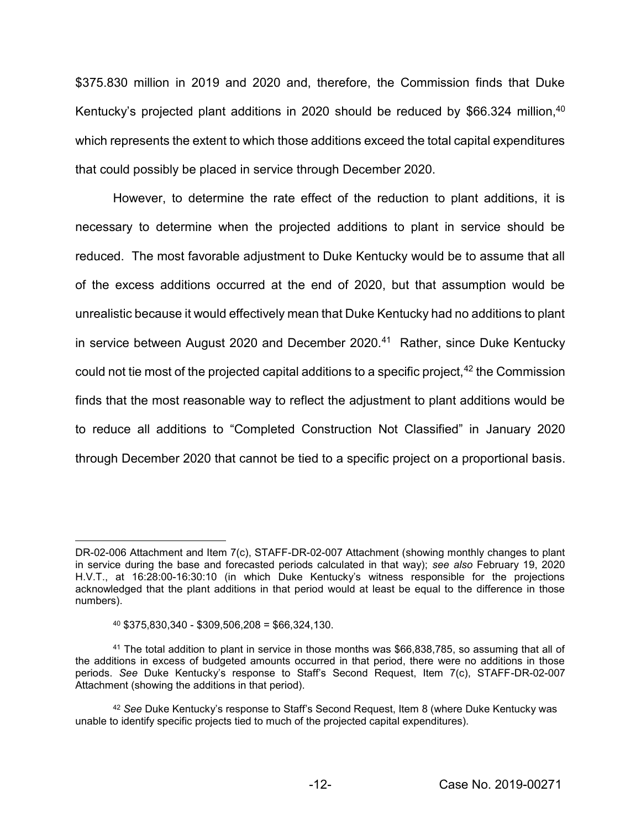\$375.830 million in 2019 and 2020 and, therefore, the Commission finds that Duke Kentucky's projected plant additions in 2020 should be reduced by \$66.324 million,<sup>40</sup> which represents the extent to which those additions exceed the total capital expenditures that could possibly be placed in service through December 2020.

However, to determine the rate effect of the reduction to plant additions, it is necessary to determine when the projected additions to plant in service should be reduced. The most favorable adjustment to Duke Kentucky would be to assume that all of the excess additions occurred at the end of 2020, but that assumption would be unrealistic because it would effectively mean that Duke Kentucky had no additions to plant in service between August 2020 and December 2020.<sup>41</sup> Rather, since Duke Kentucky could not tie most of the projected capital additions to a specific project,  $42$  the Commission finds that the most reasonable way to reflect the adjustment to plant additions would be to reduce all additions to "Completed Construction Not Classified" in January 2020 through December 2020 that cannot be tied to a specific project on a proportional basis.

 $\overline{a}$ 

DR-02-006 Attachment and Item 7(c), STAFF-DR-02-007 Attachment (showing monthly changes to plant in service during the base and forecasted periods calculated in that way); *see also* February 19, 2020 H.V.T., at 16:28:00-16:30:10 (in which Duke Kentucky's witness responsible for the projections acknowledged that the plant additions in that period would at least be equal to the difference in those numbers).

<sup>40</sup> \$375,830,340 - \$309,506,208 = \$66,324,130.

<sup>41</sup> The total addition to plant in service in those months was \$66,838,785, so assuming that all of the additions in excess of budgeted amounts occurred in that period, there were no additions in those periods. See Duke Kentucky's response to Staff's Second Request, Item 7(c), STAFF-DR-02-007 Attachment (showing the additions in that period).

<sup>&</sup>lt;sup>42</sup> See Duke Kentucky's response to Staff's Second Request, Item 8 (where Duke Kentucky was unable to identify specific projects tied to much of the projected capital expenditures).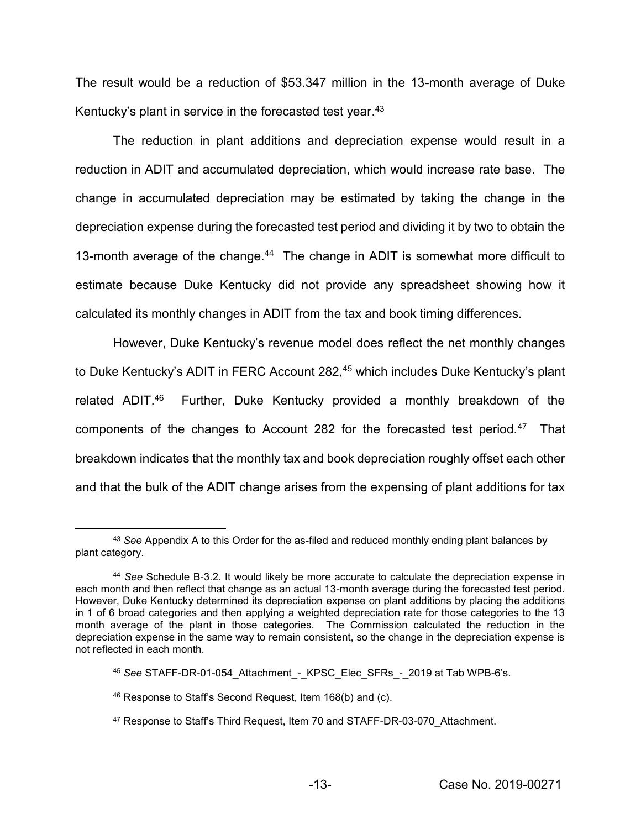The result would be a reduction of \$53.347 million in the 13-month average of Duke Kentucky's plant in service in the forecasted test year. $43$ 

The reduction in plant additions and depreciation expense would result in a reduction in ADIT and accumulated depreciation, which would increase rate base. The change in accumulated depreciation may be estimated by taking the change in the depreciation expense during the forecasted test period and dividing it by two to obtain the 13-month average of the change.<sup>44</sup> The change in ADIT is somewhat more difficult to estimate because Duke Kentucky did not provide any spreadsheet showing how it calculated its monthly changes in ADIT from the tax and book timing differences.

However, Duke Kentucky's revenue model does reflect the net monthly changes to Duke Kentucky's ADIT in FERC Account 282,<sup>45</sup> which includes Duke Kentucky's plant related ADIT.46 Further, Duke Kentucky provided a monthly breakdown of the components of the changes to Account 282 for the forecasted test period.47 That breakdown indicates that the monthly tax and book depreciation roughly offset each other and that the bulk of the ADIT change arises from the expensing of plant additions for tax

 <sup>43</sup> *See* Appendix A to this Order for the as-filed and reduced monthly ending plant balances by plant category.

<sup>44</sup> *See* Schedule B-3.2. It would likely be more accurate to calculate the depreciation expense in each month and then reflect that change as an actual 13-month average during the forecasted test period. However, Duke Kentucky determined its depreciation expense on plant additions by placing the additions in 1 of 6 broad categories and then applying a weighted depreciation rate for those categories to the 13 month average of the plant in those categories. The Commission calculated the reduction in the depreciation expense in the same way to remain consistent, so the change in the depreciation expense is not reflected in each month.

<sup>&</sup>lt;sup>45</sup> See STAFF-DR-01-054\_Attachment\_-\_KPSC\_Elec\_SFRs\_-\_2019 at Tab WPB-6's.

<sup>46</sup> Response to Staff's Second Request, Item 168(b) and (c).

<sup>47</sup> Response to Staff's Third Request, Item 70 and STAFF-DR-03-070 Attachment.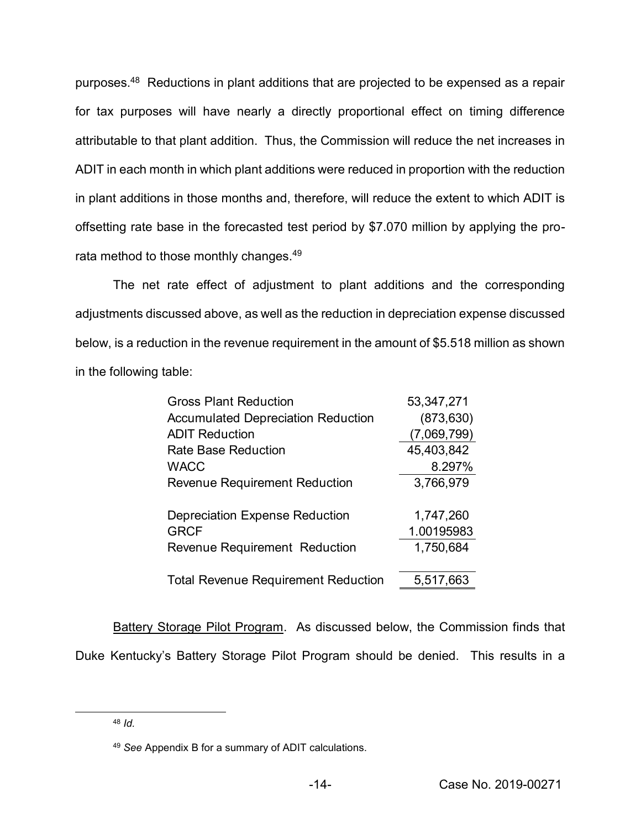purposes.48 Reductions in plant additions that are projected to be expensed as a repair for tax purposes will have nearly a directly proportional effect on timing difference attributable to that plant addition. Thus, the Commission will reduce the net increases in ADIT in each month in which plant additions were reduced in proportion with the reduction in plant additions in those months and, therefore, will reduce the extent to which ADIT is offsetting rate base in the forecasted test period by \$7.070 million by applying the prorata method to those monthly changes.<sup>49</sup>

The net rate effect of adjustment to plant additions and the corresponding adjustments discussed above, as well as the reduction in depreciation expense discussed below, is a reduction in the revenue requirement in the amount of \$5.518 million as shown in the following table:

| <b>Gross Plant Reduction</b>               | 53,347,271  |
|--------------------------------------------|-------------|
| <b>Accumulated Depreciation Reduction</b>  | (873, 630)  |
| <b>ADIT Reduction</b>                      | (7,069,799) |
| Rate Base Reduction                        | 45,403,842  |
| <b>WACC</b>                                | 8.297%      |
| <b>Revenue Requirement Reduction</b>       | 3,766,979   |
|                                            |             |
| Depreciation Expense Reduction             | 1,747,260   |
| <b>GRCF</b>                                | 1.00195983  |
| Revenue Requirement Reduction              | 1,750,684   |
|                                            |             |
| <b>Total Revenue Requirement Reduction</b> | 5,517,663   |
|                                            |             |

Battery Storage Pilot Program. As discussed below, the Commission finds that Duke Kentucky's Battery Storage Pilot Program should be denied. This results in a

 <sup>48</sup> *Id.*

<sup>49</sup> *See* Appendix B for a summary of ADIT calculations.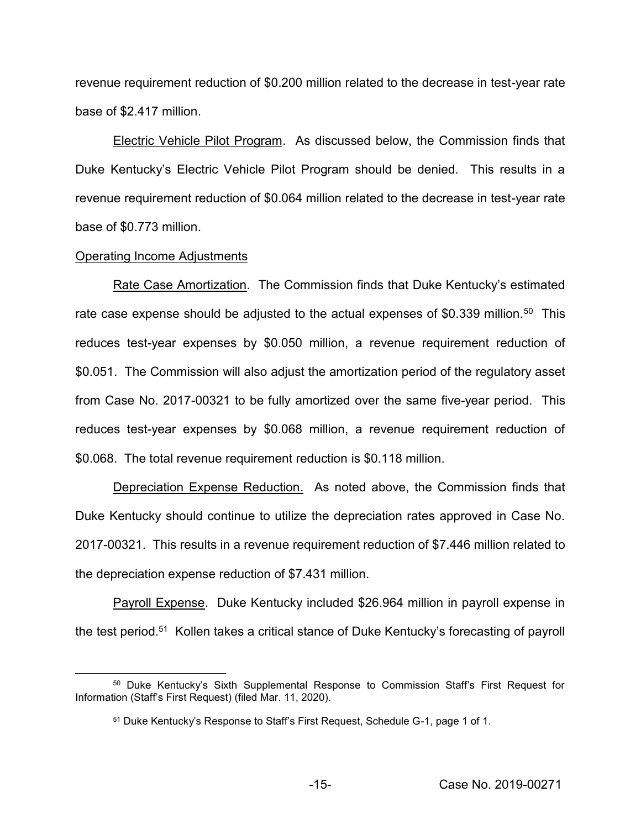revenue requirement reduction of \$0.200 million related to the decrease in test-year rate base of \$2.417 million.

Electric Vehicle Pilot Program. As discussed below, the Commission finds that Duke Kentucky's Electric Vehicle Pilot Program should be denied. This results in a revenue requirement reduction of \$0.064 million related to the decrease in test-year rate base of \$0.773 million.

### Operating Income Adjustments

Rate Case Amortization. The Commission finds that Duke Kentucky's estimated rate case expense should be adjusted to the actual expenses of \$0.339 million.<sup>50</sup> This reduces test-year expenses by \$0.050 million, a revenue requirement reduction of \$0.051. The Commission will also adjust the amortization period of the regulatory asset from Case No. 2017-00321 to be fully amortized over the same five-year period. This reduces test-year expenses by \$0.068 million, a revenue requirement reduction of \$0.068. The total revenue requirement reduction is \$0.118 million.

Depreciation Expense Reduction. As noted above, the Commission finds that Duke Kentucky should continue to utilize the depreciation rates approved in Case No. 2017-00321. This results in a revenue requirement reduction of \$7.446 million related to the depreciation expense reduction of \$7.431 million.

Payroll Expense. Duke Kentucky included \$26.964 million in payroll expense in the test period.<sup>51</sup> Kollen takes a critical stance of Duke Kentucky's forecasting of payroll

<sup>&</sup>lt;sup>50</sup> Duke Kentucky's Sixth Supplemental Response to Commission Staff's First Request for Information (Staff's First Request) (filed Mar. 11, 2020).

<sup>&</sup>lt;sup>51</sup> Duke Kentucky's Response to Staff's First Request, Schedule G-1, page 1 of 1.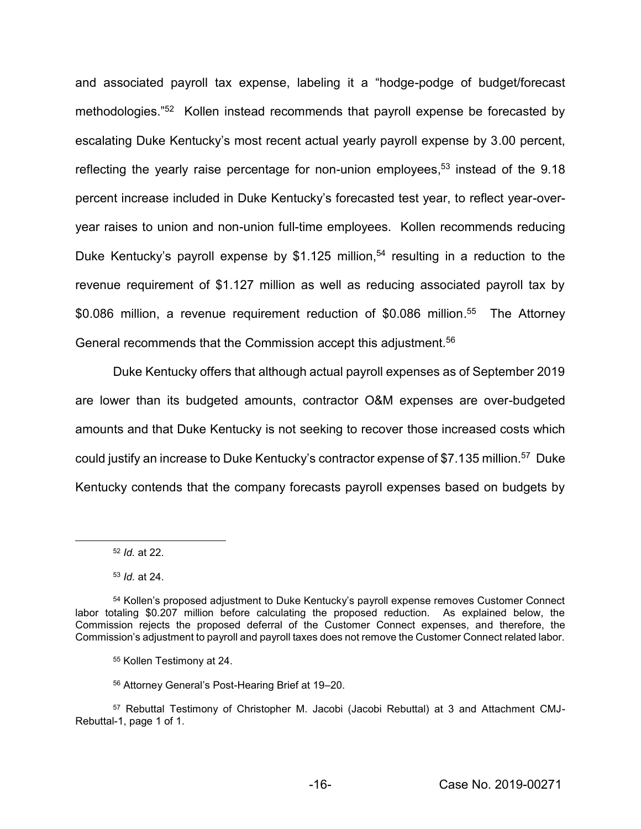and associated payroll tax expense, labeling it a "hodge-podge of budget/forecast methodologies.<sup>"52</sup> Kollen instead recommends that payroll expense be forecasted by escalating Duke Kentucky's most recent actual yearly payroll expense by 3.00 percent, reflecting the yearly raise percentage for non-union employees,<sup>53</sup> instead of the 9.18 percent increase included in Duke Kentucky's forecasted test year, to reflect year-overyear raises to union and non-union full-time employees. Kollen recommends reducing Duke Kentucky's payroll expense by \$1.125 million,<sup>54</sup> resulting in a reduction to the revenue requirement of \$1.127 million as well as reducing associated payroll tax by \$0.086 million, a revenue requirement reduction of \$0.086 million.<sup>55</sup> The Attorney General recommends that the Commission accept this adjustment.56

Duke Kentucky offers that although actual payroll expenses as of September 2019 are lower than its budgeted amounts, contractor O&M expenses are over-budgeted amounts and that Duke Kentucky is not seeking to recover those increased costs which could justify an increase to Duke Kentucky's contractor expense of \$7.135 million.<sup>57</sup> Duke Kentucky contends that the company forecasts payroll expenses based on budgets by

56 Attorney General's Post-Hearing Brief at 19-20.

 <sup>52</sup> *Id.* at 22.

<sup>53</sup> *Id.* at 24.

<sup>&</sup>lt;sup>54</sup> Kollen's proposed adjustment to Duke Kentucky's payroll expense removes Customer Connect labor totaling \$0.207 million before calculating the proposed reduction. As explained below, the Commission rejects the proposed deferral of the Customer Connect expenses, and therefore, the Commission's adjustment to payroll and payroll taxes does not remove the Customer Connect related labor.

<sup>55</sup> Kollen Testimony at 24.

<sup>57</sup> Rebuttal Testimony of Christopher M. Jacobi (Jacobi Rebuttal) at 3 and Attachment CMJ-Rebuttal-1, page 1 of 1.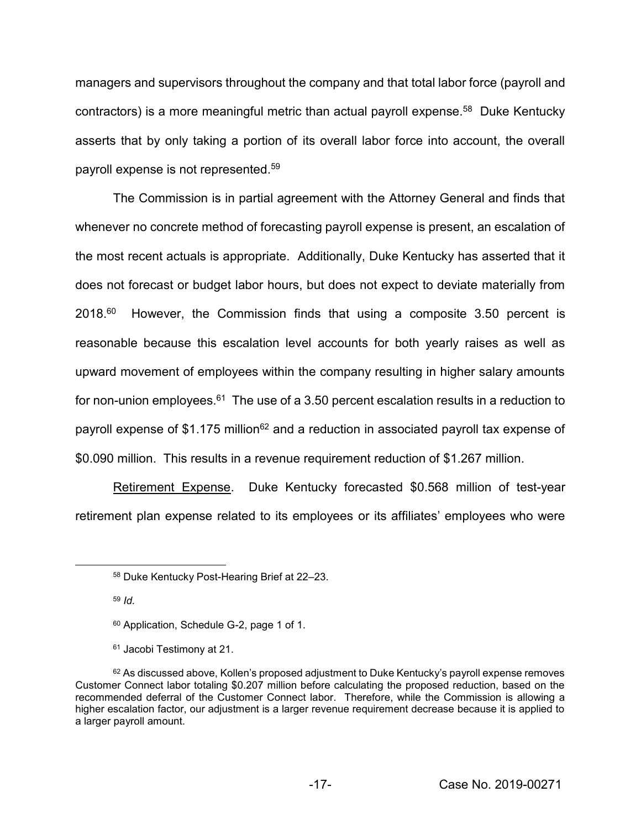managers and supervisors throughout the company and that total labor force (payroll and contractors) is a more meaningful metric than actual payroll expense.58 Duke Kentucky asserts that by only taking a portion of its overall labor force into account, the overall payroll expense is not represented.59

The Commission is in partial agreement with the Attorney General and finds that whenever no concrete method of forecasting payroll expense is present, an escalation of the most recent actuals is appropriate. Additionally, Duke Kentucky has asserted that it does not forecast or budget labor hours, but does not expect to deviate materially from  $2018<sup>60</sup>$  However, the Commission finds that using a composite 3.50 percent is reasonable because this escalation level accounts for both yearly raises as well as upward movement of employees within the company resulting in higher salary amounts for non-union employees.<sup>61</sup> The use of a 3.50 percent escalation results in a reduction to payroll expense of \$1.175 million<sup>62</sup> and a reduction in associated payroll tax expense of \$0.090 million. This results in a revenue requirement reduction of \$1.267 million.

Retirement Expense. Duke Kentucky forecasted \$0.568 million of test-year retirement plan expense related to its employees or its affiliates' employees who were

<sup>59</sup> *Id.*

<sup>61</sup> Jacobi Testimony at 21.

<sup>58</sup> Duke Kentucky Post-Hearing Brief at 22-23.

<sup>60</sup> Application, Schedule G-2, page 1 of 1.

 $62$  As discussed above, Kollen's proposed adjustment to Duke Kentucky's payroll expense removes Customer Connect labor totaling \$0.207 million before calculating the proposed reduction, based on the recommended deferral of the Customer Connect labor. Therefore, while the Commission is allowing a higher escalation factor, our adjustment is a larger revenue requirement decrease because it is applied to a larger payroll amount.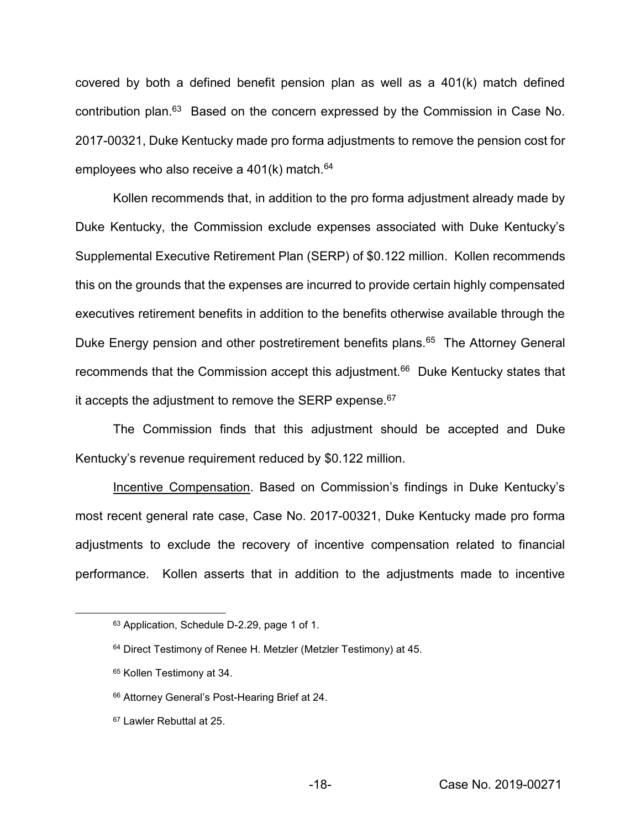covered by both a defined benefit pension plan as well as a 401(k) match defined contribution plan.63 Based on the concern expressed by the Commission in Case No. 2017-00321, Duke Kentucky made pro forma adjustments to remove the pension cost for employees who also receive a  $401(k)$  match.<sup>64</sup>

Kollen recommends that, in addition to the pro forma adjustment already made by Duke Kentucky, the Commission exclude expenses associated with Duke Kentucky's Supplemental Executive Retirement Plan (SERP) of \$0.122 million. Kollen recommends this on the grounds that the expenses are incurred to provide certain highly compensated executives retirement benefits in addition to the benefits otherwise available through the Duke Energy pension and other postretirement benefits plans.<sup>65</sup> The Attorney General recommends that the Commission accept this adjustment.<sup>66</sup> Duke Kentucky states that it accepts the adjustment to remove the SERP expense.<sup>67</sup>

The Commission finds that this adjustment should be accepted and Duke Kentucky's revenue requirement reduced by \$0.122 million.

Incentive Compensation. Based on Commission's findings in Duke Kentucky's most recent general rate case, Case No. 2017-00321, Duke Kentucky made pro forma adjustments to exclude the recovery of incentive compensation related to financial performance. Kollen asserts that in addition to the adjustments made to incentive

<sup>67</sup> Lawler Rebuttal at 25.

 <sup>63</sup> Application, Schedule D-2.29, page 1 of 1.

<sup>64</sup> Direct Testimony of Renee H. Metzler (Metzler Testimony) at 45.

<sup>65</sup> Kollen Testimony at 34.

<sup>66</sup> Attorney General's Post-Hearing Brief at 24.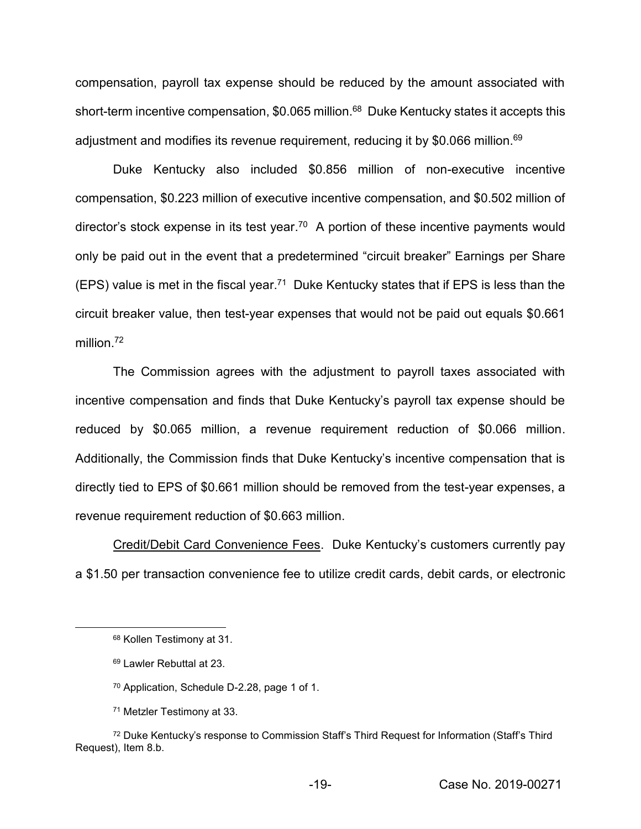compensation, payroll tax expense should be reduced by the amount associated with short-term incentive compensation, \$0.065 million.<sup>68</sup> Duke Kentucky states it accepts this adjustment and modifies its revenue requirement, reducing it by \$0.066 million.<sup>69</sup>

Duke Kentucky also included \$0.856 million of non-executive incentive compensation, \$0.223 million of executive incentive compensation, and \$0.502 million of director's stock expense in its test year.<sup>70</sup> A portion of these incentive payments would only be paid out in the event that a predetermined "circuit breaker" Earnings per Share  $(EPS)$  value is met in the fiscal year.<sup>71</sup> Duke Kentucky states that if EPS is less than the circuit breaker value, then test-year expenses that would not be paid out equals \$0.661 million.<sup>72</sup>

The Commission agrees with the adjustment to payroll taxes associated with incentive compensation and finds that Duke Kentucky's payroll tax expense should be reduced by \$0.065 million, a revenue requirement reduction of \$0.066 million. Additionally, the Commission finds that Duke Kentucky's incentive compensation that is directly tied to EPS of \$0.661 million should be removed from the test-year expenses, a revenue requirement reduction of \$0.663 million.

Credit/Debit Card Convenience Fees. Duke Kentucky's customers currently pay a \$1.50 per transaction convenience fee to utilize credit cards, debit cards, or electronic

 <sup>68</sup> Kollen Testimony at 31.

<sup>69</sup> Lawler Rebuttal at 23.

<sup>70</sup> Application, Schedule D-2.28, page 1 of 1.

<sup>71</sup> Metzler Testimony at 33.

 $72$  Duke Kentucky's response to Commission Staff's Third Request for Information (Staff's Third Request), Item 8.b.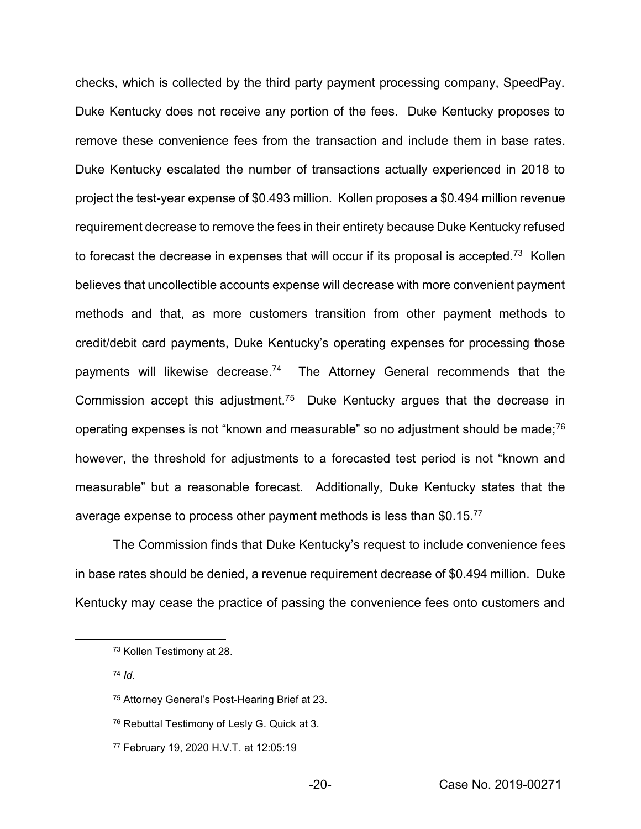checks, which is collected by the third party payment processing company, SpeedPay. Duke Kentucky does not receive any portion of the fees. Duke Kentucky proposes to remove these convenience fees from the transaction and include them in base rates. Duke Kentucky escalated the number of transactions actually experienced in 2018 to project the test-year expense of \$0.493 million. Kollen proposes a \$0.494 million revenue requirement decrease to remove the fees in their entirety because Duke Kentucky refused to forecast the decrease in expenses that will occur if its proposal is accepted.<sup>73</sup> Kollen believes that uncollectible accounts expense will decrease with more convenient payment methods and that, as more customers transition from other payment methods to credit/debit card payments, Duke Kentucky's operating expenses for processing those payments will likewise decrease.<sup>74</sup> The Attorney General recommends that the Commission accept this adjustment.75 Duke Kentucky argues that the decrease in operating expenses is not "known and measurable" so no adjustment should be made;<sup>76</sup> however, the threshold for adjustments to a forecasted test period is not "known and measurable" but a reasonable forecast. Additionally, Duke Kentucky states that the average expense to process other payment methods is less than \$0.15.77

The Commission finds that Duke Kentucky's request to include convenience fees in base rates should be denied, a revenue requirement decrease of \$0.494 million. Duke Kentucky may cease the practice of passing the convenience fees onto customers and

<sup>74</sup> *Id.*

<sup>76</sup> Rebuttal Testimony of Lesly G. Quick at 3.

 <sup>73</sup> Kollen Testimony at 28.

<sup>&</sup>lt;sup>75</sup> Attorney General's Post-Hearing Brief at 23.

<sup>77</sup> February 19, 2020 H.V.T. at 12:05:19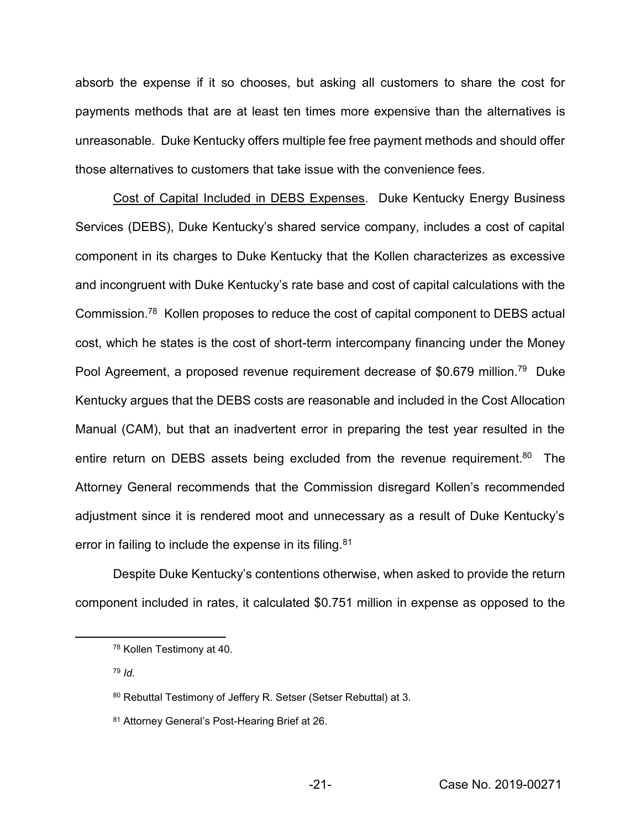absorb the expense if it so chooses, but asking all customers to share the cost for payments methods that are at least ten times more expensive than the alternatives is unreasonable. Duke Kentucky offers multiple fee free payment methods and should offer those alternatives to customers that take issue with the convenience fees.

Cost of Capital Included in DEBS Expenses. Duke Kentucky Energy Business Services (DEBS), Duke Kentucky's shared service company, includes a cost of capital component in its charges to Duke Kentucky that the Kollen characterizes as excessive and incongruent with Duke Kentucky's rate base and cost of capital calculations with the Commission.78 Kollen proposes to reduce the cost of capital component to DEBS actual cost, which he states is the cost of short-term intercompany financing under the Money Pool Agreement, a proposed revenue requirement decrease of \$0.679 million.<sup>79</sup> Duke Kentucky argues that the DEBS costs are reasonable and included in the Cost Allocation Manual (CAM), but that an inadvertent error in preparing the test year resulted in the entire return on DEBS assets being excluded from the revenue requirement.<sup>80</sup> The Attorney General recommends that the Commission disregard Kollen's recommended adjustment since it is rendered moot and unnecessary as a result of Duke Kentucky's error in failing to include the expense in its filing.<sup>81</sup>

Despite Duke Kentucky's contentions otherwise, when asked to provide the return component included in rates, it calculated \$0.751 million in expense as opposed to the

<sup>79</sup> *Id.*

 <sup>78</sup> Kollen Testimony at 40.

<sup>80</sup> Rebuttal Testimony of Jeffery R. Setser (Setser Rebuttal) at 3.

<sup>81</sup> Attorney General's Post-Hearing Brief at 26.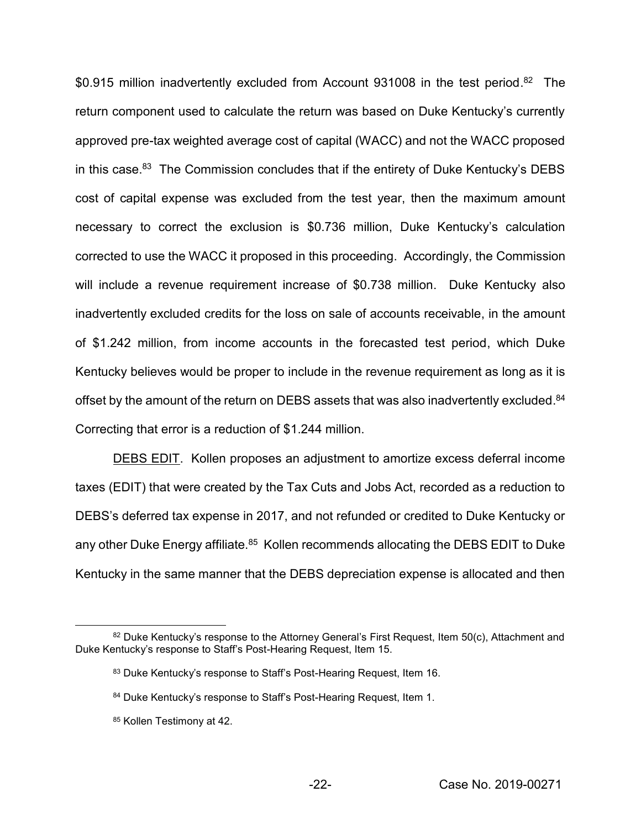\$0.915 million inadvertently excluded from Account 931008 in the test period.<sup>82</sup> The return component used to calculate the return was based on Duke Kentucky's currently approved pre-tax weighted average cost of capital (WACC) and not the WACC proposed in this case.<sup>83</sup> The Commission concludes that if the entirety of Duke Kentucky's DEBS cost of capital expense was excluded from the test year, then the maximum amount necessary to correct the exclusion is \$0.736 million, Duke Kentucky's calculation corrected to use the WACC it proposed in this proceeding. Accordingly, the Commission will include a revenue requirement increase of \$0.738 million. Duke Kentucky also inadvertently excluded credits for the loss on sale of accounts receivable, in the amount of \$1.242 million, from income accounts in the forecasted test period, which Duke Kentucky believes would be proper to include in the revenue requirement as long as it is offset by the amount of the return on DEBS assets that was also inadvertently excluded.<sup>84</sup> Correcting that error is a reduction of \$1.244 million.

DEBS EDIT. Kollen proposes an adjustment to amortize excess deferral income taxes (EDIT) that were created by the Tax Cuts and Jobs Act, recorded as a reduction to DEBS's deferred tax expense in 2017, and not refunded or credited to Duke Kentucky or any other Duke Energy affiliate.<sup>85</sup> Kollen recommends allocating the DEBS EDIT to Duke Kentucky in the same manner that the DEBS depreciation expense is allocated and then

 $82$  Duke Kentucky's response to the Attorney General's First Request, Item 50(c), Attachment and Duke Kentucky's response to Staff's Post-Hearing Request, Item 15.

<sup>83</sup> Duke Kentucky's response to Staff's Post-Hearing Request, Item 16.

<sup>84</sup> Duke Kentucky's response to Staff's Post-Hearing Request, Item 1.

<sup>85</sup> Kollen Testimony at 42.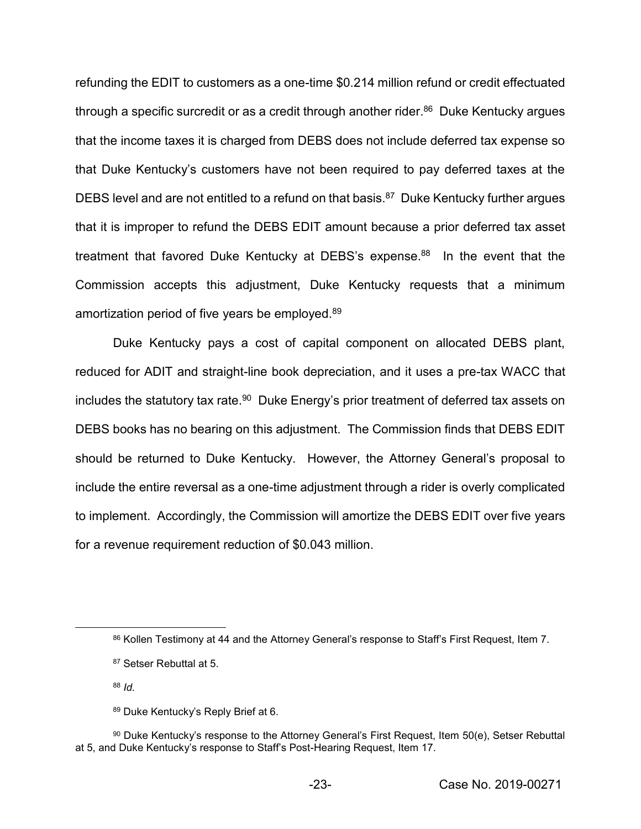refunding the EDIT to customers as a one-time \$0.214 million refund or credit effectuated through a specific surcredit or as a credit through another rider. 86 Duke Kentucky argues that the income taxes it is charged from DEBS does not include deferred tax expense so that Duke Kentucky's customers have not been required to pay deferred taxes at the DEBS level and are not entitled to a refund on that basis.<sup>87</sup> Duke Kentucky further argues that it is improper to refund the DEBS EDIT amount because a prior deferred tax asset treatment that favored Duke Kentucky at DEBS's expense.<sup>88</sup> In the event that the Commission accepts this adjustment, Duke Kentucky requests that a minimum amortization period of five years be employed.<sup>89</sup>

Duke Kentucky pays a cost of capital component on allocated DEBS plant, reduced for ADIT and straight-line book depreciation, and it uses a pre-tax WACC that includes the statutory tax rate. $90$  Duke Energy's prior treatment of deferred tax assets on DEBS books has no bearing on this adjustment. The Commission finds that DEBS EDIT should be returned to Duke Kentucky. However, the Attorney General's proposal to include the entire reversal as a one-time adjustment through a rider is overly complicated to implement. Accordingly, the Commission will amortize the DEBS EDIT over five years for a revenue requirement reduction of \$0.043 million.

<sup>86</sup> Kollen Testimony at 44 and the Attorney General's response to Staff's First Request, Item 7.

<sup>87</sup> Setser Rebuttal at 5.

<sup>88</sup> *Id.*

<sup>89</sup> Duke Kentucky's Reply Brief at 6.

 $90$  Duke Kentucky's response to the Attorney General's First Request, Item 50(e), Setser Rebuttal at 5, and Duke Kentucky's response to Staff's Post-Hearing Request, Item 17.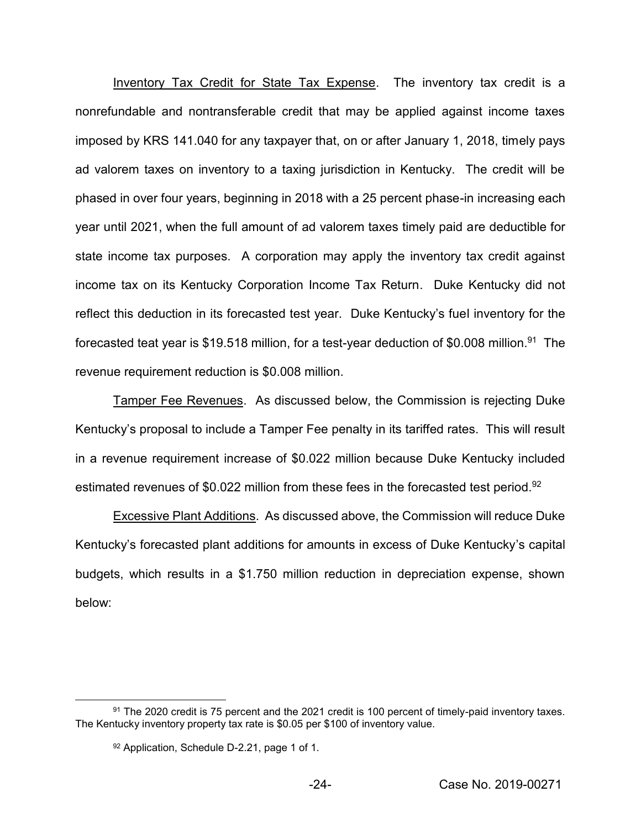Inventory Tax Credit for State Tax Expense. The inventory tax credit is a nonrefundable and nontransferable credit that may be applied against income taxes imposed by KRS 141.040 for any taxpayer that, on or after January 1, 2018, timely pays ad valorem taxes on inventory to a taxing jurisdiction in Kentucky. The credit will be phased in over four years, beginning in 2018 with a 25 percent phase-in increasing each year until 2021, when the full amount of ad valorem taxes timely paid are deductible for state income tax purposes. A corporation may apply the inventory tax credit against income tax on its Kentucky Corporation Income Tax Return. Duke Kentucky did not reflect this deduction in its forecasted test year. Duke Kentucky's fuel inventory for the forecasted teat year is \$19.518 million, for a test-year deduction of \$0.008 million.<sup>91</sup> The revenue requirement reduction is \$0.008 million.

Tamper Fee Revenues. As discussed below, the Commission is rejecting Duke Kentucky's proposal to include a Tamper Fee penalty in its tariffed rates. This will result in a revenue requirement increase of \$0.022 million because Duke Kentucky included estimated revenues of \$0.022 million from these fees in the forecasted test period.<sup>92</sup>

Excessive Plant Additions. As discussed above, the Commission will reduce Duke Kentucky's forecasted plant additions for amounts in excess of Duke Kentucky's capital budgets, which results in a \$1.750 million reduction in depreciation expense, shown below:

<sup>91</sup> The 2020 credit is 75 percent and the 2021 credit is 100 percent of timely-paid inventory taxes. The Kentucky inventory property tax rate is \$0.05 per \$100 of inventory value.

<sup>92</sup> Application, Schedule D-2.21, page 1 of 1.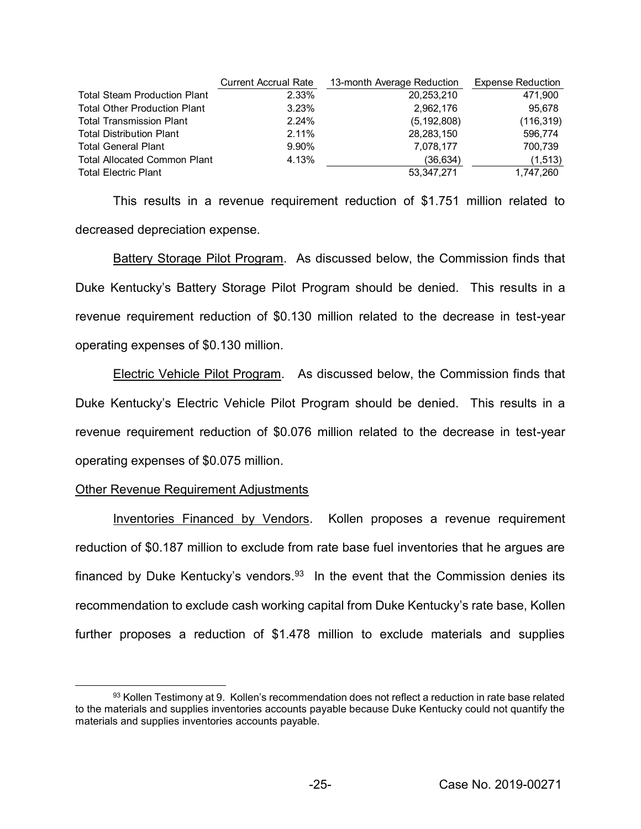|                                     | <b>Current Accrual Rate</b> | 13-month Average Reduction | <b>Expense Reduction</b> |
|-------------------------------------|-----------------------------|----------------------------|--------------------------|
| <b>Total Steam Production Plant</b> | 2.33%                       | 20.253.210                 | 471,900                  |
| <b>Total Other Production Plant</b> | 3.23%                       | 2.962.176                  | 95.678                   |
| <b>Total Transmission Plant</b>     | 2.24%                       | (5.192.808)                | (116, 319)               |
| <b>Total Distribution Plant</b>     | 2.11%                       | 28, 283, 150               | 596.774                  |
| <b>Total General Plant</b>          | 9.90%                       | 7,078,177                  | 700.739                  |
| <b>Total Allocated Common Plant</b> | 4.13%                       | (36,634)                   | (1, 513)                 |
| <b>Total Electric Plant</b>         |                             | 53,347,271                 | 1.747.260                |

This results in a revenue requirement reduction of \$1.751 million related to decreased depreciation expense.

Battery Storage Pilot Program. As discussed below, the Commission finds that Duke Kentucky's Battery Storage Pilot Program should be denied. This results in a revenue requirement reduction of \$0.130 million related to the decrease in test-year operating expenses of \$0.130 million.

Electric Vehicle Pilot Program. As discussed below, the Commission finds that Duke Kentucky's Electric Vehicle Pilot Program should be denied. This results in a revenue requirement reduction of \$0.076 million related to the decrease in test-year operating expenses of \$0.075 million.

### Other Revenue Requirement Adjustments

Inventories Financed by Vendors. Kollen proposes a revenue requirement reduction of \$0.187 million to exclude from rate base fuel inventories that he argues are financed by Duke Kentucky's vendors.<sup>93</sup> In the event that the Commission denies its recommendation to exclude cash working capital from Duke Kentucky's rate base, Kollen further proposes a reduction of \$1.478 million to exclude materials and supplies

<sup>93</sup> Kollen Testimony at 9. Kollen's recommendation does not reflect a reduction in rate base related to the materials and supplies inventories accounts payable because Duke Kentucky could not quantify the materials and supplies inventories accounts payable.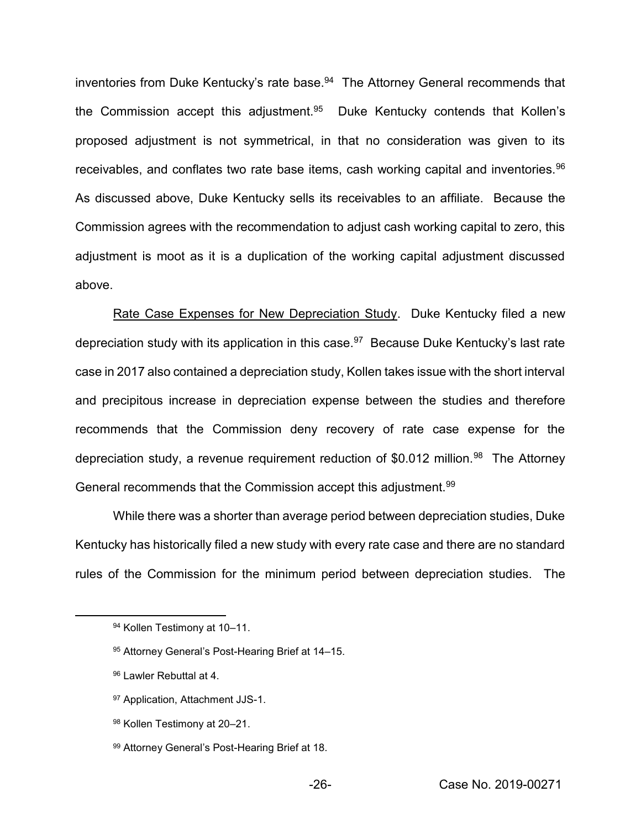inventories from Duke Kentucky's rate base.<sup>94</sup> The Attorney General recommends that the Commission accept this adjustment.<sup>95</sup> Duke Kentucky contends that Kollen's proposed adjustment is not symmetrical, in that no consideration was given to its receivables, and conflates two rate base items, cash working capital and inventories.<sup>96</sup> As discussed above, Duke Kentucky sells its receivables to an affiliate. Because the Commission agrees with the recommendation to adjust cash working capital to zero, this adjustment is moot as it is a duplication of the working capital adjustment discussed above.

Rate Case Expenses for New Depreciation Study. Duke Kentucky filed a new depreciation study with its application in this case. $97$  Because Duke Kentucky's last rate case in 2017 also contained a depreciation study, Kollen takes issue with the short interval and precipitous increase in depreciation expense between the studies and therefore recommends that the Commission deny recovery of rate case expense for the depreciation study, a revenue requirement reduction of \$0.012 million.<sup>98</sup> The Attorney General recommends that the Commission accept this adjustment.99

While there was a shorter than average period between depreciation studies, Duke Kentucky has historically filed a new study with every rate case and there are no standard rules of the Commission for the minimum period between depreciation studies. The

<sup>94</sup> Kollen Testimony at 10-11.

<sup>95</sup> Attorney General's Post-Hearing Brief at 14-15.

<sup>96</sup> Lawler Rebuttal at 4.

<sup>97</sup> Application, Attachment JJS-1.

<sup>98</sup> Kollen Testimony at 20-21.

<sup>99</sup> Attorney General's Post-Hearing Brief at 18.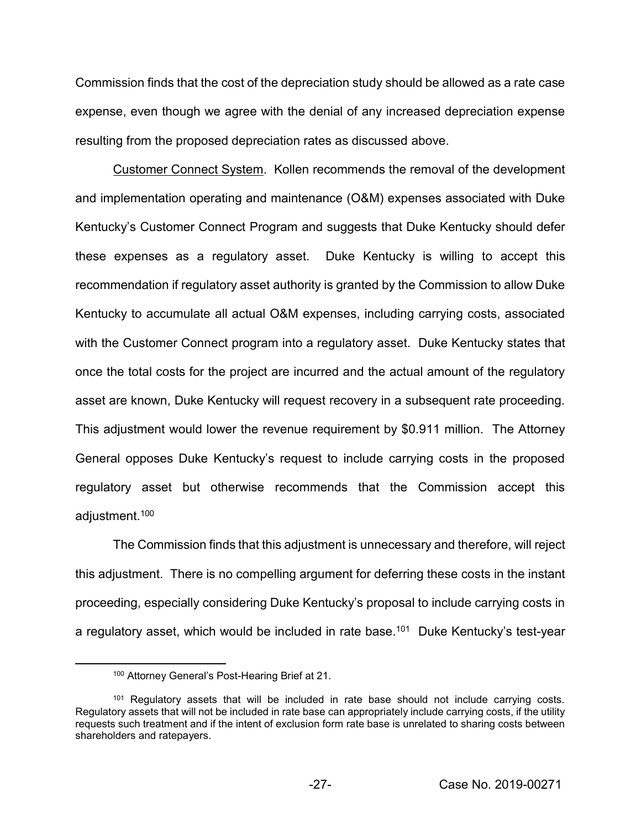Commission finds that the cost of the depreciation study should be allowed as a rate case expense, even though we agree with the denial of any increased depreciation expense resulting from the proposed depreciation rates as discussed above.

Customer Connect System. Kollen recommends the removal of the development and implementation operating and maintenance (O&M) expenses associated with Duke Kentucky's Customer Connect Program and suggests that Duke Kentucky should defer these expenses as a regulatory asset. Duke Kentucky is willing to accept this recommendation if regulatory asset authority is granted by the Commission to allow Duke Kentucky to accumulate all actual O&M expenses, including carrying costs, associated with the Customer Connect program into a regulatory asset. Duke Kentucky states that once the total costs for the project are incurred and the actual amount of the regulatory asset are known, Duke Kentucky will request recovery in a subsequent rate proceeding. This adjustment would lower the revenue requirement by \$0.911 million. The Attorney General opposes Duke Kentucky's request to include carrying costs in the proposed regulatory asset but otherwise recommends that the Commission accept this adjustment.100

The Commission finds that this adjustment is unnecessary and therefore, will reject this adjustment. There is no compelling argument for deferring these costs in the instant proceeding, especially considering Duke Kentucky's proposal to include carrying costs in a regulatory asset, which would be included in rate base.<sup>101</sup> Duke Kentucky's test-year

<sup>100</sup> Attorney General's Post-Hearing Brief at 21.

<sup>&</sup>lt;sup>101</sup> Regulatory assets that will be included in rate base should not include carrying costs. Regulatory assets that will not be included in rate base can appropriately include carrying costs, if the utility requests such treatment and if the intent of exclusion form rate base is unrelated to sharing costs between shareholders and ratepayers.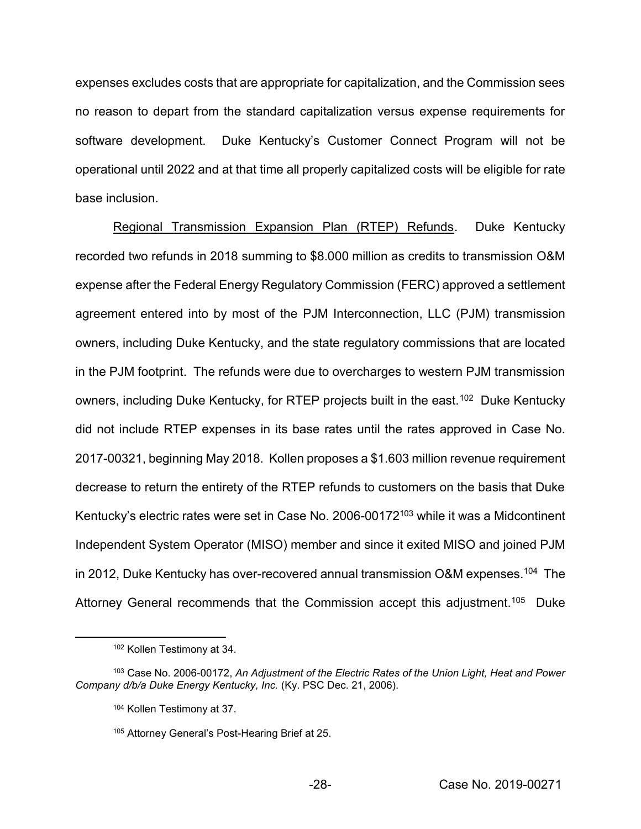expenses excludes costs that are appropriate for capitalization, and the Commission sees no reason to depart from the standard capitalization versus expense requirements for software development. Duke Kentucky's Customer Connect Program will not be operational until 2022 and at that time all properly capitalized costs will be eligible for rate base inclusion.

Regional Transmission Expansion Plan (RTEP) Refunds. Duke Kentucky recorded two refunds in 2018 summing to \$8.000 million as credits to transmission O&M expense after the Federal Energy Regulatory Commission (FERC) approved a settlement agreement entered into by most of the PJM Interconnection, LLC (PJM) transmission owners, including Duke Kentucky, and the state regulatory commissions that are located in the PJM footprint. The refunds were due to overcharges to western PJM transmission owners, including Duke Kentucky, for RTEP projects built in the east.<sup>102</sup> Duke Kentucky did not include RTEP expenses in its base rates until the rates approved in Case No. 2017-00321, beginning May 2018. Kollen proposes a \$1.603 million revenue requirement decrease to return the entirety of the RTEP refunds to customers on the basis that Duke Kentucky's electric rates were set in Case No. 2006-00172<sup>103</sup> while it was a Midcontinent Independent System Operator (MISO) member and since it exited MISO and joined PJM in 2012, Duke Kentucky has over-recovered annual transmission O&M expenses.104 The Attorney General recommends that the Commission accept this adjustment.<sup>105</sup> Duke

 <sup>102</sup> Kollen Testimony at 34.

<sup>103</sup> Case No. 2006-00172, *An Adjustment of the Electric Rates of the Union Light, Heat and Power Company d/b/a Duke Energy Kentucky, Inc.* (Ky. PSC Dec. 21, 2006).

<sup>104</sup> Kollen Testimony at 37.

<sup>105</sup> Attorney General's Post-Hearing Brief at 25.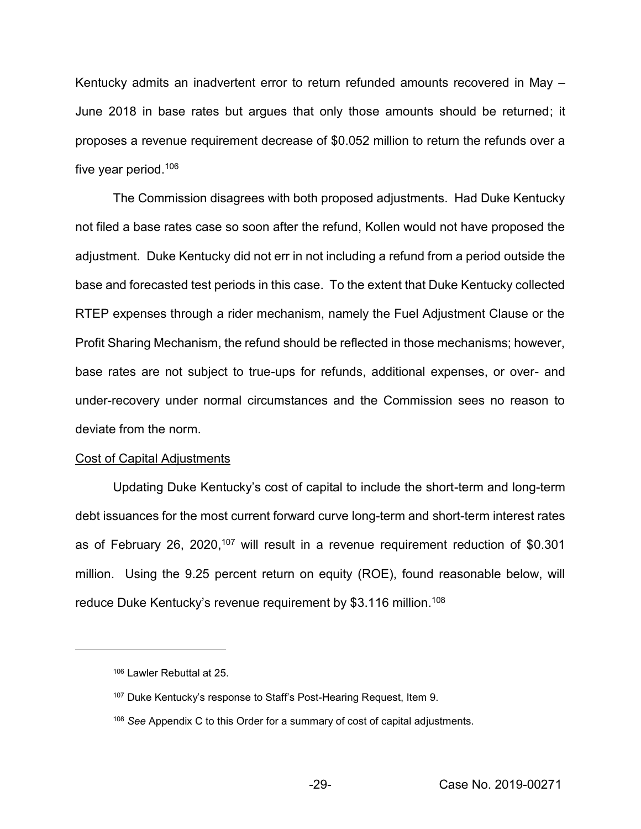Kentucky admits an inadvertent error to return refunded amounts recovered in May  $-$ June 2018 in base rates but argues that only those amounts should be returned; it proposes a revenue requirement decrease of \$0.052 million to return the refunds over a five year period.106

The Commission disagrees with both proposed adjustments. Had Duke Kentucky not filed a base rates case so soon after the refund, Kollen would not have proposed the adjustment. Duke Kentucky did not err in not including a refund from a period outside the base and forecasted test periods in this case. To the extent that Duke Kentucky collected RTEP expenses through a rider mechanism, namely the Fuel Adjustment Clause or the Profit Sharing Mechanism, the refund should be reflected in those mechanisms; however, base rates are not subject to true-ups for refunds, additional expenses, or over- and under-recovery under normal circumstances and the Commission sees no reason to deviate from the norm.

#### Cost of Capital Adjustments

Updating Duke Kentucky's cost of capital to include the short-term and long-term debt issuances for the most current forward curve long-term and short-term interest rates as of February 26, 2020,<sup>107</sup> will result in a revenue requirement reduction of \$0.301 million. Using the 9.25 percent return on equity (ROE), found reasonable below, will reduce Duke Kentucky's revenue requirement by \$3.116 million.<sup>108</sup>

 $\overline{a}$ 

<sup>106</sup> Lawler Rebuttal at 25.

<sup>&</sup>lt;sup>107</sup> Duke Kentucky's response to Staff's Post-Hearing Request, Item 9.

<sup>108</sup> *See* Appendix C to this Order for a summary of cost of capital adjustments.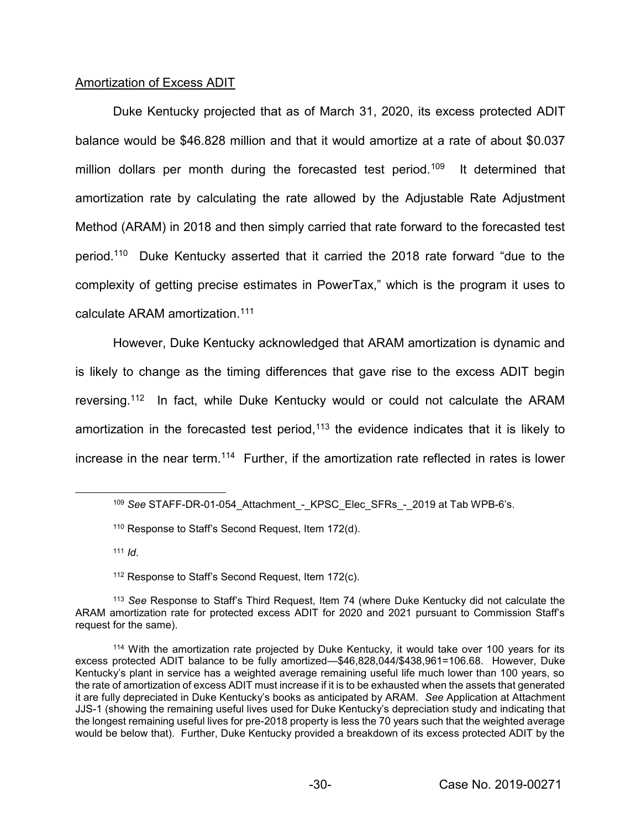## Amortization of Excess ADIT

Duke Kentucky projected that as of March 31, 2020, its excess protected ADIT balance would be \$46.828 million and that it would amortize at a rate of about \$0.037 million dollars per month during the forecasted test period.<sup>109</sup> It determined that amortization rate by calculating the rate allowed by the Adjustable Rate Adjustment Method (ARAM) in 2018 and then simply carried that rate forward to the forecasted test period.<sup>110</sup> Duke Kentucky asserted that it carried the 2018 rate forward "due to the complexity of getting precise estimates in PowerTax," which is the program it uses to calculate ARAM amortization.111

However, Duke Kentucky acknowledged that ARAM amortization is dynamic and is likely to change as the timing differences that gave rise to the excess ADIT begin reversing.112 In fact, while Duke Kentucky would or could not calculate the ARAM amortization in the forecasted test period, $113$  the evidence indicates that it is likely to increase in the near term.<sup>114</sup> Further, if the amortization rate reflected in rates is lower

<sup>111</sup> *Id*.

 $112$  Response to Staff's Second Request, Item 172(c).

<sup>&</sup>lt;sup>109</sup> See STAFF-DR-01-054 Attachment - KPSC\_Elec\_SFRs\_- 2019 at Tab WPB-6's.

 $110$  Response to Staff's Second Request, Item 172(d).

<sup>&</sup>lt;sup>113</sup> See Response to Staff's Third Request, Item 74 (where Duke Kentucky did not calculate the ARAM amortization rate for protected excess ADIT for 2020 and 2021 pursuant to Commission Staff's request for the same).

<sup>114</sup> With the amortization rate projected by Duke Kentucky, it would take over 100 years for its excess protected ADIT balance to be fully amortized—\$46,828,044/\$438,961=106.68. However, Duke Kentucky's plant in service has a weighted average remaining useful life much lower than 100 years, so the rate of amortization of excess ADIT must increase if it is to be exhausted when the assets that generated it are fully depreciated in Duke Kentucky's books as anticipated by ARAM. See Application at Attachment JJS-1 (showing the remaining useful lives used for Duke Kentucky's depreciation study and indicating that the longest remaining useful lives for pre-2018 property is less the 70 years such that the weighted average would be below that). Further, Duke Kentucky provided a breakdown of its excess protected ADIT by the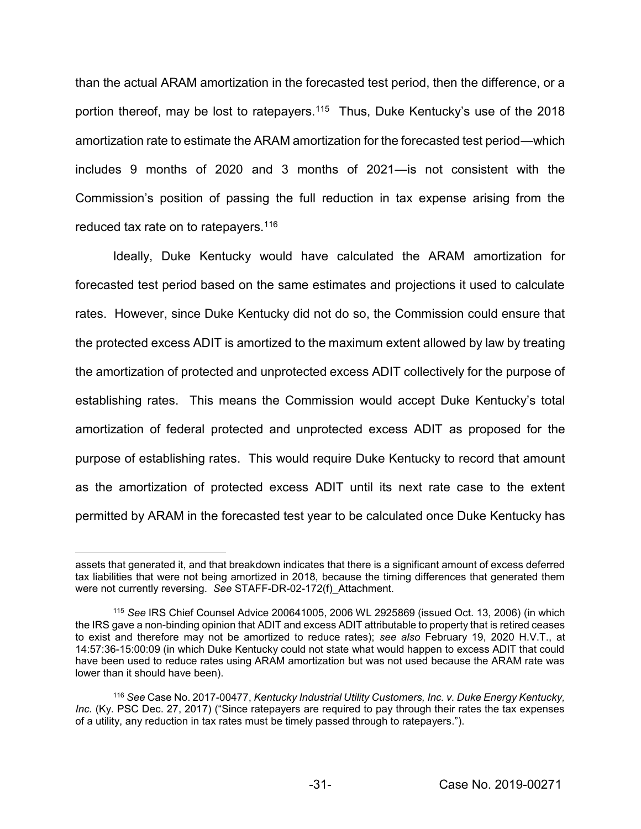than the actual ARAM amortization in the forecasted test period, then the difference, or a portion thereof, may be lost to ratepayers.<sup>115</sup> Thus, Duke Kentucky's use of the 2018 amortization rate to estimate the ARAM amortization for the forecasted test period—which includes 9 months of 2020 and 3 months of  $2021$ —is not consistent with the Commission's position of passing the full reduction in tax expense arising from the reduced tax rate on to ratepayers.<sup>116</sup>

Ideally, Duke Kentucky would have calculated the ARAM amortization for forecasted test period based on the same estimates and projections it used to calculate rates. However, since Duke Kentucky did not do so, the Commission could ensure that the protected excess ADIT is amortized to the maximum extent allowed by law by treating the amortization of protected and unprotected excess ADIT collectively for the purpose of establishing rates. This means the Commission would accept Duke Kentucky's total amortization of federal protected and unprotected excess ADIT as proposed for the purpose of establishing rates. This would require Duke Kentucky to record that amount as the amortization of protected excess ADIT until its next rate case to the extent permitted by ARAM in the forecasted test year to be calculated once Duke Kentucky has

assets that generated it, and that breakdown indicates that there is a significant amount of excess deferred tax liabilities that were not being amortized in 2018, because the timing differences that generated them were not currently reversing. *See* STAFF-DR-02-172(f)\_Attachment.

<sup>115</sup> *See* IRS Chief Counsel Advice 200641005, 2006 WL 2925869 (issued Oct. 13, 2006) (in which the IRS gave a non-binding opinion that ADIT and excess ADIT attributable to property that is retired ceases to exist and therefore may not be amortized to reduce rates); *see also* February 19, 2020 H.V.T., at 14:57:36-15:00:09 (in which Duke Kentucky could not state what would happen to excess ADIT that could have been used to reduce rates using ARAM amortization but was not used because the ARAM rate was lower than it should have been).

<sup>116</sup> *See* Case No. 2017-00477, *Kentucky Industrial Utility Customers, Inc. v. Duke Energy Kentucky, Inc.* (Ky. PSC Dec. 27, 2017) ("Since ratepayers are required to pay through their rates the tax expenses of a utility, any reduction in tax rates must be timely passed through to ratepayers.").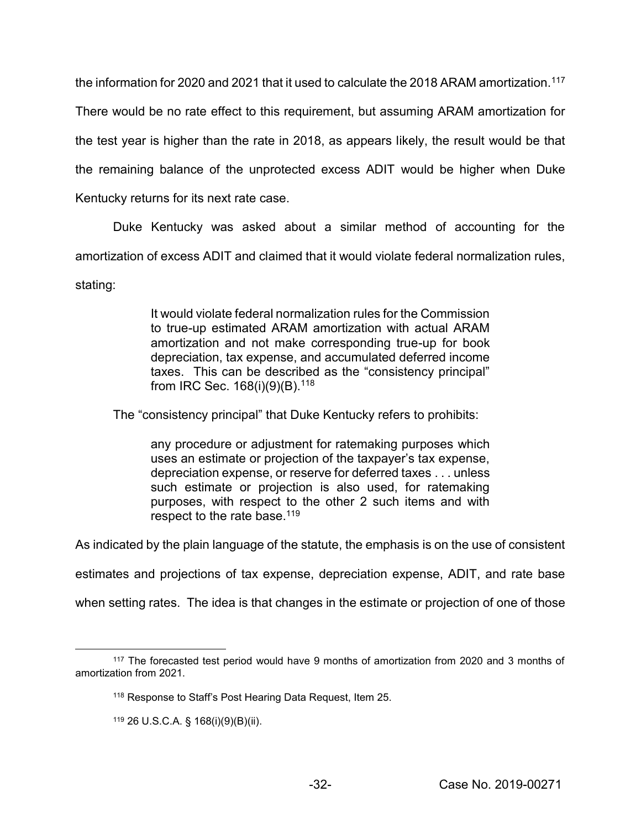the information for 2020 and 2021 that it used to calculate the 2018 ARAM amortization.<sup>117</sup>

There would be no rate effect to this requirement, but assuming ARAM amortization for the test year is higher than the rate in 2018, as appears likely, the result would be that the remaining balance of the unprotected excess ADIT would be higher when Duke Kentucky returns for its next rate case.

Duke Kentucky was asked about a similar method of accounting for the amortization of excess ADIT and claimed that it would violate federal normalization rules, stating:

> It would violate federal normalization rules for the Commission to true-up estimated ARAM amortization with actual ARAM amortization and not make corresponding true-up for book depreciation, tax expense, and accumulated deferred income taxes. This can be described as the "consistency principal" from IRC Sec. 168(i)(9)(B).118

The "consistency principal" that Duke Kentucky refers to prohibits:

any procedure or adjustment for ratemaking purposes which uses an estimate or projection of the taxpayer's tax expense, depreciation expense, or reserve for deferred taxes . . . unless such estimate or projection is also used, for ratemaking purposes, with respect to the other 2 such items and with respect to the rate base.<sup>119</sup>

As indicated by the plain language of the statute, the emphasis is on the use of consistent

estimates and projections of tax expense, depreciation expense, ADIT, and rate base

when setting rates. The idea is that changes in the estimate or projection of one of those

 <sup>117</sup> The forecasted test period would have 9 months of amortization from 2020 and 3 months of amortization from 2021.

<sup>118</sup> Response to Staff's Post Hearing Data Request, Item 25.

<sup>119</sup> 26 U.S.C.A. § 168(i)(9)(B)(ii).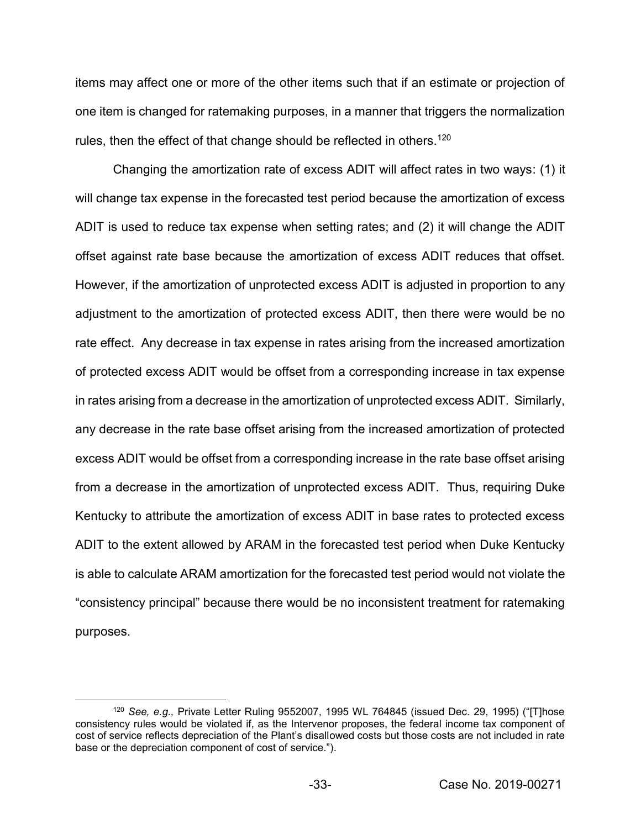items may affect one or more of the other items such that if an estimate or projection of one item is changed for ratemaking purposes, in a manner that triggers the normalization rules, then the effect of that change should be reflected in others.<sup>120</sup>

Changing the amortization rate of excess ADIT will affect rates in two ways: (1) it will change tax expense in the forecasted test period because the amortization of excess ADIT is used to reduce tax expense when setting rates; and (2) it will change the ADIT offset against rate base because the amortization of excess ADIT reduces that offset. However, if the amortization of unprotected excess ADIT is adjusted in proportion to any adjustment to the amortization of protected excess ADIT, then there were would be no rate effect. Any decrease in tax expense in rates arising from the increased amortization of protected excess ADIT would be offset from a corresponding increase in tax expense in rates arising from a decrease in the amortization of unprotected excess ADIT. Similarly, any decrease in the rate base offset arising from the increased amortization of protected excess ADIT would be offset from a corresponding increase in the rate base offset arising from a decrease in the amortization of unprotected excess ADIT. Thus, requiring Duke Kentucky to attribute the amortization of excess ADIT in base rates to protected excess ADIT to the extent allowed by ARAM in the forecasted test period when Duke Kentucky is able to calculate ARAM amortization for the forecasted test period would not violate the "consistency principal" because there would be no inconsistent treatment for ratemaking purposes.

<sup>&</sup>lt;sup>120</sup> See, e.g., Private Letter Ruling 9552007, 1995 WL 764845 (issued Dec. 29, 1995) ("[T]hose consistency rules would be violated if, as the Intervenor proposes, the federal income tax component of cost of service reflects depreciation of the Plant's disallowed costs but those costs are not included in rate base or the depreciation component of cost of service.").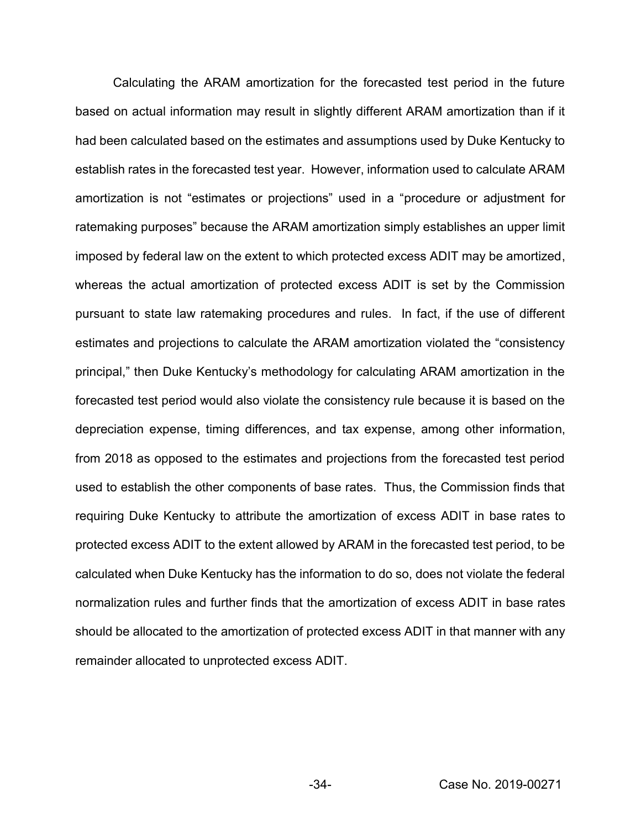Calculating the ARAM amortization for the forecasted test period in the future based on actual information may result in slightly different ARAM amortization than if it had been calculated based on the estimates and assumptions used by Duke Kentucky to establish rates in the forecasted test year. However, information used to calculate ARAM amortization is not "estimates or projections" used in a "procedure or adjustment for ratemaking purposes" because the ARAM amortization simply establishes an upper limit imposed by federal law on the extent to which protected excess ADIT may be amortized, whereas the actual amortization of protected excess ADIT is set by the Commission pursuant to state law ratemaking procedures and rules. In fact, if the use of different estimates and projections to calculate the ARAM amortization violated the "consistency principal," then Duke Kentucky's methodology for calculating ARAM amortization in the forecasted test period would also violate the consistency rule because it is based on the depreciation expense, timing differences, and tax expense, among other information, from 2018 as opposed to the estimates and projections from the forecasted test period used to establish the other components of base rates. Thus, the Commission finds that requiring Duke Kentucky to attribute the amortization of excess ADIT in base rates to protected excess ADIT to the extent allowed by ARAM in the forecasted test period, to be calculated when Duke Kentucky has the information to do so, does not violate the federal normalization rules and further finds that the amortization of excess ADIT in base rates should be allocated to the amortization of protected excess ADIT in that manner with any remainder allocated to unprotected excess ADIT.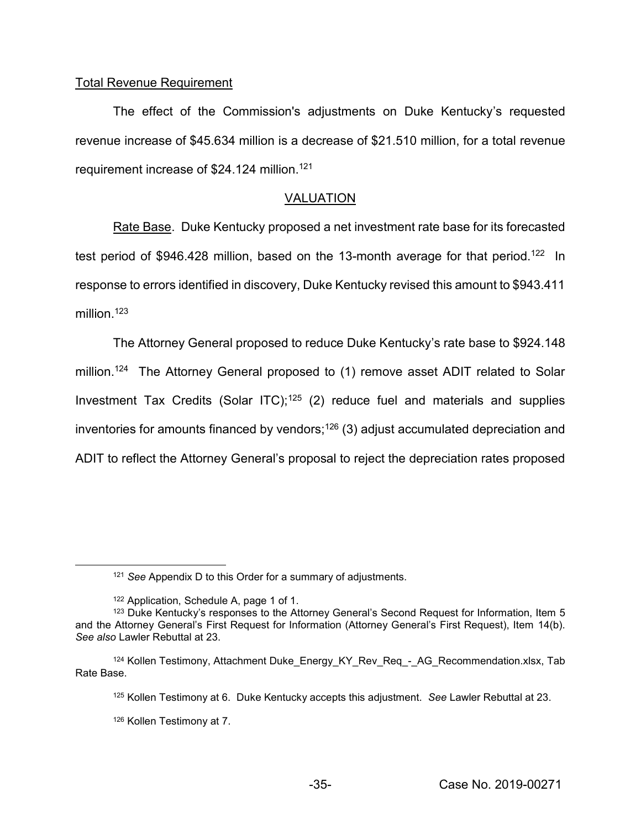## Total Revenue Requirement

The effect of the Commission's adjustments on Duke Kentucky's requested revenue increase of \$45.634 million is a decrease of \$21.510 million, for a total revenue requirement increase of \$24.124 million.<sup>121</sup>

### VALUATION

Rate Base. Duke Kentucky proposed a net investment rate base for its forecasted test period of \$946.428 million, based on the 13-month average for that period.<sup>122</sup> In response to errors identified in discovery, Duke Kentucky revised this amount to \$943.411 million $123$ 

The Attorney General proposed to reduce Duke Kentucky's rate base to \$924.148 million.<sup>124</sup> The Attorney General proposed to (1) remove asset ADIT related to Solar Investment Tax Credits (Solar ITC); $125$  (2) reduce fuel and materials and supplies inventories for amounts financed by vendors;<sup>126</sup> (3) adjust accumulated depreciation and ADIT to reflect the Attorney General's proposal to reject the depreciation rates proposed

 <sup>121</sup> *See* Appendix D to this Order for a summary of adjustments.

<sup>&</sup>lt;sup>122</sup> Application, Schedule A, page 1 of 1.<br><sup>123</sup> Duke Kentucky's responses to the Attorney General's Second Request for Information, Item 5 and the Attorney General's First Request for Information (Attorney General's First Request), Item 14(b). *See also* Lawler Rebuttal at 23.

<sup>&</sup>lt;sup>124</sup> Kollen Testimony, Attachment Duke\_Energy\_KY\_Rev\_Req\_-\_AG\_Recommendation.xlsx, Tab Rate Base.

<sup>125</sup> Kollen Testimony at 6. Duke Kentucky accepts this adjustment. *See* Lawler Rebuttal at 23.

<sup>126</sup> Kollen Testimony at 7.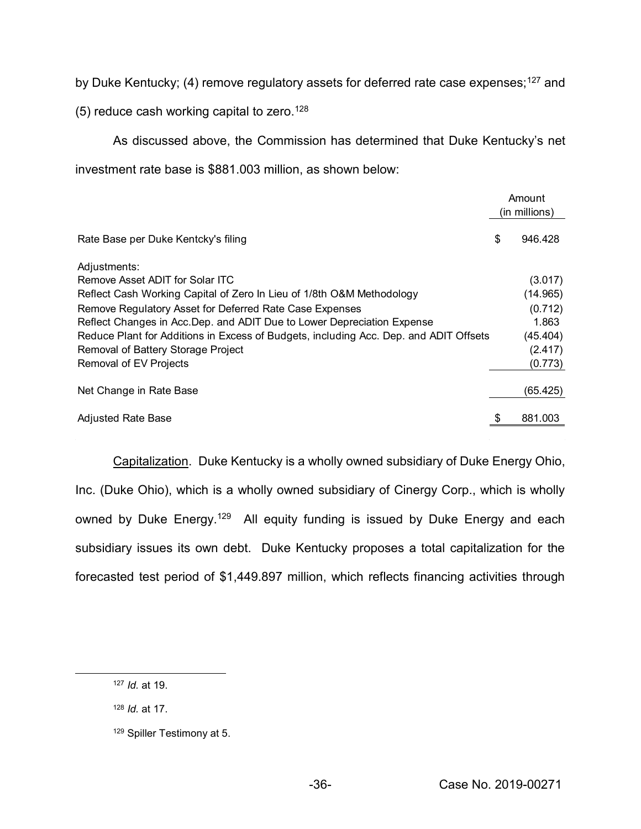by Duke Kentucky; (4) remove regulatory assets for deferred rate case expenses;<sup>127</sup> and

(5) reduce cash working capital to zero.<sup>128</sup>

As discussed above, the Commission has determined that Duke Kentucky's net investment rate base is \$881.003 million, as shown below:

|                                                                                       |    | Amount<br>(in millions) |  |
|---------------------------------------------------------------------------------------|----|-------------------------|--|
| Rate Base per Duke Kentcky's filing                                                   | \$ | 946.428                 |  |
| Adjustments:                                                                          |    |                         |  |
| Remove Asset ADIT for Solar ITC                                                       |    | (3.017)                 |  |
| Reflect Cash Working Capital of Zero In Lieu of 1/8th O&M Methodology                 |    | (14.965)                |  |
| Remove Regulatory Asset for Deferred Rate Case Expenses                               |    | (0.712)                 |  |
| Reflect Changes in Acc. Dep. and ADIT Due to Lower Depreciation Expense               |    | 1.863                   |  |
| Reduce Plant for Additions in Excess of Budgets, including Acc. Dep. and ADIT Offsets |    | (45.404)                |  |
| Removal of Battery Storage Project                                                    |    | (2.417)                 |  |
| Removal of EV Projects                                                                |    | (0.773)                 |  |
| Net Change in Rate Base                                                               |    | (65.425)                |  |
| <b>Adjusted Rate Base</b>                                                             | S  | 881.003                 |  |

Capitalization. Duke Kentucky is a wholly owned subsidiary of Duke Energy Ohio, Inc. (Duke Ohio), which is a wholly owned subsidiary of Cinergy Corp., which is wholly owned by Duke Energy.<sup>129</sup> All equity funding is issued by Duke Energy and each subsidiary issues its own debt. Duke Kentucky proposes a total capitalization for the forecasted test period of \$1,449.897 million, which reflects financing activities through

 <sup>127</sup> *Id.* at 19.

<sup>128</sup> *Id.* at 17.

<sup>129</sup> Spiller Testimony at 5.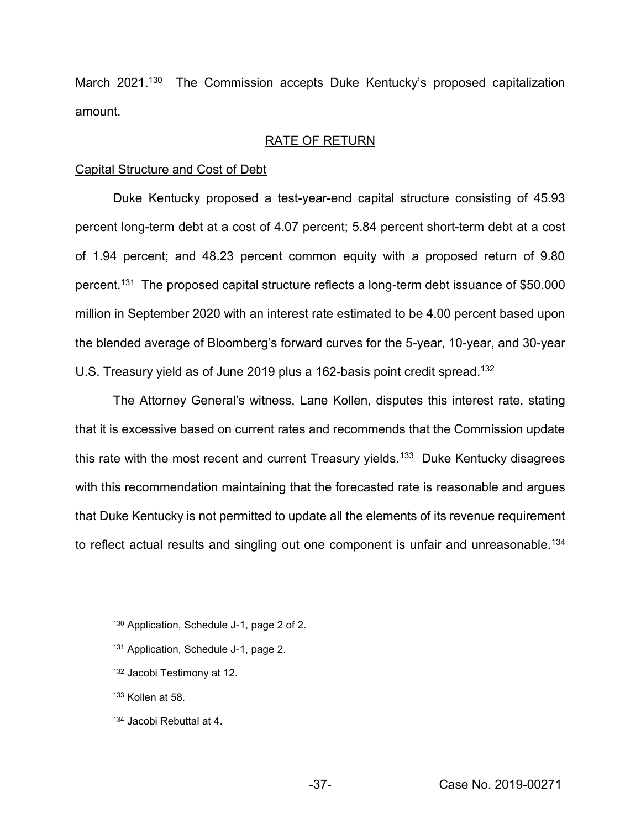March 2021.<sup>130</sup> The Commission accepts Duke Kentucky's proposed capitalization amount.

### RATE OF RETURN

#### Capital Structure and Cost of Debt

Duke Kentucky proposed a test-year-end capital structure consisting of 45.93 percent long-term debt at a cost of 4.07 percent; 5.84 percent short-term debt at a cost of 1.94 percent; and 48.23 percent common equity with a proposed return of 9.80 percent.131 The proposed capital structure reflects a long-term debt issuance of \$50.000 million in September 2020 with an interest rate estimated to be 4.00 percent based upon the blended average of Bloomberg's forward curves for the 5-year, 10-year, and 30-year U.S. Treasury yield as of June 2019 plus a 162-basis point credit spread.<sup>132</sup>

The Attorney General's witness, Lane Kollen, disputes this interest rate, stating that it is excessive based on current rates and recommends that the Commission update this rate with the most recent and current Treasury yields.<sup>133</sup> Duke Kentucky disagrees with this recommendation maintaining that the forecasted rate is reasonable and argues that Duke Kentucky is not permitted to update all the elements of its revenue requirement to reflect actual results and singling out one component is unfair and unreasonable.<sup>134</sup>

- <sup>132</sup> Jacobi Testimony at 12.
- <sup>133</sup> Kollen at 58.

 $\overline{a}$ 

<sup>134</sup> Jacobi Rebuttal at 4.

<sup>130</sup> Application, Schedule J-1, page 2 of 2.

<sup>131</sup> Application, Schedule J-1, page 2.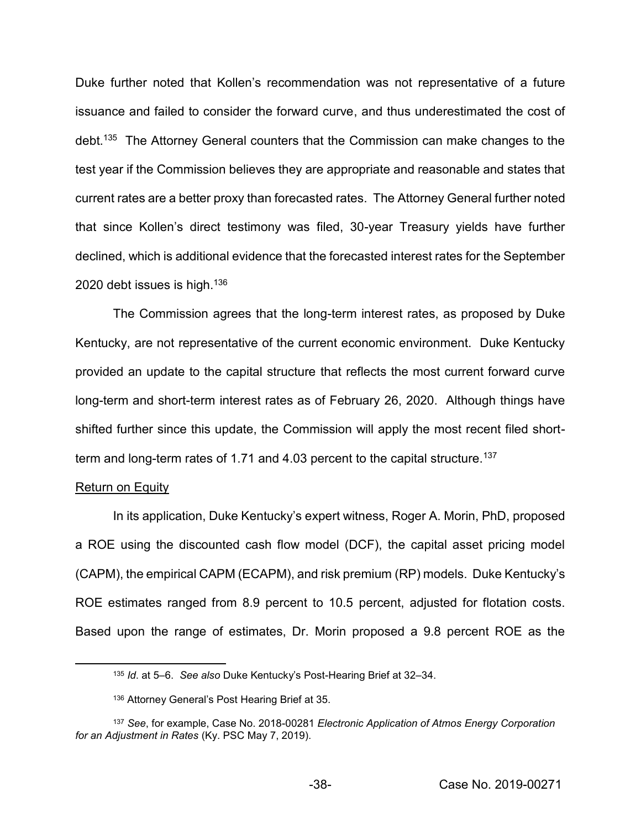Duke further noted that Kollen's recommendation was not representative of a future issuance and failed to consider the forward curve, and thus underestimated the cost of debt.135 The Attorney General counters that the Commission can make changes to the test year if the Commission believes they are appropriate and reasonable and states that current rates are a better proxy than forecasted rates. The Attorney General further noted that since Kollen's direct testimony was filed, 30-year Treasury yields have further declined, which is additional evidence that the forecasted interest rates for the September 2020 debt issues is high.<sup>136</sup>

The Commission agrees that the long-term interest rates, as proposed by Duke Kentucky, are not representative of the current economic environment. Duke Kentucky provided an update to the capital structure that reflects the most current forward curve long-term and short-term interest rates as of February 26, 2020. Although things have shifted further since this update, the Commission will apply the most recent filed shortterm and long-term rates of 1.71 and 4.03 percent to the capital structure.<sup>137</sup>

#### Return on Equity

In its application, Duke Kentucky's expert witness, Roger A. Morin, PhD, proposed a ROE using the discounted cash flow model (DCF), the capital asset pricing model  $(CAPM)$ , the empirical CAPM (ECAPM), and risk premium (RP) models. Duke Kentucky's ROE estimates ranged from 8.9 percent to 10.5 percent, adjusted for flotation costs. Based upon the range of estimates, Dr. Morin proposed a 9.8 percent ROE as the

<sup>135</sup> *Id.* at 5-6. *See also Duke Kentucky's Post-Hearing Brief at 32-34.* 

<sup>136</sup> Attorney General's Post Hearing Brief at 35.

<sup>137</sup> *See*, for example, Case No. 2018-00281 *Electronic Application of Atmos Energy Corporation for an Adjustment in Rates* (Ky. PSC May 7, 2019).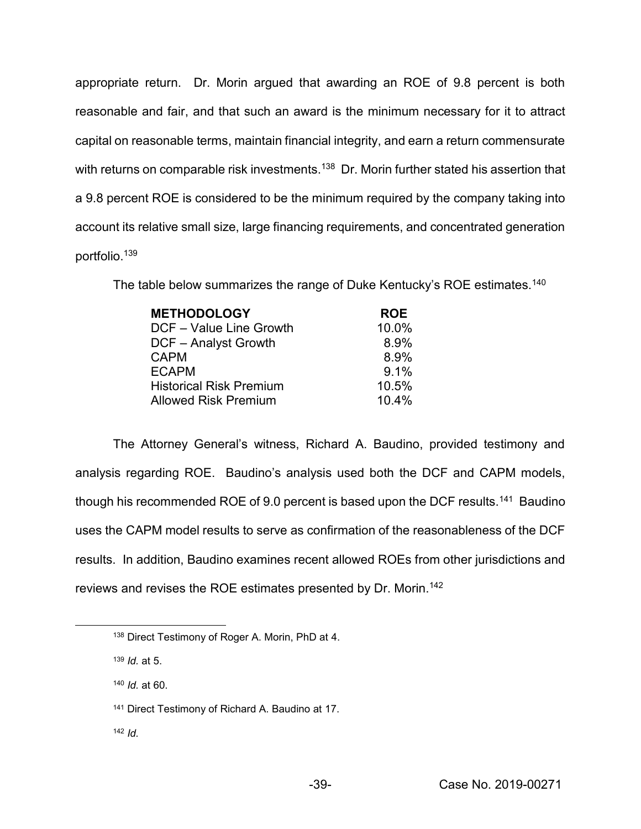appropriate return. Dr. Morin argued that awarding an ROE of 9.8 percent is both reasonable and fair, and that such an award is the minimum necessary for it to attract capital on reasonable terms, maintain financial integrity, and earn a return commensurate with returns on comparable risk investments.<sup>138</sup> Dr. Morin further stated his assertion that a 9.8 percent ROE is considered to be the minimum required by the company taking into account its relative small size, large financing requirements, and concentrated generation portfolio.139

The table below summarizes the range of Duke Kentucky's ROE estimates.<sup>140</sup>

| <b>METHODOLOGY</b>             | <b>ROE</b> |
|--------------------------------|------------|
| DCF - Value Line Growth        | 10.0%      |
| DCF - Analyst Growth           | 8.9%       |
| <b>CAPM</b>                    | $8.9\%$    |
| <b>ECAPM</b>                   | 9.1%       |
| <b>Historical Risk Premium</b> | 10.5%      |
| <b>Allowed Risk Premium</b>    | 10.4%      |

The Attorney General's witness, Richard A. Baudino, provided testimony and analysis regarding ROE. Baudino's analysis used both the DCF and CAPM models, though his recommended ROE of 9.0 percent is based upon the DCF results.141 Baudino uses the CAPM model results to serve as confirmation of the reasonableness of the DCF results. In addition, Baudino examines recent allowed ROEs from other jurisdictions and reviews and revises the ROE estimates presented by Dr. Morin.142

<sup>140</sup> *Id.* at 60.

<sup>142</sup> *Id.*

 <sup>138</sup> Direct Testimony of Roger A. Morin, PhD at 4.

<sup>139</sup> *Id.* at 5.

<sup>141</sup> Direct Testimony of Richard A. Baudino at 17.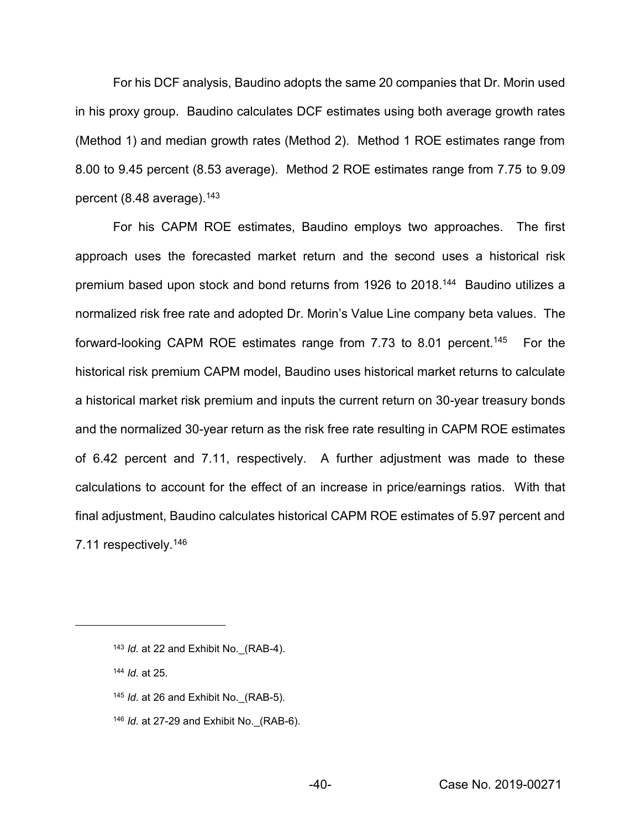For his DCF analysis, Baudino adopts the same 20 companies that Dr. Morin used in his proxy group. Baudino calculates DCF estimates using both average growth rates (Method 1) and median growth rates (Method 2). Method 1 ROE estimates range from 8.00 to 9.45 percent (8.53 average). Method 2 ROE estimates range from 7.75 to 9.09 percent (8.48 average).  $143$ 

For his CAPM ROE estimates, Baudino employs two approaches. The first approach uses the forecasted market return and the second uses a historical risk premium based upon stock and bond returns from 1926 to 2018.<sup>144</sup> Baudino utilizes a normalized risk free rate and adopted Dr. Morin's Value Line company beta values. The forward-looking CAPM ROE estimates range from 7.73 to 8.01 percent.<sup>145</sup> For the historical risk premium CAPM model, Baudino uses historical market returns to calculate a historical market risk premium and inputs the current return on 30-year treasury bonds and the normalized 30-year return as the risk free rate resulting in CAPM ROE estimates of 6.42 percent and 7.11, respectively. A further adjustment was made to these calculations to account for the effect of an increase in price/earnings ratios. With that final adjustment, Baudino calculates historical CAPM ROE estimates of 5.97 percent and 7.11 respectively.146

 $\overline{a}$ 

- <sup>145</sup> *Id.* at 26 and Exhibit No.\_(RAB-5).
- <sup>146</sup> *Id.* at 27-29 and Exhibit No.\_(RAB-6).

<sup>&</sup>lt;sup>143</sup> *Id.* at 22 and Exhibit No. (RAB-4).

<sup>144</sup> *Id.* at 25.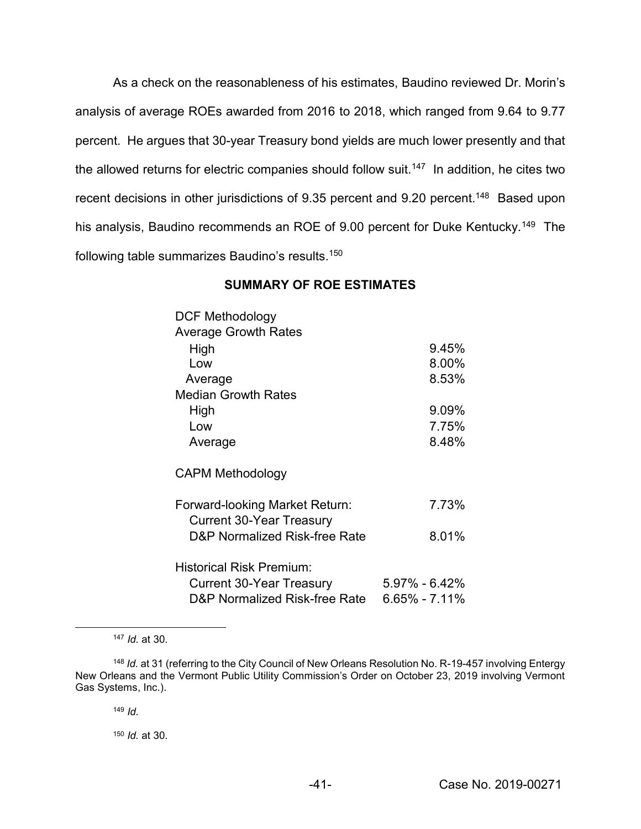As a check on the reasonableness of his estimates, Baudino reviewed Dr. Morin's analysis of average ROEs awarded from 2016 to 2018, which ranged from 9.64 to 9.77 percent. He argues that 30-year Treasury bond yields are much lower presently and that the allowed returns for electric companies should follow suit.<sup>147</sup> In addition, he cites two recent decisions in other jurisdictions of 9.35 percent and 9.20 percent.<sup>148</sup> Based upon his analysis, Baudino recommends an ROE of 9.00 percent for Duke Kentucky.<sup>149</sup> The following table summarizes Baudino's results.<sup>150</sup>

# **SUMMARY OF ROE ESTIMATES**

| <b>DCF Methodology</b>          |                   |
|---------------------------------|-------------------|
| <b>Average Growth Rates</b>     |                   |
| High                            | 9.45%             |
| Low                             | 8.00%             |
| Average                         | 8.53%             |
| <b>Median Growth Rates</b>      |                   |
| High                            | 9.09%             |
| Low                             | 7.75%             |
| Average                         | 8.48%             |
|                                 |                   |
| <b>CAPM Methodology</b>         |                   |
|                                 |                   |
| Forward-looking Market Return:  | 7.73%             |
| <b>Current 30-Year Treasury</b> |                   |
| D&P Normalized Risk-free Rate   | 8.01%             |
|                                 |                   |
| <b>Historical Risk Premium:</b> |                   |
| <b>Current 30-Year Treasury</b> | $5.97\% - 6.42\%$ |
| D&P Normalized Risk-free Rate   | $6.65\% - 7.11\%$ |

147 *Id.* at 30.

<sup>149</sup> *Id.*

<sup>150</sup> *Id.* at 30.

<sup>148</sup> *Id.* at 31 (referring to the City Council of New Orleans Resolution No. R-19-457 involving Entergy New Orleans and the Vermont Public Utility Commission's Order on October 23, 2019 involving Vermont Gas Systems, Inc.).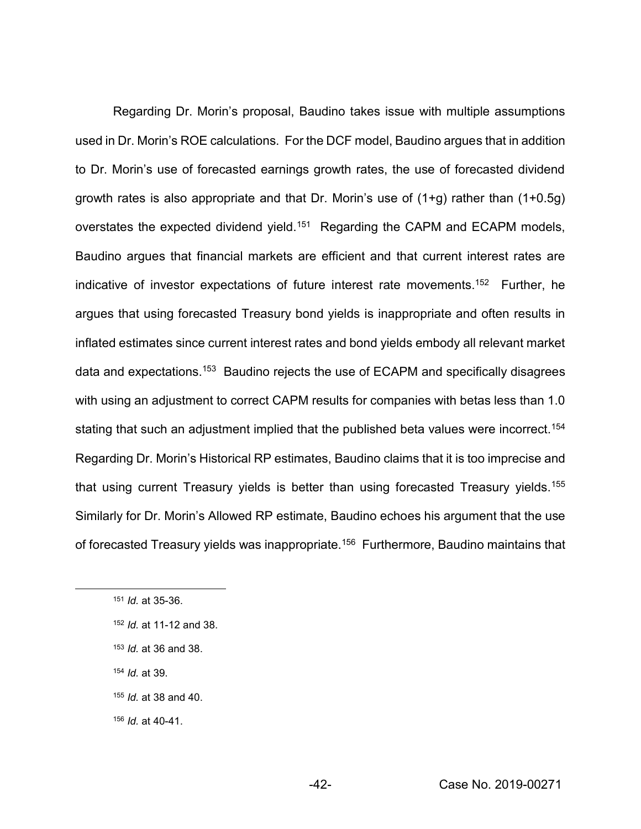Regarding Dr. Morin's proposal, Baudino takes issue with multiple assumptions used in Dr. Morin's ROE calculations. For the DCF model, Baudino argues that in addition to Dr. Morin's use of forecasted earnings growth rates, the use of forecasted dividend growth rates is also appropriate and that Dr. Morin's use of  $(1+q)$  rather than  $(1+0.5q)$ overstates the expected dividend yield.<sup>151</sup> Regarding the CAPM and ECAPM models, Baudino argues that financial markets are efficient and that current interest rates are indicative of investor expectations of future interest rate movements.152 Further, he argues that using forecasted Treasury bond yields is inappropriate and often results in inflated estimates since current interest rates and bond yields embody all relevant market data and expectations.153 Baudino rejects the use of ECAPM and specifically disagrees with using an adjustment to correct CAPM results for companies with betas less than 1.0 stating that such an adjustment implied that the published beta values were incorrect.<sup>154</sup> Regarding Dr. Morin's Historical RP estimates, Baudino claims that it is too imprecise and that using current Treasury yields is better than using forecasted Treasury yields.<sup>155</sup> Similarly for Dr. Morin's Allowed RP estimate, Baudino echoes his argument that the use of forecasted Treasury yields was inappropriate.<sup>156</sup> Furthermore, Baudino maintains that

<sup>154</sup> *Id.* at 39.

 <sup>151</sup> *Id.* at 35-36.

<sup>152</sup> *Id.* at 11-12 and 38.

<sup>153</sup> *Id.* at 36 and 38.

<sup>155</sup> *Id.* at 38 and 40.

<sup>156</sup> *Id.* at 40-41.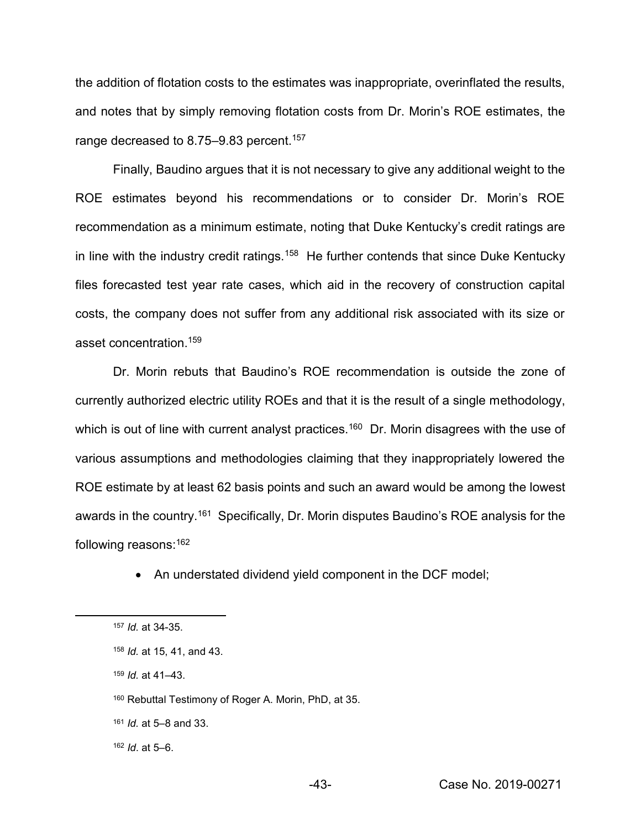the addition of flotation costs to the estimates was inappropriate, overinflated the results, and notes that by simply removing flotation costs from Dr. Morin's ROE estimates, the range decreased to 8.75 $-9.83$  percent.<sup>157</sup>

Finally, Baudino argues that it is not necessary to give any additional weight to the ROE estimates beyond his recommendations or to consider Dr. Morin's ROE recommendation as a minimum estimate, noting that Duke Kentucky's credit ratings are in line with the industry credit ratings.<sup>158</sup> He further contends that since Duke Kentucky files forecasted test year rate cases, which aid in the recovery of construction capital costs, the company does not suffer from any additional risk associated with its size or asset concentration.159

Dr. Morin rebuts that Baudino's ROE recommendation is outside the zone of currently authorized electric utility ROEs and that it is the result of a single methodology, which is out of line with current analyst practices.<sup>160</sup> Dr. Morin disagrees with the use of various assumptions and methodologies claiming that they inappropriately lowered the ROE estimate by at least 62 basis points and such an award would be among the lowest awards in the country.<sup>161</sup> Specifically, Dr. Morin disputes Baudino's ROE analysis for the following reasons:<sup>162</sup>

• An understated dividend yield component in the DCF model;

162 *Id.* at 5-6.

 <sup>157</sup> *Id.* at 34-35.

<sup>158</sup> *Id.* at 15, 41, and 43.

<sup>159</sup> *Id.* at 41–43.

<sup>160</sup> Rebuttal Testimony of Roger A. Morin, PhD, at 35.

 $161$  *Id.* at 5-8 and 33.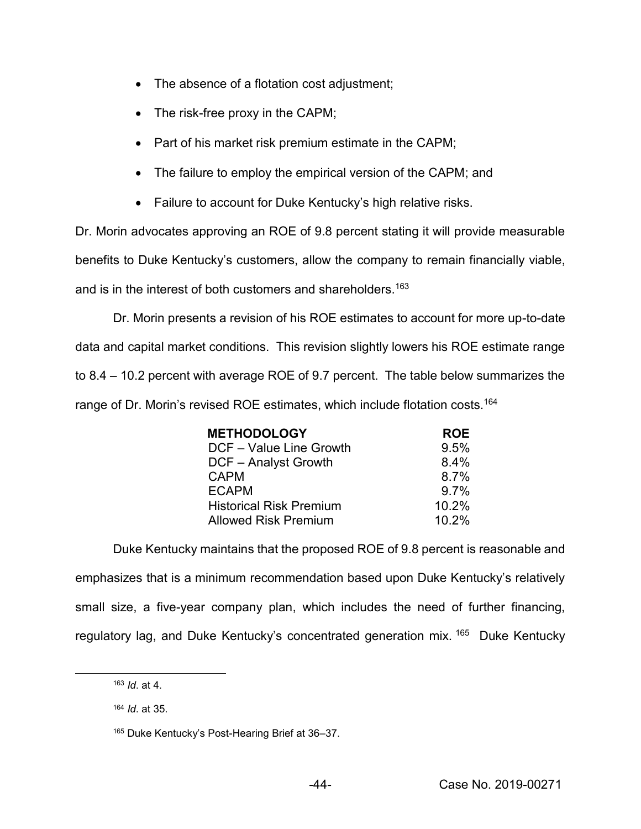- The absence of a flotation cost adjustment;
- $\bullet$  The risk-free proxy in the CAPM;
- Part of his market risk premium estimate in the CAPM;
- The failure to employ the empirical version of the CAPM; and
- Failure to account for Duke Kentucky's high relative risks.

Dr. Morin advocates approving an ROE of 9.8 percent stating it will provide measurable

benefits to Duke Kentucky's customers, allow the company to remain financially viable,

and is in the interest of both customers and shareholders.<sup>163</sup>

Dr. Morin presents a revision of his ROE estimates to account for more up-to-date data and capital market conditions. This revision slightly lowers his ROE estimate range to  $8.4 - 10.2$  percent with average ROE of 9.7 percent. The table below summarizes the range of Dr. Morin's revised ROE estimates, which include flotation costs.<sup>164</sup>

| <b>METHODOLOGY</b>             | <b>ROE</b> |
|--------------------------------|------------|
| DCF - Value Line Growth        | 9.5%       |
| DCF - Analyst Growth           | 8.4%       |
| <b>CAPM</b>                    | 8.7%       |
| <b>ECAPM</b>                   | 9.7%       |
| <b>Historical Risk Premium</b> | 10.2%      |
| <b>Allowed Risk Premium</b>    | 10.2%      |

Duke Kentucky maintains that the proposed ROE of 9.8 percent is reasonable and emphasizes that is a minimum recommendation based upon Duke Kentucky's relatively small size, a five-year company plan, which includes the need of further financing, regulatory lag, and Duke Kentucky's concentrated generation mix.  $165$  Duke Kentucky

 <sup>163</sup> *Id*. at 4.

<sup>164</sup> *Id*. at 35.

<sup>165</sup> Duke Kentucky's Post-Hearing Brief at 36-37.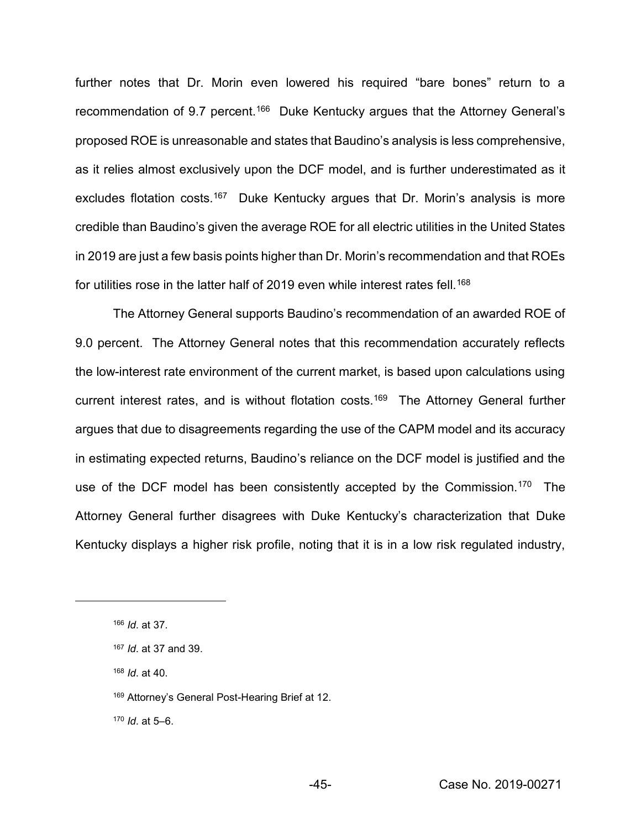further notes that Dr. Morin even lowered his required "bare bones" return to a recommendation of 9.7 percent.<sup>166</sup> Duke Kentucky argues that the Attorney General's proposed ROE is unreasonable and states that Baudino's analysis is less comprehensive, as it relies almost exclusively upon the DCF model, and is further underestimated as it excludes flotation costs.<sup>167</sup> Duke Kentucky argues that Dr. Morin's analysis is more credible than Baudino's given the average ROE for all electric utilities in the United States in 2019 are just a few basis points higher than Dr. Morin's recommendation and that ROEs for utilities rose in the latter half of 2019 even while interest rates fell.<sup>168</sup>

The Attorney General supports Baudino's recommendation of an awarded ROE of 9.0 percent. The Attorney General notes that this recommendation accurately reflects the low-interest rate environment of the current market, is based upon calculations using current interest rates, and is without flotation costs.<sup>169</sup> The Attorney General further argues that due to disagreements regarding the use of the CAPM model and its accuracy in estimating expected returns, Baudino's reliance on the DCF model is justified and the use of the DCF model has been consistently accepted by the Commission.<sup>170</sup> The Attorney General further disagrees with Duke Kentucky's characterization that Duke Kentucky displays a higher risk profile, noting that it is in a low risk regulated industry,

 $\overline{a}$ 

 $170$  *Id.* at 5 $-6$ .

<sup>166</sup> *Id*. at 37.

<sup>167</sup> *Id*. at 37 and 39.

<sup>168</sup> *Id*. at 40.

<sup>169</sup> Attorney's General Post-Hearing Brief at 12.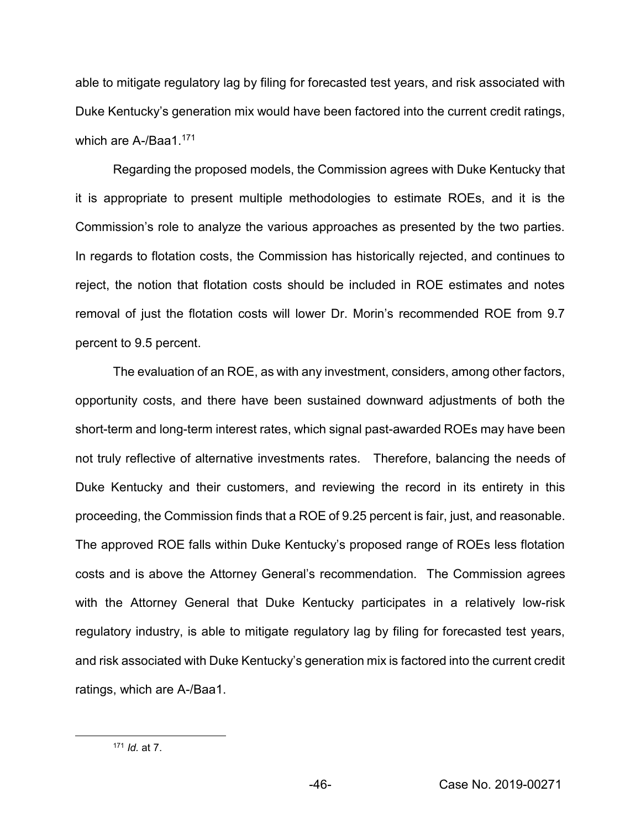able to mitigate regulatory lag by filing for forecasted test years, and risk associated with Duke Kentucky's generation mix would have been factored into the current credit ratings, which are A-/Baa1.<sup>171</sup>

Regarding the proposed models, the Commission agrees with Duke Kentucky that it is appropriate to present multiple methodologies to estimate ROEs, and it is the Commission's role to analyze the various approaches as presented by the two parties. In regards to flotation costs, the Commission has historically rejected, and continues to reject, the notion that flotation costs should be included in ROE estimates and notes removal of just the flotation costs will lower Dr. Morin's recommended ROE from 9.7 percent to 9.5 percent.

The evaluation of an ROE, as with any investment, considers, among other factors, opportunity costs, and there have been sustained downward adjustments of both the short-term and long-term interest rates, which signal past-awarded ROEs may have been not truly reflective of alternative investments rates. Therefore, balancing the needs of Duke Kentucky and their customers, and reviewing the record in its entirety in this proceeding, the Commission finds that a ROE of 9.25 percent is fair, just, and reasonable. The approved ROE falls within Duke Kentucky's proposed range of ROEs less flotation costs and is above the Attorney General's recommendation. The Commission agrees with the Attorney General that Duke Kentucky participates in a relatively low-risk regulatory industry, is able to mitigate regulatory lag by filing for forecasted test years, and risk associated with Duke Kentucky's generation mix is factored into the current credit ratings, which are A-/Baa1.

 <sup>171</sup> *Id.* at 7.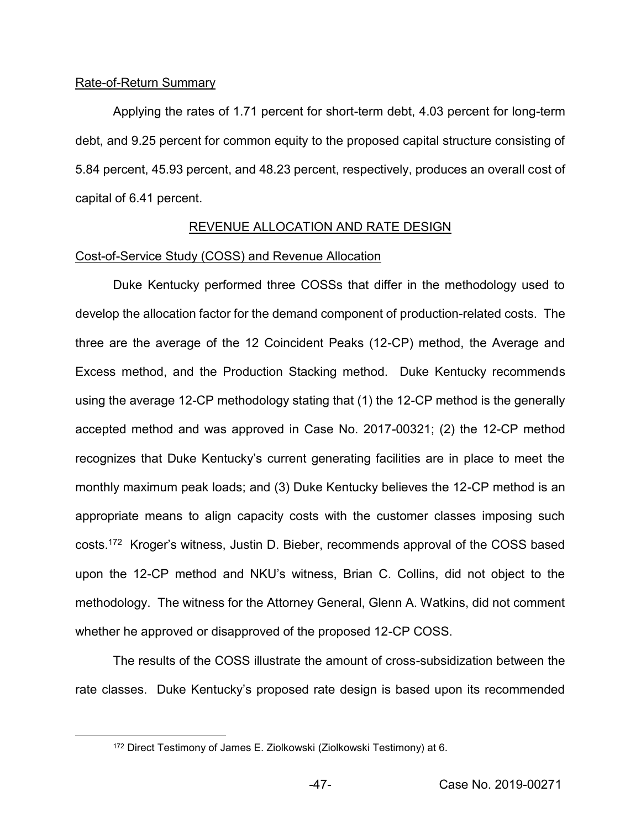## Rate-of-Return Summary

Applying the rates of 1.71 percent for short-term debt, 4.03 percent for long-term debt, and 9.25 percent for common equity to the proposed capital structure consisting of 5.84 percent, 45.93 percent, and 48.23 percent, respectively, produces an overall cost of capital of 6.41 percent.

# REVENUE ALLOCATION AND RATE DESIGN

## Cost-of-Service Study (COSS) and Revenue Allocation

Duke Kentucky performed three COSSs that differ in the methodology used to develop the allocation factor for the demand component of production-related costs. The three are the average of the 12 Coincident Peaks (12-CP) method, the Average and Excess method, and the Production Stacking method. Duke Kentucky recommends using the average 12-CP methodology stating that (1) the 12-CP method is the generally accepted method and was approved in Case No. 2017-00321; (2) the 12-CP method recognizes that Duke Kentucky's current generating facilities are in place to meet the monthly maximum peak loads; and (3) Duke Kentucky believes the 12-CP method is an appropriate means to align capacity costs with the customer classes imposing such costs.<sup>172</sup> Kroger's witness, Justin D. Bieber, recommends approval of the COSS based upon the 12-CP method and NKU's witness, Brian C. Collins, did not object to the methodology. The witness for the Attorney General, Glenn A. Watkins, did not comment whether he approved or disapproved of the proposed 12-CP COSS.

The results of the COSS illustrate the amount of cross-subsidization between the rate classes. Duke Kentucky's proposed rate design is based upon its recommended

 <sup>172</sup> Direct Testimony of James E. Ziolkowski (Ziolkowski Testimony) at 6.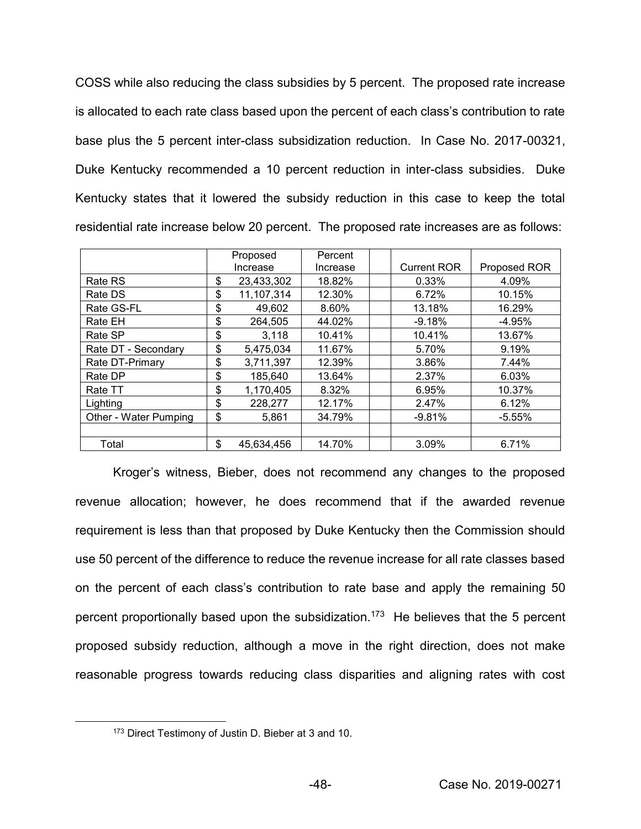COSS while also reducing the class subsidies by 5 percent. The proposed rate increase is allocated to each rate class based upon the percent of each class's contribution to rate base plus the 5 percent inter-class subsidization reduction. In Case No. 2017-00321, Duke Kentucky recommended a 10 percent reduction in inter-class subsidies. Duke Kentucky states that it lowered the subsidy reduction in this case to keep the total residential rate increase below 20 percent. The proposed rate increases are as follows:

|                       | Proposed         | Percent  |                    |              |
|-----------------------|------------------|----------|--------------------|--------------|
|                       | Increase         | Increase | <b>Current ROR</b> | Proposed ROR |
| Rate RS               | \$<br>23,433,302 | 18.82%   | 0.33%              | 4.09%        |
| Rate DS               | \$<br>11,107,314 | 12.30%   | 6.72%              | 10.15%       |
| Rate GS-FL            | \$<br>49,602     | 8.60%    | 13.18%             | 16.29%       |
| Rate EH               | \$<br>264,505    | 44.02%   | $-9.18%$           | $-4.95%$     |
| Rate SP               | \$<br>3,118      | 10.41%   | 10.41%             | 13.67%       |
| Rate DT - Secondary   | \$<br>5,475,034  | 11.67%   | 5.70%              | 9.19%        |
| Rate DT-Primary       | \$<br>3,711,397  | 12.39%   | 3.86%              | 7.44%        |
| Rate DP               | \$<br>185,640    | 13.64%   | 2.37%              | 6.03%        |
| Rate TT               | \$<br>1,170,405  | 8.32%    | 6.95%              | 10.37%       |
| Lighting              | \$<br>228,277    | 12.17%   | 2.47%              | 6.12%        |
| Other - Water Pumping | \$<br>5.861      | 34.79%   | $-9.81%$           | $-5.55%$     |
|                       |                  |          |                    |              |
| Total                 | \$<br>45.634.456 | 14.70%   | 3.09%              | 6.71%        |

Kroger's witness, Bieber, does not recommend any changes to the proposed revenue allocation; however, he does recommend that if the awarded revenue requirement is less than that proposed by Duke Kentucky then the Commission should use 50 percent of the difference to reduce the revenue increase for all rate classes based on the percent of each class's contribution to rate base and apply the remaining 50 percent proportionally based upon the subsidization.<sup>173</sup> He believes that the 5 percent proposed subsidy reduction, although a move in the right direction, does not make reasonable progress towards reducing class disparities and aligning rates with cost

 <sup>173</sup> Direct Testimony of Justin D. Bieber at 3 and 10.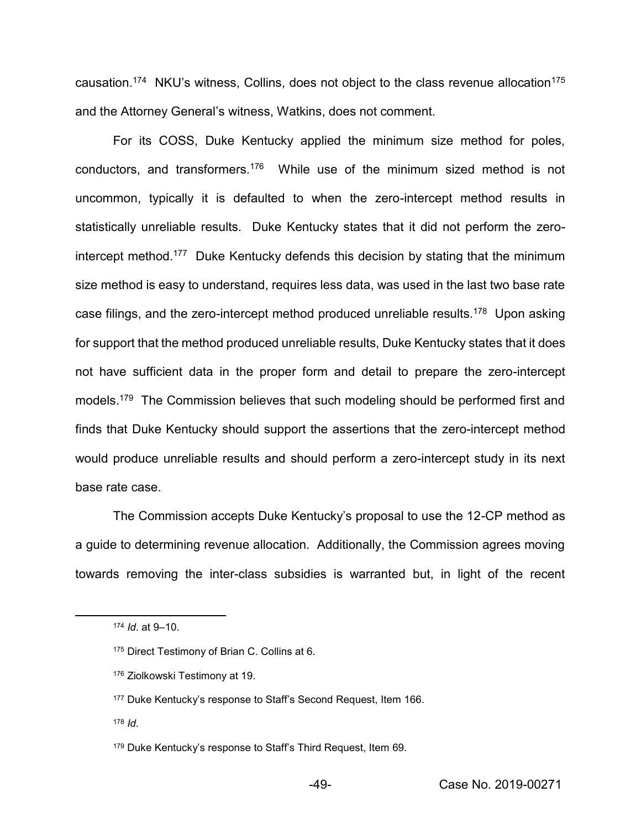causation.<sup>174</sup> NKU's witness, Collins, does not object to the class revenue allocation<sup>175</sup> and the Attorney General's witness, Watkins, does not comment.

For its COSS, Duke Kentucky applied the minimum size method for poles, conductors, and transformers.176 While use of the minimum sized method is not uncommon, typically it is defaulted to when the zero-intercept method results in statistically unreliable results. Duke Kentucky states that it did not perform the zerointercept method.<sup>177</sup> Duke Kentucky defends this decision by stating that the minimum size method is easy to understand, requires less data, was used in the last two base rate case filings, and the zero-intercept method produced unreliable results.<sup>178</sup> Upon asking for support that the method produced unreliable results, Duke Kentucky states that it does not have sufficient data in the proper form and detail to prepare the zero-intercept models.<sup>179</sup> The Commission believes that such modeling should be performed first and finds that Duke Kentucky should support the assertions that the zero-intercept method would produce unreliable results and should perform a zero-intercept study in its next base rate case.

The Commission accepts Duke Kentucky's proposal to use the 12-CP method as a guide to determining revenue allocation. Additionally, the Commission agrees moving towards removing the inter-class subsidies is warranted but, in light of the recent

<sup>178</sup> *Id*.

<sup>174</sup> *Id.* at 9-10.

<sup>175</sup> Direct Testimony of Brian C. Collins at 6.

<sup>176</sup> Ziolkowski Testimony at 19.

<sup>&</sup>lt;sup>177</sup> Duke Kentucky's response to Staff's Second Request, Item 166.

<sup>179</sup> Duke Kentucky's response to Staff's Third Request, Item 69.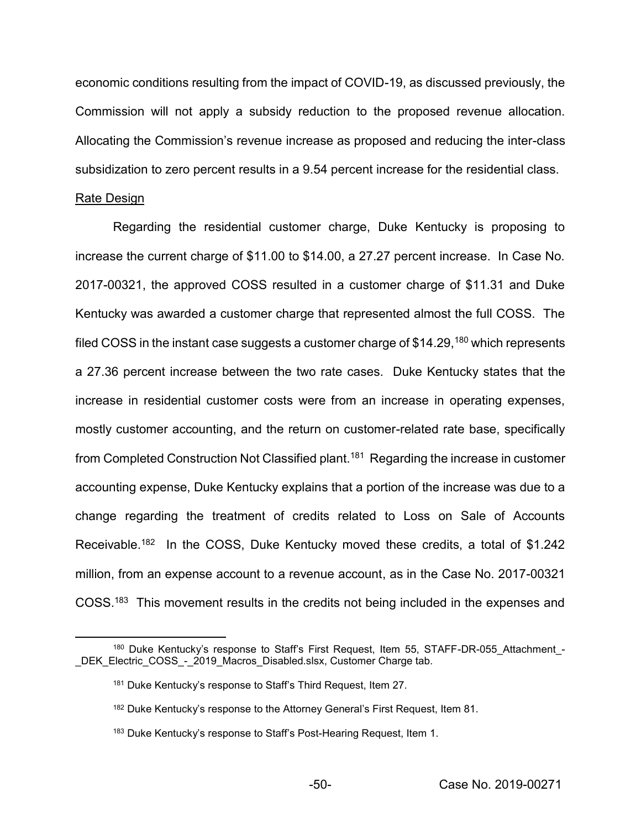economic conditions resulting from the impact of COVID-19, as discussed previously, the Commission will not apply a subsidy reduction to the proposed revenue allocation. Allocating the Commission's revenue increase as proposed and reducing the inter-class subsidization to zero percent results in a 9.54 percent increase for the residential class.

#### Rate Design

Regarding the residential customer charge, Duke Kentucky is proposing to increase the current charge of \$11.00 to \$14.00, a 27.27 percent increase. In Case No. 2017-00321, the approved COSS resulted in a customer charge of \$11.31 and Duke Kentucky was awarded a customer charge that represented almost the full COSS. The filed COSS in the instant case suggests a customer charge of  $$14.29,180$  which represents a 27.36 percent increase between the two rate cases. Duke Kentucky states that the increase in residential customer costs were from an increase in operating expenses, mostly customer accounting, and the return on customer-related rate base, specifically from Completed Construction Not Classified plant.<sup>181</sup> Regarding the increase in customer accounting expense, Duke Kentucky explains that a portion of the increase was due to a change regarding the treatment of credits related to Loss on Sale of Accounts Receivable.<sup>182</sup> In the COSS, Duke Kentucky moved these credits, a total of \$1.242 million, from an expense account to a revenue account, as in the Case No. 2017-00321 COSS.<sup>183</sup> This movement results in the credits not being included in the expenses and

<sup>&</sup>lt;sup>180</sup> Duke Kentucky's response to Staff's First Request, Item 55, STAFF-DR-055 Attachment -\_DEK\_Electric\_COSS\_-\_2019\_Macros\_Disabled.slsx, Customer Charge tab.

 $181$  Duke Kentucky's response to Staff's Third Request, Item 27.

 $182$  Duke Kentucky's response to the Attorney General's First Request, Item 81.

 $183$  Duke Kentucky's response to Staff's Post-Hearing Request, Item 1.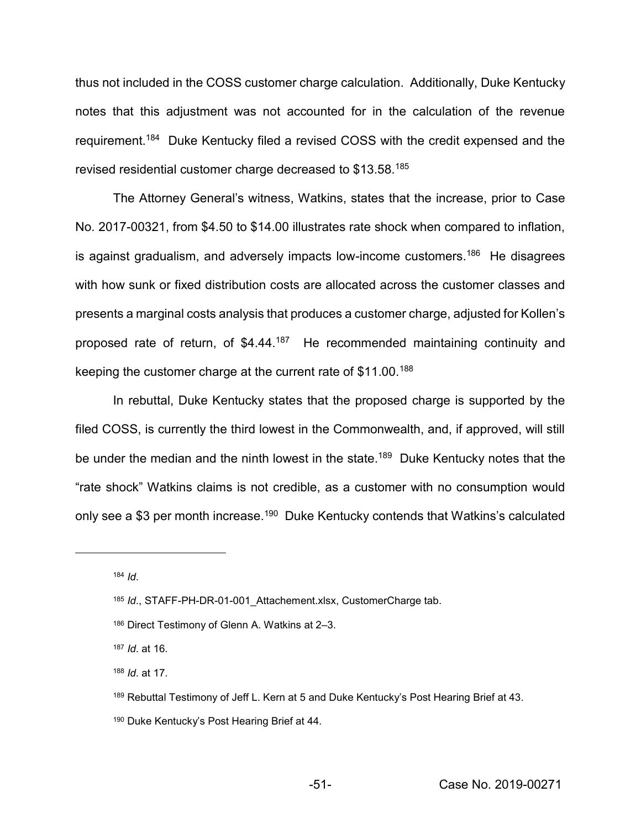thus not included in the COSS customer charge calculation. Additionally, Duke Kentucky notes that this adjustment was not accounted for in the calculation of the revenue requirement.184 Duke Kentucky filed a revised COSS with the credit expensed and the revised residential customer charge decreased to \$13.58.185

The Attorney General's witness, Watkins, states that the increase, prior to Case No. 2017-00321, from \$4.50 to \$14.00 illustrates rate shock when compared to inflation, is against gradualism, and adversely impacts low-income customers.<sup>186</sup> He disagrees with how sunk or fixed distribution costs are allocated across the customer classes and presents a marginal costs analysis that produces a customer charge, adjusted for Kollen's proposed rate of return, of \$4.44.187 He recommended maintaining continuity and keeping the customer charge at the current rate of \$11.00.188

In rebuttal, Duke Kentucky states that the proposed charge is supported by the filed COSS, is currently the third lowest in the Commonwealth, and, if approved, will still be under the median and the ninth lowest in the state.<sup>189</sup> Duke Kentucky notes that the ³rate shock´ Watkins claims is not credible, as a customer with no consumption would only see a \$3 per month increase.<sup>190</sup> Duke Kentucky contends that Watkins's calculated

 $\overline{a}$ 

<sup>184</sup> *Id*.

<sup>185</sup> *Id.*, STAFF-PH-DR-01-001 Attachement.xlsx, CustomerCharge tab.

<sup>186</sup> Direct Testimony of Glenn A. Watkins at 2-3.

<sup>187</sup> *Id*. at 16.

<sup>188</sup> *Id*. at 17.

 $189$  Rebuttal Testimony of Jeff L. Kern at 5 and Duke Kentucky's Post Hearing Brief at 43.

 $190$  Duke Kentucky's Post Hearing Brief at 44.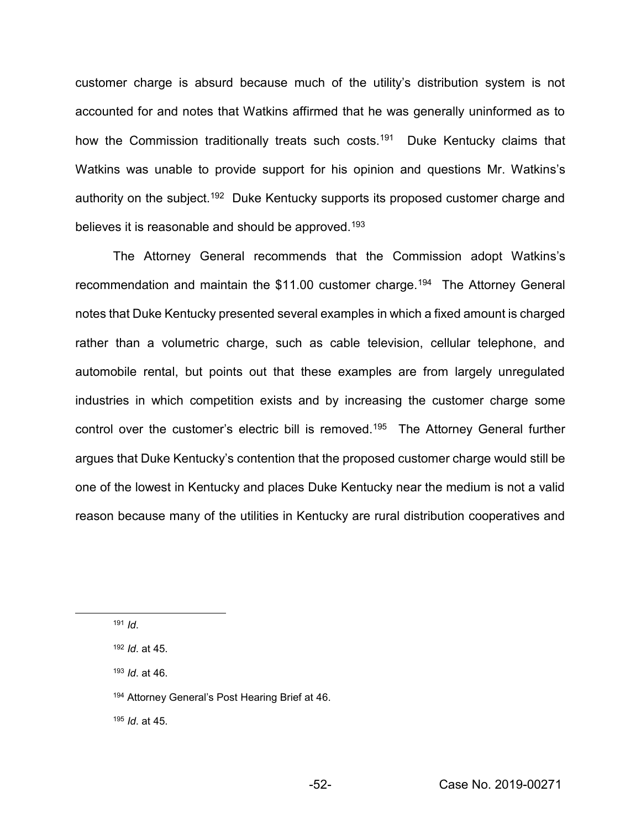customer charge is absurd because much of the utility's distribution system is not accounted for and notes that Watkins affirmed that he was generally uninformed as to how the Commission traditionally treats such costs.<sup>191</sup> Duke Kentucky claims that Watkins was unable to provide support for his opinion and questions Mr. Watkins's authority on the subject.<sup>192</sup> Duke Kentucky supports its proposed customer charge and believes it is reasonable and should be approved.<sup>193</sup>

The Attorney General recommends that the Commission adopt Watkins's recommendation and maintain the \$11.00 customer charge.<sup>194</sup> The Attorney General notes that Duke Kentucky presented several examples in which a fixed amount is charged rather than a volumetric charge, such as cable television, cellular telephone, and automobile rental, but points out that these examples are from largely unregulated industries in which competition exists and by increasing the customer charge some control over the customer's electric bill is removed.<sup>195</sup> The Attorney General further argues that Duke Kentucky's contention that the proposed customer charge would still be one of the lowest in Kentucky and places Duke Kentucky near the medium is not a valid reason because many of the utilities in Kentucky are rural distribution cooperatives and

<sup>195</sup> *Id*. at 45.

 <sup>191</sup> *Id*.

<sup>192</sup> *Id*. at 45.

<sup>193</sup> *Id*. at 46.

<sup>194</sup> Attorney General's Post Hearing Brief at 46.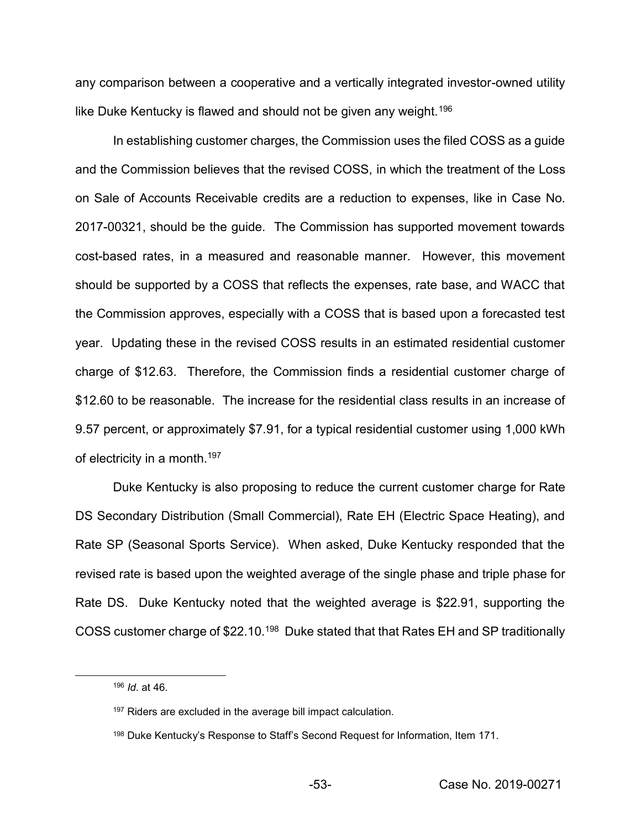any comparison between a cooperative and a vertically integrated investor-owned utility like Duke Kentucky is flawed and should not be given any weight.<sup>196</sup>

In establishing customer charges, the Commission uses the filed COSS as a guide and the Commission believes that the revised COSS, in which the treatment of the Loss on Sale of Accounts Receivable credits are a reduction to expenses, like in Case No. 2017-00321, should be the guide. The Commission has supported movement towards cost-based rates, in a measured and reasonable manner. However, this movement should be supported by a COSS that reflects the expenses, rate base, and WACC that the Commission approves, especially with a COSS that is based upon a forecasted test year. Updating these in the revised COSS results in an estimated residential customer charge of \$12.63. Therefore, the Commission finds a residential customer charge of \$12.60 to be reasonable. The increase for the residential class results in an increase of 9.57 percent, or approximately \$7.91, for a typical residential customer using 1,000 kWh of electricity in a month.<sup>197</sup>

Duke Kentucky is also proposing to reduce the current customer charge for Rate DS Secondary Distribution (Small Commercial), Rate EH (Electric Space Heating), and Rate SP (Seasonal Sports Service). When asked, Duke Kentucky responded that the revised rate is based upon the weighted average of the single phase and triple phase for Rate DS. Duke Kentucky noted that the weighted average is \$22.91, supporting the COSS customer charge of \$22.10.198 Duke stated that that Rates EH and SP traditionally

 <sup>196</sup> *Id*. at 46.

<sup>&</sup>lt;sup>197</sup> Riders are excluded in the average bill impact calculation.

<sup>&</sup>lt;sup>198</sup> Duke Kentucky's Response to Staff's Second Request for Information, Item 171.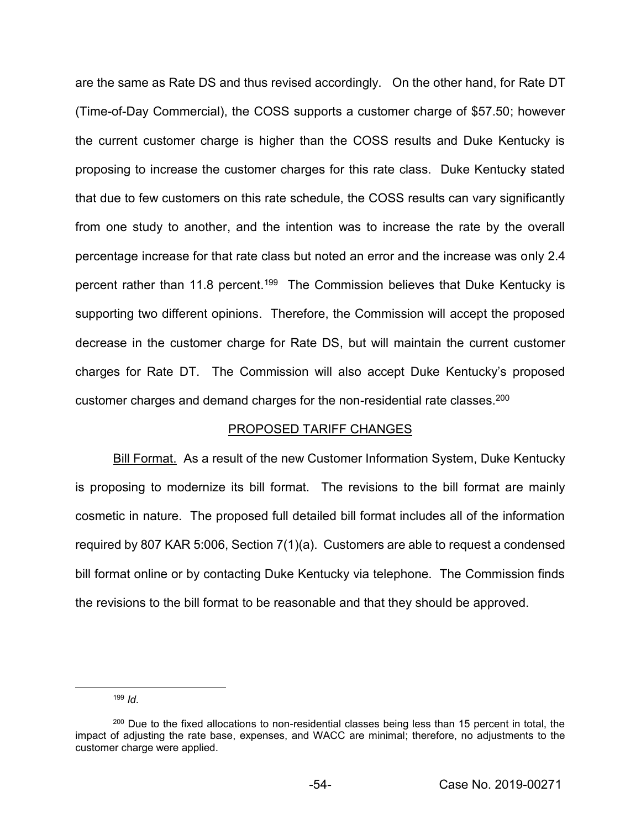are the same as Rate DS and thus revised accordingly. On the other hand, for Rate DT (Time-of-Day Commercial), the COSS supports a customer charge of \$57.50; however the current customer charge is higher than the COSS results and Duke Kentucky is proposing to increase the customer charges for this rate class. Duke Kentucky stated that due to few customers on this rate schedule, the COSS results can vary significantly from one study to another, and the intention was to increase the rate by the overall percentage increase for that rate class but noted an error and the increase was only 2.4 percent rather than 11.8 percent.<sup>199</sup> The Commission believes that Duke Kentucky is supporting two different opinions. Therefore, the Commission will accept the proposed decrease in the customer charge for Rate DS, but will maintain the current customer charges for Rate DT. The Commission will also accept Duke Kentucky's proposed customer charges and demand charges for the non-residential rate classes.200

## PROPOSED TARIFF CHANGES

Bill Format. As a result of the new Customer Information System, Duke Kentucky is proposing to modernize its bill format. The revisions to the bill format are mainly cosmetic in nature. The proposed full detailed bill format includes all of the information required by 807 KAR 5:006, Section 7(1)(a). Customers are able to request a condensed bill format online or by contacting Duke Kentucky via telephone. The Commission finds the revisions to the bill format to be reasonable and that they should be approved.

 <sup>199</sup> *Id*.

<sup>&</sup>lt;sup>200</sup> Due to the fixed allocations to non-residential classes being less than 15 percent in total, the impact of adjusting the rate base, expenses, and WACC are minimal; therefore, no adjustments to the customer charge were applied.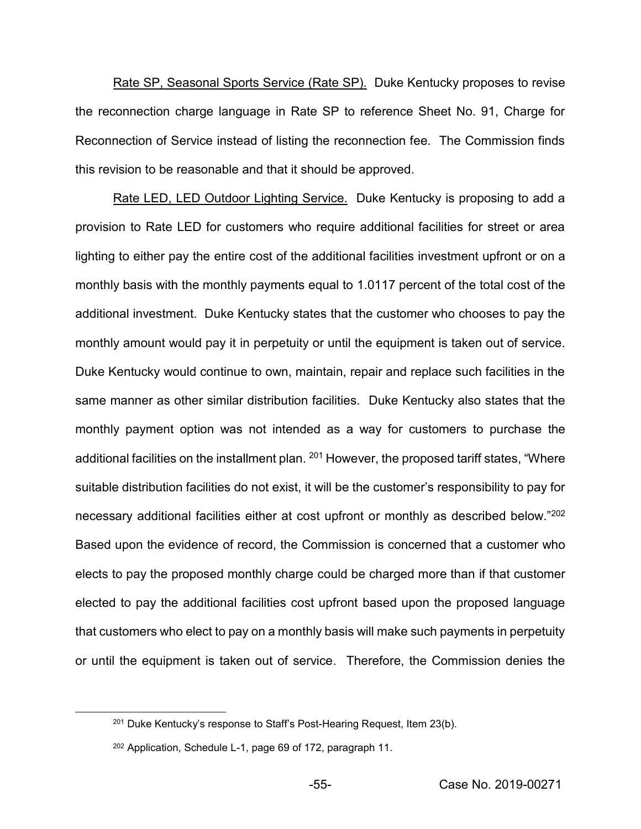Rate SP, Seasonal Sports Service (Rate SP). Duke Kentucky proposes to revise the reconnection charge language in Rate SP to reference Sheet No. 91, Charge for Reconnection of Service instead of listing the reconnection fee. The Commission finds this revision to be reasonable and that it should be approved.

Rate LED, LED Outdoor Lighting Service. Duke Kentucky is proposing to add a provision to Rate LED for customers who require additional facilities for street or area lighting to either pay the entire cost of the additional facilities investment upfront or on a monthly basis with the monthly payments equal to 1.0117 percent of the total cost of the additional investment. Duke Kentucky states that the customer who chooses to pay the monthly amount would pay it in perpetuity or until the equipment is taken out of service. Duke Kentucky would continue to own, maintain, repair and replace such facilities in the same manner as other similar distribution facilities. Duke Kentucky also states that the monthly payment option was not intended as a way for customers to purchase the additional facilities on the installment plan. <sup>201</sup> However, the proposed tariff states, "Where suitable distribution facilities do not exist, it will be the customer's responsibility to pay for necessary additional facilities either at cost upfront or monthly as described below.<sup>"202</sup> Based upon the evidence of record, the Commission is concerned that a customer who elects to pay the proposed monthly charge could be charged more than if that customer elected to pay the additional facilities cost upfront based upon the proposed language that customers who elect to pay on a monthly basis will make such payments in perpetuity or until the equipment is taken out of service. Therefore, the Commission denies the

 $201$  Duke Kentucky's response to Staff's Post-Hearing Request, Item 23(b).

<sup>202</sup> Application, Schedule L-1, page 69 of 172, paragraph 11.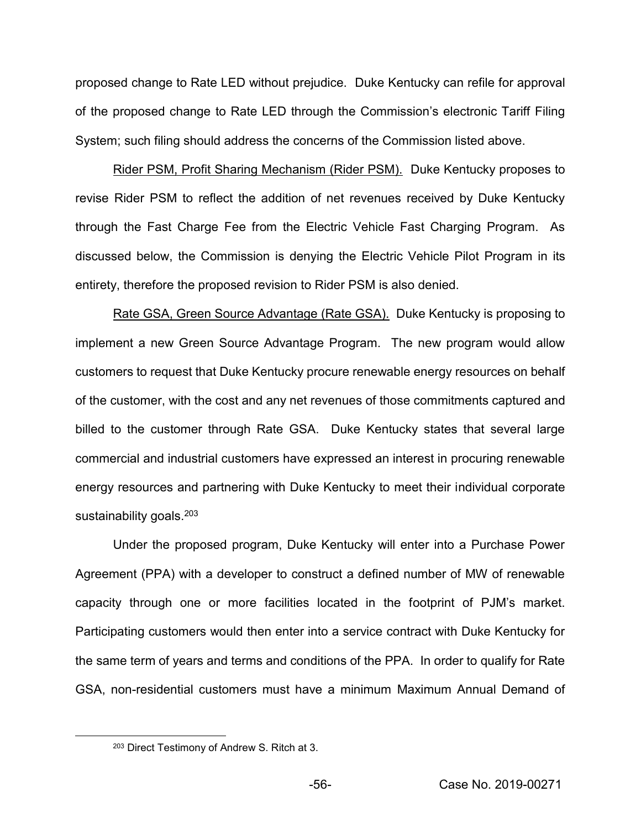proposed change to Rate LED without prejudice. Duke Kentucky can refile for approval of the proposed change to Rate LED through the Commission's electronic Tariff Filing System; such filing should address the concerns of the Commission listed above.

Rider PSM, Profit Sharing Mechanism (Rider PSM). Duke Kentucky proposes to revise Rider PSM to reflect the addition of net revenues received by Duke Kentucky through the Fast Charge Fee from the Electric Vehicle Fast Charging Program. As discussed below, the Commission is denying the Electric Vehicle Pilot Program in its entirety, therefore the proposed revision to Rider PSM is also denied.

Rate GSA, Green Source Advantage (Rate GSA). Duke Kentucky is proposing to implement a new Green Source Advantage Program. The new program would allow customers to request that Duke Kentucky procure renewable energy resources on behalf of the customer, with the cost and any net revenues of those commitments captured and billed to the customer through Rate GSA. Duke Kentucky states that several large commercial and industrial customers have expressed an interest in procuring renewable energy resources and partnering with Duke Kentucky to meet their individual corporate sustainability goals.<sup>203</sup>

Under the proposed program, Duke Kentucky will enter into a Purchase Power Agreement (PPA) with a developer to construct a defined number of MW of renewable capacity through one or more facilities located in the footprint of PJM's market. Participating customers would then enter into a service contract with Duke Kentucky for the same term of years and terms and conditions of the PPA. In order to qualify for Rate GSA, non-residential customers must have a minimum Maximum Annual Demand of

 <sup>203</sup> Direct Testimony of Andrew S. Ritch at 3.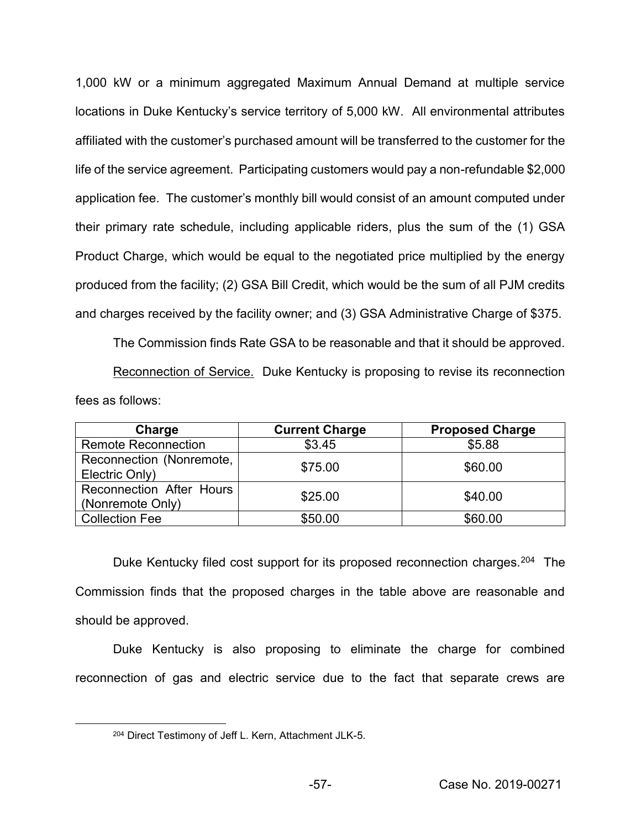1,000 kW or a minimum aggregated Maximum Annual Demand at multiple service locations in Duke Kentucky's service territory of 5,000 kW. All environmental attributes affiliated with the customer's purchased amount will be transferred to the customer for the life of the service agreement. Participating customers would pay a non-refundable \$2,000 application fee. The customer's monthly bill would consist of an amount computed under their primary rate schedule, including applicable riders, plus the sum of the (1) GSA Product Charge, which would be equal to the negotiated price multiplied by the energy produced from the facility; (2) GSA Bill Credit, which would be the sum of all PJM credits and charges received by the facility owner; and (3) GSA Administrative Charge of \$375.

The Commission finds Rate GSA to be reasonable and that it should be approved. Reconnection of Service. Duke Kentucky is proposing to revise its reconnection fees as follows:

| Charge                                       | <b>Current Charge</b> | <b>Proposed Charge</b> |  |
|----------------------------------------------|-----------------------|------------------------|--|
| <b>Remote Reconnection</b>                   | \$3.45                | \$5.88                 |  |
| Reconnection (Nonremote,<br>Electric Only)   | \$75.00               | \$60.00                |  |
| Reconnection After Hours<br>(Nonremote Only) | \$25.00               | \$40.00                |  |
| <b>Collection Fee</b>                        | \$50.00               | \$60.00                |  |

Duke Kentucky filed cost support for its proposed reconnection charges.<sup>204</sup> The Commission finds that the proposed charges in the table above are reasonable and should be approved.

Duke Kentucky is also proposing to eliminate the charge for combined reconnection of gas and electric service due to the fact that separate crews are

 <sup>204</sup> Direct Testimony of Jeff L. Kern, Attachment JLK-5.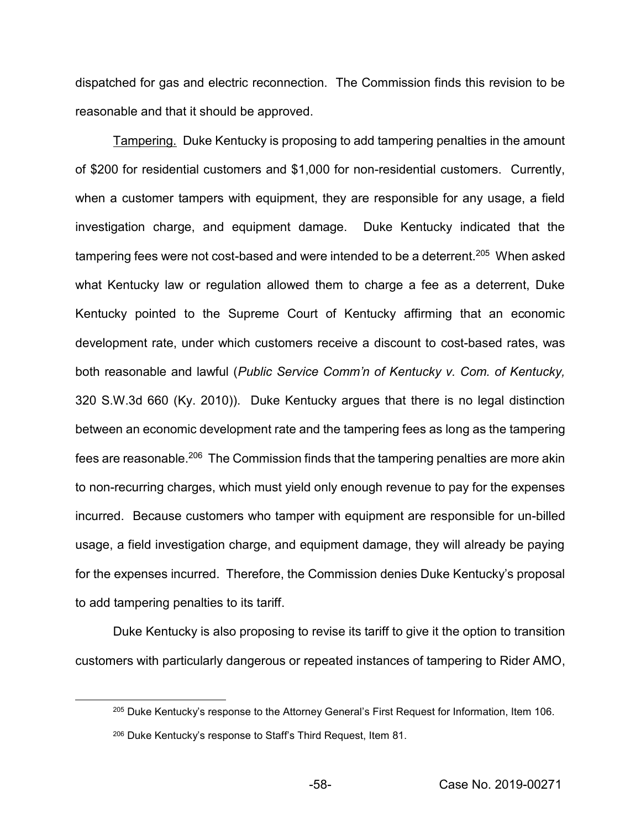dispatched for gas and electric reconnection. The Commission finds this revision to be reasonable and that it should be approved.

Tampering. Duke Kentucky is proposing to add tampering penalties in the amount of \$200 for residential customers and \$1,000 for non-residential customers. Currently, when a customer tampers with equipment, they are responsible for any usage, a field investigation charge, and equipment damage. Duke Kentucky indicated that the tampering fees were not cost-based and were intended to be a deterrent.<sup>205</sup> When asked what Kentucky law or regulation allowed them to charge a fee as a deterrent, Duke Kentucky pointed to the Supreme Court of Kentucky affirming that an economic development rate, under which customers receive a discount to cost-based rates, was both reasonable and lawful (*Public Service Comm'n of Kentucky v. Com. of Kentucky*, 320 S.W.3d 660 (Ky. 2010)). Duke Kentucky argues that there is no legal distinction between an economic development rate and the tampering fees as long as the tampering fees are reasonable.<sup>206</sup> The Commission finds that the tampering penalties are more akin to non-recurring charges, which must yield only enough revenue to pay for the expenses incurred. Because customers who tamper with equipment are responsible for un-billed usage, a field investigation charge, and equipment damage, they will already be paying for the expenses incurred. Therefore, the Commission denies Duke Kentucky's proposal to add tampering penalties to its tariff.

Duke Kentucky is also proposing to revise its tariff to give it the option to transition customers with particularly dangerous or repeated instances of tampering to Rider AMO,

 $^{205}$  Duke Kentucky's response to the Attorney General's First Request for Information, Item 106.

 $206$  Duke Kentucky's response to Staff's Third Request, Item 81.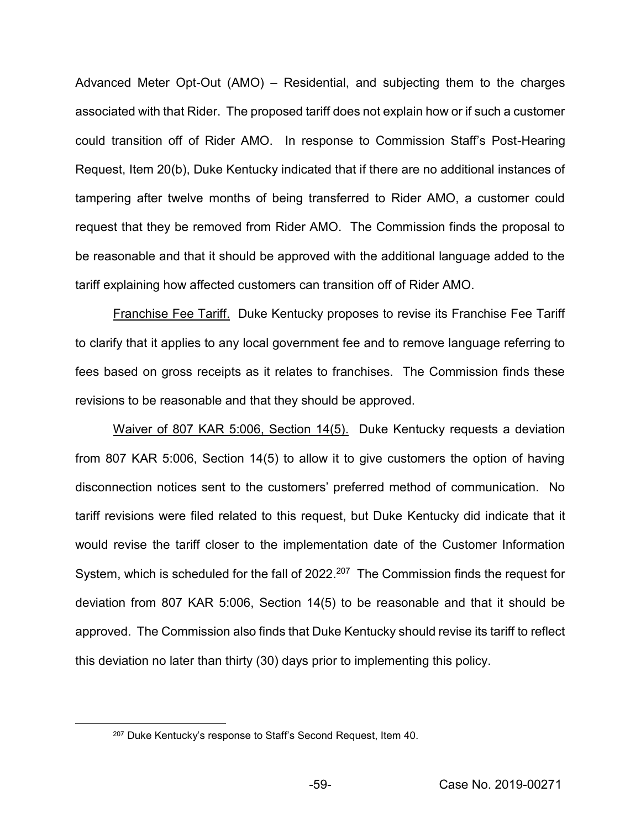Advanced Meter Opt-Out (AMO)  $-$  Residential, and subjecting them to the charges associated with that Rider. The proposed tariff does not explain how or if such a customer could transition off of Rider AMO. In response to Commission Staff's Post-Hearing Request, Item 20(b), Duke Kentucky indicated that if there are no additional instances of tampering after twelve months of being transferred to Rider AMO, a customer could request that they be removed from Rider AMO. The Commission finds the proposal to be reasonable and that it should be approved with the additional language added to the tariff explaining how affected customers can transition off of Rider AMO.

Franchise Fee Tariff. Duke Kentucky proposes to revise its Franchise Fee Tariff to clarify that it applies to any local government fee and to remove language referring to fees based on gross receipts as it relates to franchises. The Commission finds these revisions to be reasonable and that they should be approved.

Waiver of 807 KAR 5:006, Section 14(5). Duke Kentucky requests a deviation from 807 KAR 5:006, Section 14(5) to allow it to give customers the option of having disconnection notices sent to the customers' preferred method of communication. No tariff revisions were filed related to this request, but Duke Kentucky did indicate that it would revise the tariff closer to the implementation date of the Customer Information System, which is scheduled for the fall of 2022.<sup>207</sup> The Commission finds the request for deviation from 807 KAR 5:006, Section 14(5) to be reasonable and that it should be approved. The Commission also finds that Duke Kentucky should revise its tariff to reflect this deviation no later than thirty (30) days prior to implementing this policy.

<sup>&</sup>lt;sup>207</sup> Duke Kentucky's response to Staff's Second Request, Item 40.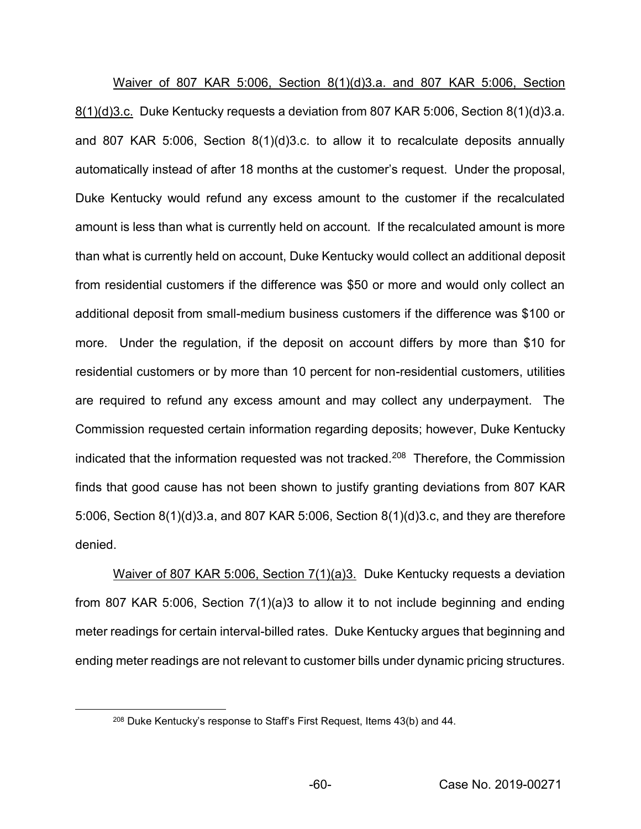Waiver of 807 KAR 5:006, Section 8(1)(d)3.a. and 807 KAR 5:006, Section 8(1)(d)3.c. Duke Kentucky requests a deviation from 807 KAR 5:006, Section 8(1)(d)3.a. and 807 KAR 5:006, Section 8(1)(d)3.c. to allow it to recalculate deposits annually automatically instead of after 18 months at the customer's request. Under the proposal, Duke Kentucky would refund any excess amount to the customer if the recalculated amount is less than what is currently held on account. If the recalculated amount is more than what is currently held on account, Duke Kentucky would collect an additional deposit from residential customers if the difference was \$50 or more and would only collect an additional deposit from small-medium business customers if the difference was \$100 or more. Under the regulation, if the deposit on account differs by more than \$10 for residential customers or by more than 10 percent for non-residential customers, utilities are required to refund any excess amount and may collect any underpayment. The Commission requested certain information regarding deposits; however, Duke Kentucky indicated that the information requested was not tracked.<sup>208</sup> Therefore, the Commission finds that good cause has not been shown to justify granting deviations from 807 KAR 5:006, Section 8(1)(d)3.a, and 807 KAR 5:006, Section 8(1)(d)3.c, and they are therefore denied.

Waiver of 807 KAR 5:006, Section 7(1)(a)3. Duke Kentucky requests a deviation from 807 KAR 5:006, Section 7(1)(a)3 to allow it to not include beginning and ending meter readings for certain interval-billed rates. Duke Kentucky argues that beginning and ending meter readings are not relevant to customer bills under dynamic pricing structures.

 $208$  Duke Kentucky's response to Staff's First Request, Items 43(b) and 44.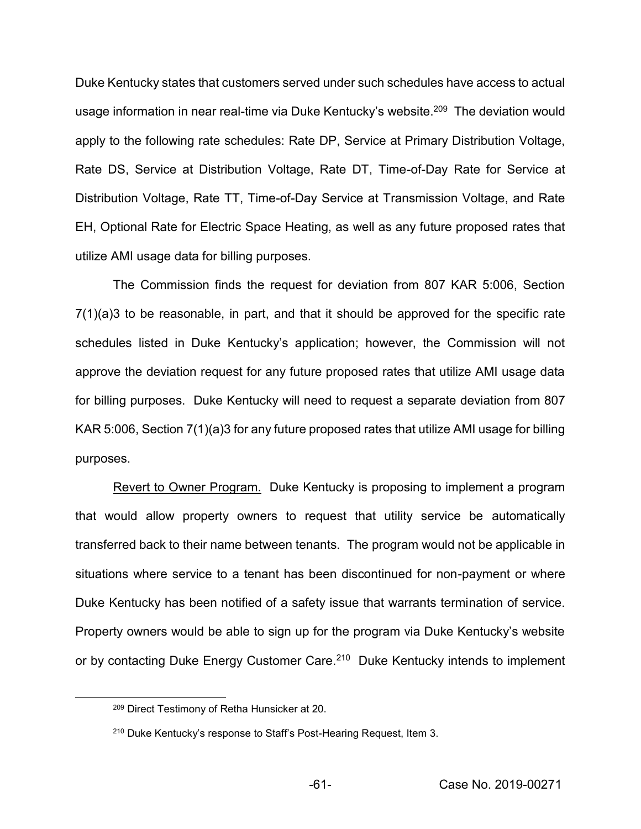Duke Kentucky states that customers served under such schedules have access to actual usage information in near real-time via Duke Kentucky's website.<sup>209</sup> The deviation would apply to the following rate schedules: Rate DP, Service at Primary Distribution Voltage, Rate DS, Service at Distribution Voltage, Rate DT, Time-of-Day Rate for Service at Distribution Voltage, Rate TT, Time-of-Day Service at Transmission Voltage, and Rate EH, Optional Rate for Electric Space Heating, as well as any future proposed rates that utilize AMI usage data for billing purposes.

The Commission finds the request for deviation from 807 KAR 5:006, Section 7(1)(a)3 to be reasonable, in part, and that it should be approved for the specific rate schedules listed in Duke Kentucky's application; however, the Commission will not approve the deviation request for any future proposed rates that utilize AMI usage data for billing purposes. Duke Kentucky will need to request a separate deviation from 807 KAR 5:006, Section 7(1)(a)3 for any future proposed rates that utilize AMI usage for billing purposes.

Revert to Owner Program. Duke Kentucky is proposing to implement a program that would allow property owners to request that utility service be automatically transferred back to their name between tenants. The program would not be applicable in situations where service to a tenant has been discontinued for non-payment or where Duke Kentucky has been notified of a safety issue that warrants termination of service. Property owners would be able to sign up for the program via Duke Kentucky's website or by contacting Duke Energy Customer Care.<sup>210</sup> Duke Kentucky intends to implement

 <sup>209</sup> Direct Testimony of Retha Hunsicker at 20.

 $210$  Duke Kentucky's response to Staff's Post-Hearing Request, Item 3.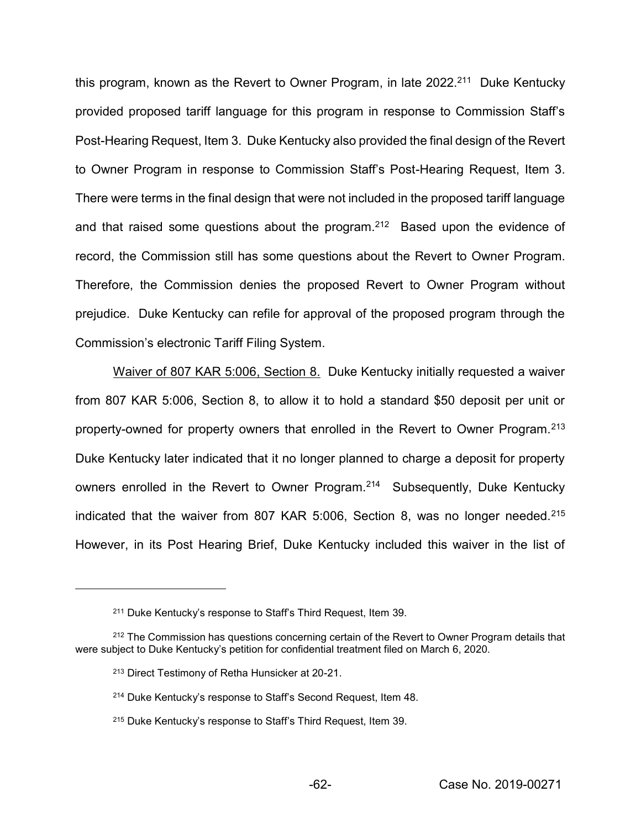this program, known as the Revert to Owner Program, in late  $2022^{211}$  Duke Kentucky provided proposed tariff language for this program in response to Commission Staff's Post-Hearing Request, Item 3. Duke Kentucky also provided the final design of the Revert to Owner Program in response to Commission Staff's Post-Hearing Request, Item 3. There were terms in the final design that were not included in the proposed tariff language and that raised some questions about the program.<sup>212</sup> Based upon the evidence of record, the Commission still has some questions about the Revert to Owner Program. Therefore, the Commission denies the proposed Revert to Owner Program without prejudice. Duke Kentucky can refile for approval of the proposed program through the Commission's electronic Tariff Filing System.

Waiver of 807 KAR 5:006, Section 8. Duke Kentucky initially requested a waiver from 807 KAR 5:006, Section 8, to allow it to hold a standard \$50 deposit per unit or property-owned for property owners that enrolled in the Revert to Owner Program.213 Duke Kentucky later indicated that it no longer planned to charge a deposit for property owners enrolled in the Revert to Owner Program.214 Subsequently, Duke Kentucky indicated that the waiver from 807 KAR 5:006, Section 8, was no longer needed.<sup>215</sup> However, in its Post Hearing Brief, Duke Kentucky included this waiver in the list of

 $\overline{a}$ 

 $211$  Duke Kentucky's response to Staff's Third Request, Item 39.

<sup>&</sup>lt;sup>212</sup> The Commission has questions concerning certain of the Revert to Owner Program details that were subject to Duke Kentucky's petition for confidential treatment filed on March 6, 2020.

<sup>213</sup> Direct Testimony of Retha Hunsicker at 20-21.

<sup>&</sup>lt;sup>214</sup> Duke Kentucky's response to Staff's Second Request, Item 48.

 $215$  Duke Kentucky's response to Staff's Third Request, Item 39.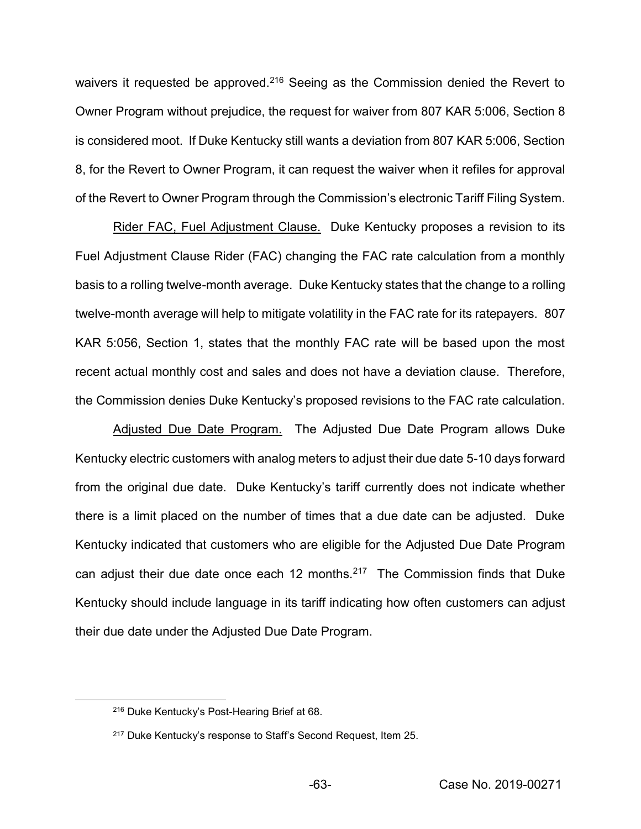waivers it requested be approved.<sup>216</sup> Seeing as the Commission denied the Revert to Owner Program without prejudice, the request for waiver from 807 KAR 5:006, Section 8 is considered moot. If Duke Kentucky still wants a deviation from 807 KAR 5:006, Section 8, for the Revert to Owner Program, it can request the waiver when it refiles for approval of the Revert to Owner Program through the Commission's electronic Tariff Filing System.

Rider FAC, Fuel Adjustment Clause. Duke Kentucky proposes a revision to its Fuel Adjustment Clause Rider (FAC) changing the FAC rate calculation from a monthly basis to a rolling twelve-month average. Duke Kentucky states that the change to a rolling twelve-month average will help to mitigate volatility in the FAC rate for its ratepayers. 807 KAR 5:056, Section 1, states that the monthly FAC rate will be based upon the most recent actual monthly cost and sales and does not have a deviation clause. Therefore, the Commission denies Duke Kentucky's proposed revisions to the FAC rate calculation.

Adjusted Due Date Program. The Adjusted Due Date Program allows Duke Kentucky electric customers with analog meters to adjust their due date 5-10 days forward from the original due date. Duke Kentucky's tariff currently does not indicate whether there is a limit placed on the number of times that a due date can be adjusted. Duke Kentucky indicated that customers who are eligible for the Adjusted Due Date Program can adjust their due date once each 12 months.217 The Commission finds that Duke Kentucky should include language in its tariff indicating how often customers can adjust their due date under the Adjusted Due Date Program.

<sup>&</sup>lt;sup>216</sup> Duke Kentucky's Post-Hearing Brief at 68.

<sup>&</sup>lt;sup>217</sup> Duke Kentucky's response to Staff's Second Request, Item 25.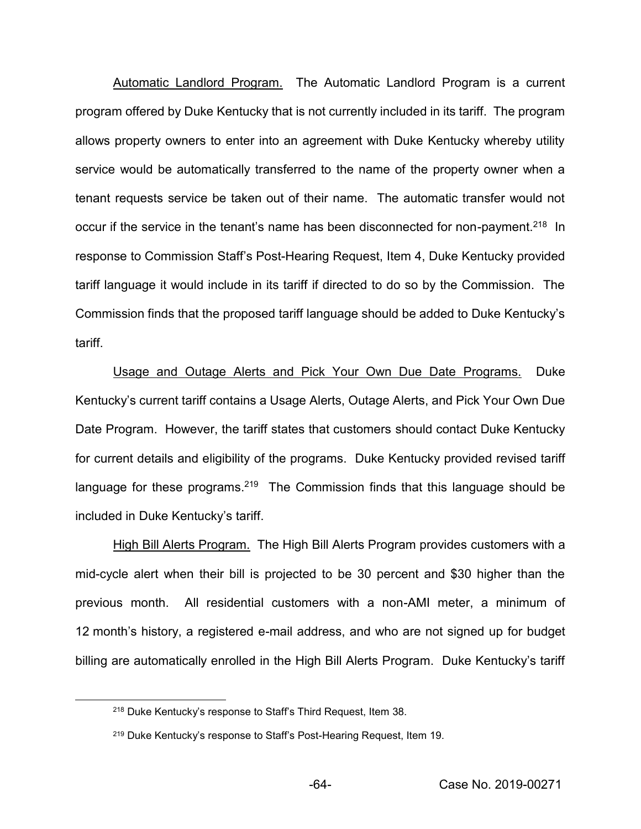Automatic Landlord Program. The Automatic Landlord Program is a current program offered by Duke Kentucky that is not currently included in its tariff. The program allows property owners to enter into an agreement with Duke Kentucky whereby utility service would be automatically transferred to the name of the property owner when a tenant requests service be taken out of their name. The automatic transfer would not occur if the service in the tenant's name has been disconnected for non-payment.<sup>218</sup> In response to Commission Staff's Post-Hearing Request, Item 4, Duke Kentucky provided tariff language it would include in its tariff if directed to do so by the Commission. The Commission finds that the proposed tariff language should be added to Duke Kentucky's tariff.

Usage and Outage Alerts and Pick Your Own Due Date Programs. Duke Kentucky's current tariff contains a Usage Alerts, Outage Alerts, and Pick Your Own Due Date Program. However, the tariff states that customers should contact Duke Kentucky for current details and eligibility of the programs. Duke Kentucky provided revised tariff language for these programs.<sup>219</sup> The Commission finds that this language should be included in Duke Kentucky's tariff.

High Bill Alerts Program. The High Bill Alerts Program provides customers with a mid-cycle alert when their bill is projected to be 30 percent and \$30 higher than the previous month. All residential customers with a non-AMI meter, a minimum of 12 month's history, a registered e-mail address, and who are not signed up for budget billing are automatically enrolled in the High Bill Alerts Program. Duke Kentucky's tariff

 $218$  Duke Kentucky's response to Staff's Third Request, Item 38.

<sup>&</sup>lt;sup>219</sup> Duke Kentucky's response to Staff's Post-Hearing Request, Item 19.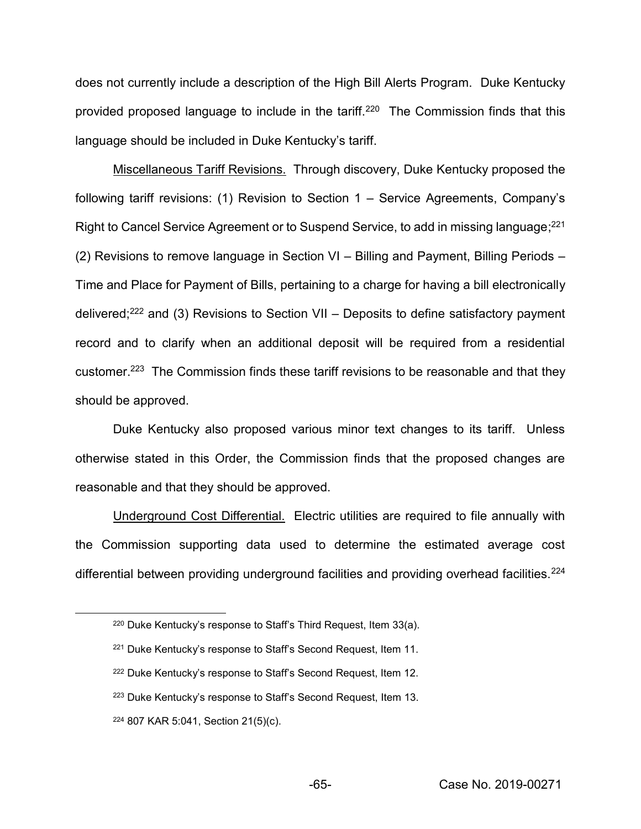does not currently include a description of the High Bill Alerts Program. Duke Kentucky provided proposed language to include in the tariff.220 The Commission finds that this language should be included in Duke Kentucky's tariff.

Miscellaneous Tariff Revisions. Through discovery, Duke Kentucky proposed the following tariff revisions: (1) Revision to Section  $1 -$  Service Agreements, Company's Right to Cancel Service Agreement or to Suspend Service, to add in missing language;<sup>221</sup> (2) Revisions to remove language in Section VI  $-$  Billing and Payment, Billing Periods  $-$ Time and Place for Payment of Bills, pertaining to a charge for having a bill electronically delivered;<sup>222</sup> and (3) Revisions to Section VII – Deposits to define satisfactory payment record and to clarify when an additional deposit will be required from a residential customer.<sup>223</sup> The Commission finds these tariff revisions to be reasonable and that they should be approved.

Duke Kentucky also proposed various minor text changes to its tariff. Unless otherwise stated in this Order, the Commission finds that the proposed changes are reasonable and that they should be approved.

Underground Cost Differential. Electric utilities are required to file annually with the Commission supporting data used to determine the estimated average cost differential between providing underground facilities and providing overhead facilities.<sup>224</sup>

 $220$  Duke Kentucky's response to Staff's Third Request, Item 33(a).

 $221$  Duke Kentucky's response to Staff's Second Request, Item 11.

<sup>&</sup>lt;sup>222</sup> Duke Kentucky's response to Staff's Second Request, Item 12.

<sup>&</sup>lt;sup>223</sup> Duke Kentucky's response to Staff's Second Request, Item 13.

<sup>224</sup> 807 KAR 5:041, Section 21(5)(c).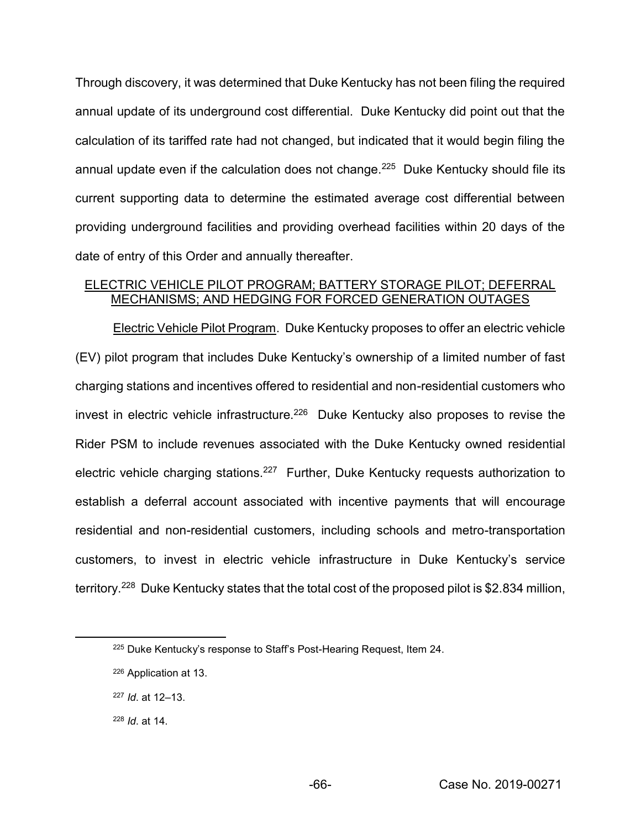Through discovery, it was determined that Duke Kentucky has not been filing the required annual update of its underground cost differential. Duke Kentucky did point out that the calculation of its tariffed rate had not changed, but indicated that it would begin filing the annual update even if the calculation does not change.<sup>225</sup> Duke Kentucky should file its current supporting data to determine the estimated average cost differential between providing underground facilities and providing overhead facilities within 20 days of the date of entry of this Order and annually thereafter.

## ELECTRIC VEHICLE PILOT PROGRAM; BATTERY STORAGE PILOT; DEFERRAL MECHANISMS; AND HEDGING FOR FORCED GENERATION OUTAGES

Electric Vehicle Pilot Program. Duke Kentucky proposes to offer an electric vehicle (EV) pilot program that includes Duke Kentucky's ownership of a limited number of fast charging stations and incentives offered to residential and non-residential customers who invest in electric vehicle infrastructure.<sup>226</sup> Duke Kentucky also proposes to revise the Rider PSM to include revenues associated with the Duke Kentucky owned residential electric vehicle charging stations.<sup>227</sup> Further, Duke Kentucky requests authorization to establish a deferral account associated with incentive payments that will encourage residential and non-residential customers, including schools and metro-transportation customers, to invest in electric vehicle infrastructure in Duke Kentucky's service territory.<sup>228</sup> Duke Kentucky states that the total cost of the proposed pilot is \$2.834 million,

 $225$  Duke Kentucky's response to Staff's Post-Hearing Request, Item 24.

<sup>226</sup> Application at 13.

<sup>227</sup> *Id.* at 12-13.

<sup>228</sup> *Id*. at 14.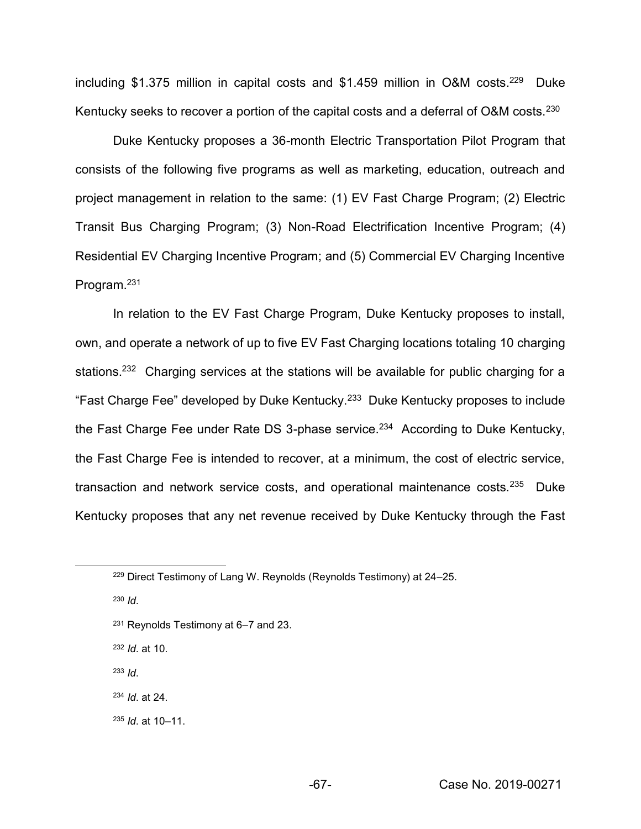including \$1.375 million in capital costs and \$1.459 million in O&M costs.<sup>229</sup> Duke Kentucky seeks to recover a portion of the capital costs and a deferral of O&M costs.<sup>230</sup>

Duke Kentucky proposes a 36-month Electric Transportation Pilot Program that consists of the following five programs as well as marketing, education, outreach and project management in relation to the same: (1) EV Fast Charge Program; (2) Electric Transit Bus Charging Program; (3) Non-Road Electrification Incentive Program; (4) Residential EV Charging Incentive Program; and (5) Commercial EV Charging Incentive Program.231

In relation to the EV Fast Charge Program, Duke Kentucky proposes to install, own, and operate a network of up to five EV Fast Charging locations totaling 10 charging stations.<sup>232</sup> Charging services at the stations will be available for public charging for a "Fast Charge Fee" developed by Duke Kentucky.<sup>233</sup> Duke Kentucky proposes to include the Fast Charge Fee under Rate DS 3-phase service.<sup>234</sup> According to Duke Kentucky, the Fast Charge Fee is intended to recover, at a minimum, the cost of electric service, transaction and network service costs, and operational maintenance costs.<sup>235</sup> Duke Kentucky proposes that any net revenue received by Duke Kentucky through the Fast

- <sup>232</sup> *Id*. at 10.
- <sup>233</sup> *Id*.
- <sup>234</sup> *Id*. at 24.
- 235 *Id.* at 10-11.

 $229$  Direct Testimony of Lang W. Reynolds (Reynolds Testimony) at 24-25.

<sup>230</sup> *Id*.

 $231$  Reynolds Testimony at 6-7 and 23.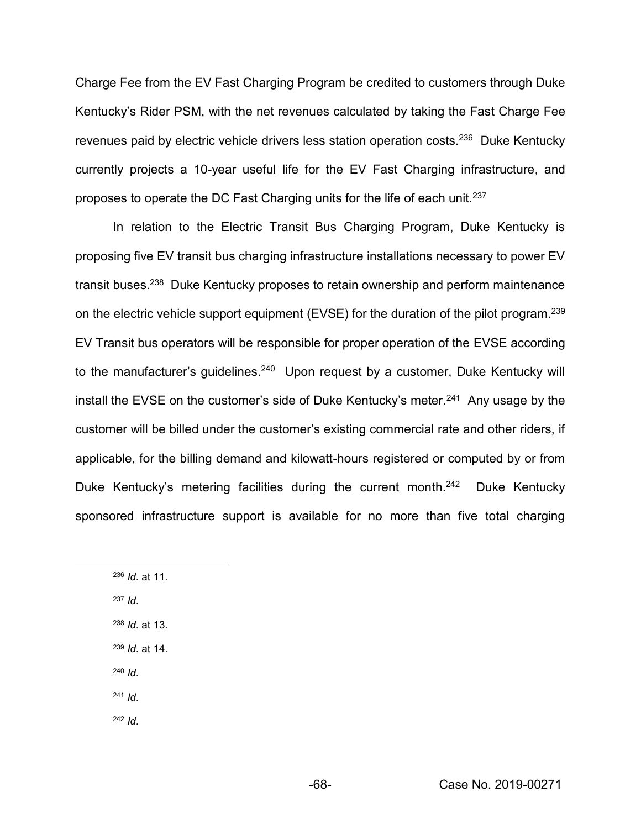Charge Fee from the EV Fast Charging Program be credited to customers through Duke Kentucky's Rider PSM, with the net revenues calculated by taking the Fast Charge Fee revenues paid by electric vehicle drivers less station operation costs.<sup>236</sup> Duke Kentucky currently projects a 10-year useful life for the EV Fast Charging infrastructure, and proposes to operate the DC Fast Charging units for the life of each unit.237

In relation to the Electric Transit Bus Charging Program, Duke Kentucky is proposing five EV transit bus charging infrastructure installations necessary to power EV transit buses.238 Duke Kentucky proposes to retain ownership and perform maintenance on the electric vehicle support equipment (EVSE) for the duration of the pilot program.<sup>239</sup> EV Transit bus operators will be responsible for proper operation of the EVSE according to the manufacturer's guidelines.<sup>240</sup> Upon request by a customer, Duke Kentucky will install the EVSE on the customer's side of Duke Kentucky's meter.<sup>241</sup> Any usage by the customer will be billed under the customer's existing commercial rate and other riders, if applicable, for the billing demand and kilowatt-hours registered or computed by or from Duke Kentucky's metering facilities during the current month.<sup>242</sup> Duke Kentucky sponsored infrastructure support is available for no more than five total charging

 <sup>236</sup> *Id*. at 11. <sup>237</sup> *Id*. <sup>238</sup> *Id*. at 13. <sup>239</sup> *Id*. at 14. <sup>240</sup> *Id*. <sup>241</sup> *Id*. <sup>242</sup> *Id*.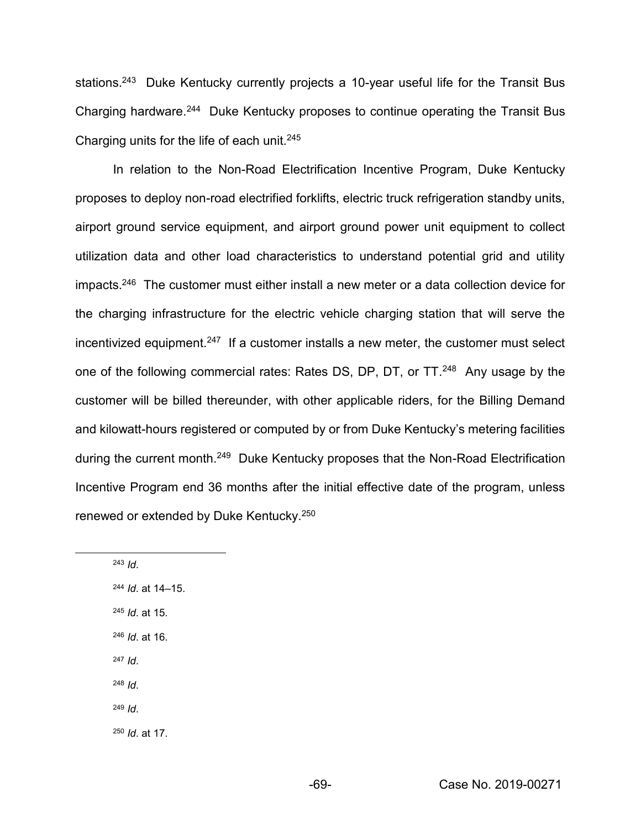stations.<sup>243</sup> Duke Kentucky currently projects a 10-year useful life for the Transit Bus Charging hardware.244 Duke Kentucky proposes to continue operating the Transit Bus Charging units for the life of each unit.245

In relation to the Non-Road Electrification Incentive Program, Duke Kentucky proposes to deploy non-road electrified forklifts, electric truck refrigeration standby units, airport ground service equipment, and airport ground power unit equipment to collect utilization data and other load characteristics to understand potential grid and utility impacts.<sup>246</sup> The customer must either install a new meter or a data collection device for the charging infrastructure for the electric vehicle charging station that will serve the incentivized equipment.<sup>247</sup> If a customer installs a new meter, the customer must select one of the following commercial rates: Rates DS, DP, DT, or TT.248 Any usage by the customer will be billed thereunder, with other applicable riders, for the Billing Demand and kilowatt-hours registered or computed by or from Duke Kentucky's metering facilities during the current month.<sup>249</sup> Duke Kentucky proposes that the Non-Road Electrification Incentive Program end 36 months after the initial effective date of the program, unless renewed or extended by Duke Kentucky.250

 243 *Id*. 244 *Id.* at 14-15. <sup>245</sup> *Id*. at 15. <sup>246</sup> *Id*. at 16. <sup>247</sup> *Id*. <sup>248</sup> *Id*. <sup>249</sup> *Id*. <sup>250</sup> *Id*. at 17.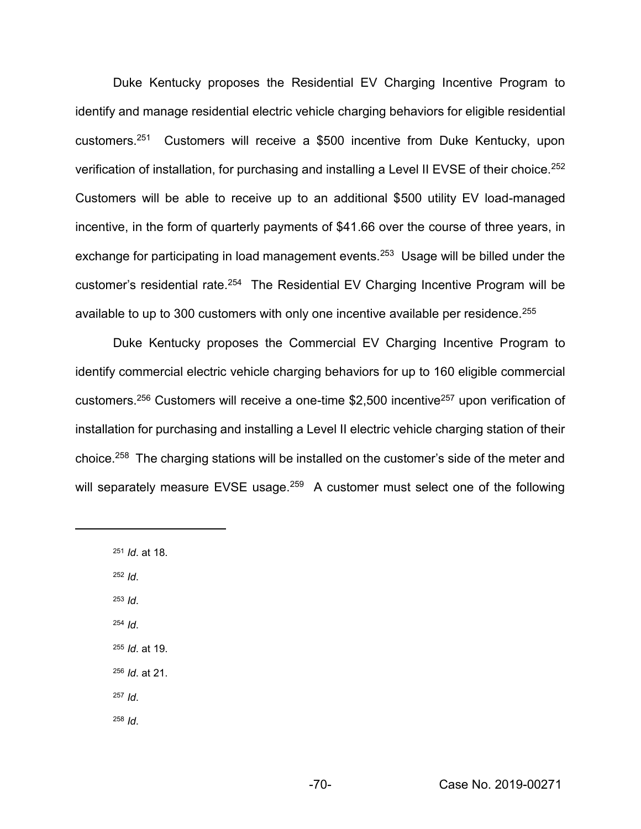Duke Kentucky proposes the Residential EV Charging Incentive Program to identify and manage residential electric vehicle charging behaviors for eligible residential customers.251 Customers will receive a \$500 incentive from Duke Kentucky, upon verification of installation, for purchasing and installing a Level II EVSE of their choice.<sup>252</sup> Customers will be able to receive up to an additional \$500 utility EV load-managed incentive, in the form of quarterly payments of \$41.66 over the course of three years, in exchange for participating in load management events.<sup>253</sup> Usage will be billed under the customer's residential rate.<sup>254</sup> The Residential EV Charging Incentive Program will be available to up to 300 customers with only one incentive available per residence.<sup>255</sup>

Duke Kentucky proposes the Commercial EV Charging Incentive Program to identify commercial electric vehicle charging behaviors for up to 160 eligible commercial customers.<sup>256</sup> Customers will receive a one-time \$2,500 incentive<sup>257</sup> upon verification of installation for purchasing and installing a Level II electric vehicle charging station of their choice.<sup>258</sup> The charging stations will be installed on the customer's side of the meter and will separately measure EVSE usage.<sup>259</sup> A customer must select one of the following

<sup>251</sup> *Id*. at 18. <sup>252</sup> *Id*. <sup>253</sup> *Id*. <sup>254</sup> *Id*. <sup>255</sup> *Id*. at 19. <sup>256</sup> *Id*. at 21. <sup>257</sup> *Id*. <sup>258</sup> *Id*.

 $\overline{a}$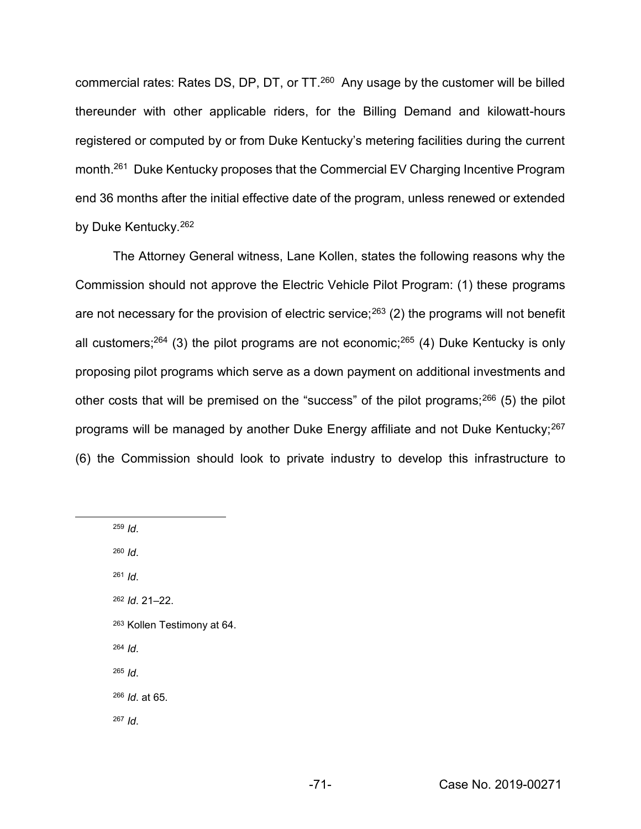commercial rates: Rates DS, DP, DT, or TT.260 Any usage by the customer will be billed thereunder with other applicable riders, for the Billing Demand and kilowatt-hours registered or computed by or from Duke Kentucky's metering facilities during the current month.261 Duke Kentucky proposes that the Commercial EV Charging Incentive Program end 36 months after the initial effective date of the program, unless renewed or extended by Duke Kentucky.262

The Attorney General witness, Lane Kollen, states the following reasons why the Commission should not approve the Electric Vehicle Pilot Program: (1) these programs are not necessary for the provision of electric service;<sup>263</sup> (2) the programs will not benefit all customers;<sup>264</sup> (3) the pilot programs are not economic;<sup>265</sup> (4) Duke Kentucky is only proposing pilot programs which serve as a down payment on additional investments and other costs that will be premised on the "success" of the pilot programs;<sup>266</sup> (5) the pilot programs will be managed by another Duke Energy affiliate and not Duke Kentucky;<sup>267</sup> (6) the Commission should look to private industry to develop this infrastructure to

259 *Id*.

<sup>260</sup> *Id*.

<sup>261</sup> *Id*.

<sup>262</sup> *Id*. 21-22.

- <sup>263</sup> Kollen Testimony at 64.
- <sup>264</sup> *Id*.

<sup>265</sup> *Id*.

<sup>266</sup> *Id*. at 65.

<sup>267</sup> *Id*.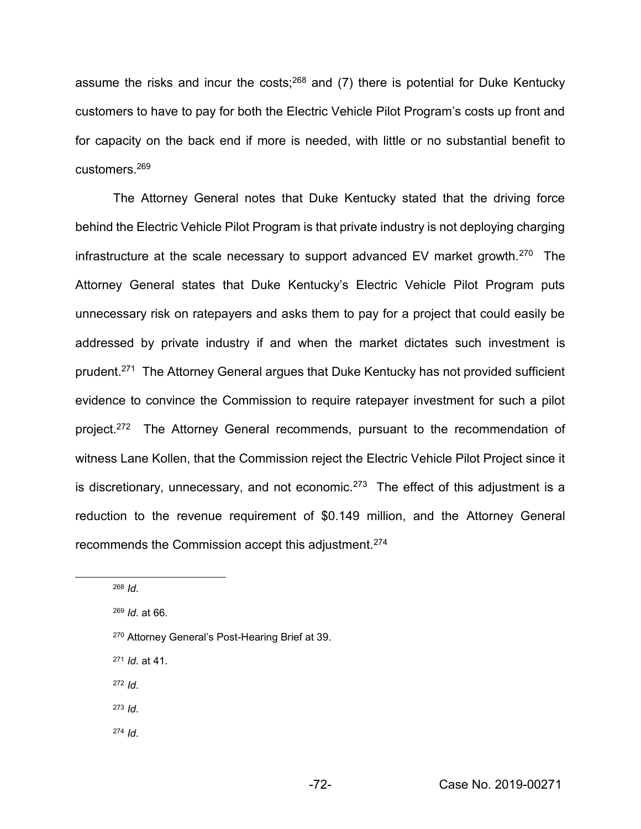assume the risks and incur the costs; $^{268}$  and (7) there is potential for Duke Kentucky customers to have to pay for both the Electric Vehicle Pilot Program's costs up front and for capacity on the back end if more is needed, with little or no substantial benefit to customers.269

The Attorney General notes that Duke Kentucky stated that the driving force behind the Electric Vehicle Pilot Program is that private industry is not deploying charging infrastructure at the scale necessary to support advanced EV market growth.<sup>270</sup> The Attorney General states that Duke Kentucky's Electric Vehicle Pilot Program puts unnecessary risk on ratepayers and asks them to pay for a project that could easily be addressed by private industry if and when the market dictates such investment is prudent.271 The Attorney General argues that Duke Kentucky has not provided sufficient evidence to convince the Commission to require ratepayer investment for such a pilot project.272 The Attorney General recommends, pursuant to the recommendation of witness Lane Kollen, that the Commission reject the Electric Vehicle Pilot Project since it is discretionary, unnecessary, and not economic.<sup>273</sup> The effect of this adjustment is a reduction to the revenue requirement of \$0.149 million, and the Attorney General recommends the Commission accept this adjustment.274

<sup>271</sup> *Id*. at 41.

<sup>272</sup> *Id*.

<sup>273</sup> *Id*.

<sup>274</sup> *Id*.

 <sup>268</sup> *Id*.

<sup>269</sup> *Id*. at 66.

<sup>270</sup> Attorney General's Post-Hearing Brief at 39.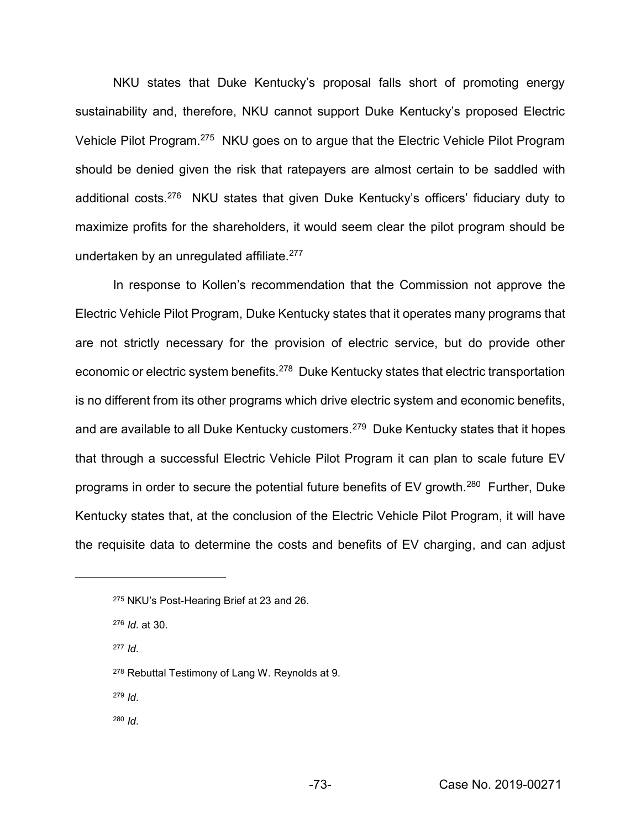NKU states that Duke Kentucky's proposal falls short of promoting energy sustainability and, therefore, NKU cannot support Duke Kentucky's proposed Electric Vehicle Pilot Program.275 NKU goes on to argue that the Electric Vehicle Pilot Program should be denied given the risk that ratepayers are almost certain to be saddled with additional costs.<sup>276</sup> NKU states that given Duke Kentucky's officers' fiduciary duty to maximize profits for the shareholders, it would seem clear the pilot program should be undertaken by an unregulated affiliate.<sup>277</sup>

In response to Kollen's recommendation that the Commission not approve the Electric Vehicle Pilot Program, Duke Kentucky states that it operates many programs that are not strictly necessary for the provision of electric service, but do provide other economic or electric system benefits.<sup>278</sup> Duke Kentucky states that electric transportation is no different from its other programs which drive electric system and economic benefits, and are available to all Duke Kentucky customers.<sup>279</sup> Duke Kentucky states that it hopes that through a successful Electric Vehicle Pilot Program it can plan to scale future EV programs in order to secure the potential future benefits of EV growth.<sup>280</sup> Further, Duke Kentucky states that, at the conclusion of the Electric Vehicle Pilot Program, it will have the requisite data to determine the costs and benefits of EV charging, and can adjust

<sup>277</sup> *Id*.

 $\overline{a}$ 

- <sup>279</sup> *Id*.
- <sup>280</sup> *Id*.

<sup>275</sup> NKU's Post-Hearing Brief at 23 and 26.

<sup>276</sup> *Id*. at 30.

<sup>278</sup> Rebuttal Testimony of Lang W. Reynolds at 9.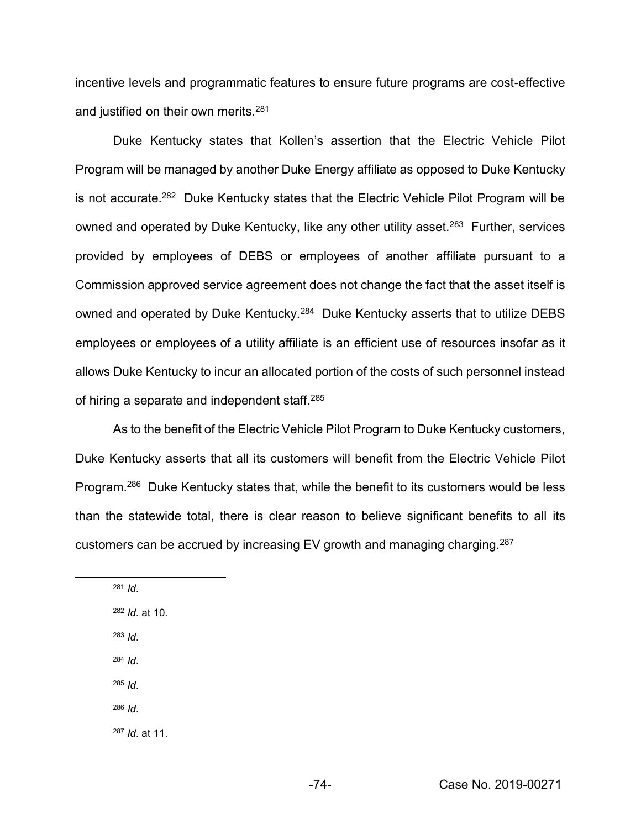incentive levels and programmatic features to ensure future programs are cost-effective and justified on their own merits.<sup>281</sup>

Duke Kentucky states that Kollen's assertion that the Electric Vehicle Pilot Program will be managed by another Duke Energy affiliate as opposed to Duke Kentucky is not accurate.282 Duke Kentucky states that the Electric Vehicle Pilot Program will be owned and operated by Duke Kentucky, like any other utility asset.<sup>283</sup> Further, services provided by employees of DEBS or employees of another affiliate pursuant to a Commission approved service agreement does not change the fact that the asset itself is owned and operated by Duke Kentucky.<sup>284</sup> Duke Kentucky asserts that to utilize DEBS employees or employees of a utility affiliate is an efficient use of resources insofar as it allows Duke Kentucky to incur an allocated portion of the costs of such personnel instead of hiring a separate and independent staff.285

As to the benefit of the Electric Vehicle Pilot Program to Duke Kentucky customers, Duke Kentucky asserts that all its customers will benefit from the Electric Vehicle Pilot Program.286 Duke Kentucky states that, while the benefit to its customers would be less than the statewide total, there is clear reason to believe significant benefits to all its customers can be accrued by increasing EV growth and managing charging.<sup>287</sup>

<sup>283</sup> *Id*.

<sup>284</sup> *Id*.

<sup>285</sup> *Id*.

<sup>286</sup> *Id*.

<sup>287</sup> *Id*. at 11.

 <sup>281</sup> *Id*.

<sup>282</sup> *Id*. at 10.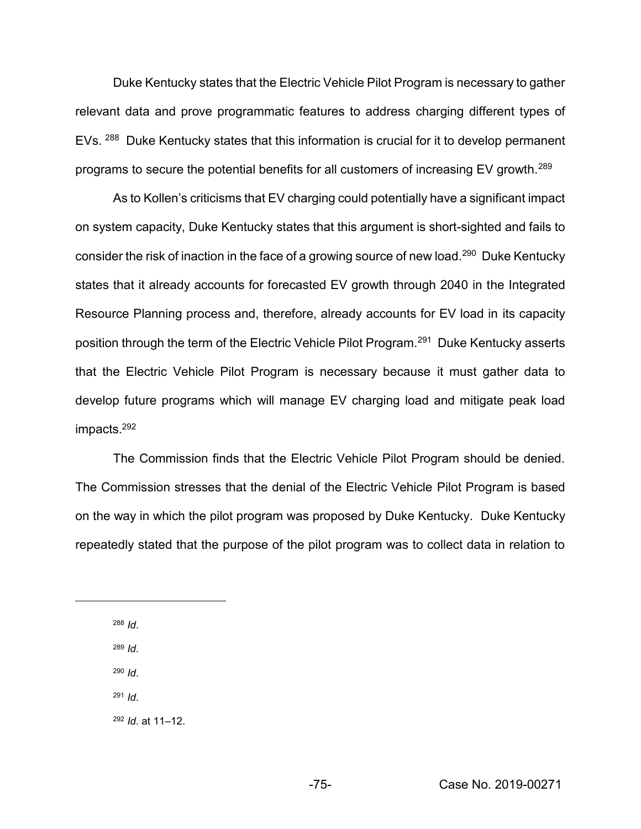Duke Kentucky states that the Electric Vehicle Pilot Program is necessary to gather relevant data and prove programmatic features to address charging different types of EVs. 288 Duke Kentucky states that this information is crucial for it to develop permanent programs to secure the potential benefits for all customers of increasing EV growth.289

As to Kollen's criticisms that EV charging could potentially have a significant impact on system capacity, Duke Kentucky states that this argument is short-sighted and fails to consider the risk of inaction in the face of a growing source of new load.<sup>290</sup> Duke Kentucky states that it already accounts for forecasted EV growth through 2040 in the Integrated Resource Planning process and, therefore, already accounts for EV load in its capacity position through the term of the Electric Vehicle Pilot Program.291 Duke Kentucky asserts that the Electric Vehicle Pilot Program is necessary because it must gather data to develop future programs which will manage EV charging load and mitigate peak load impacts.292

The Commission finds that the Electric Vehicle Pilot Program should be denied. The Commission stresses that the denial of the Electric Vehicle Pilot Program is based on the way in which the pilot program was proposed by Duke Kentucky. Duke Kentucky repeatedly stated that the purpose of the pilot program was to collect data in relation to

<sup>288</sup> *Id*.

 $\overline{a}$ 

<sup>289</sup> *Id*.

<sup>290</sup> *Id*.

<sup>291</sup> *Id*.

292 *Id.* at 11-12.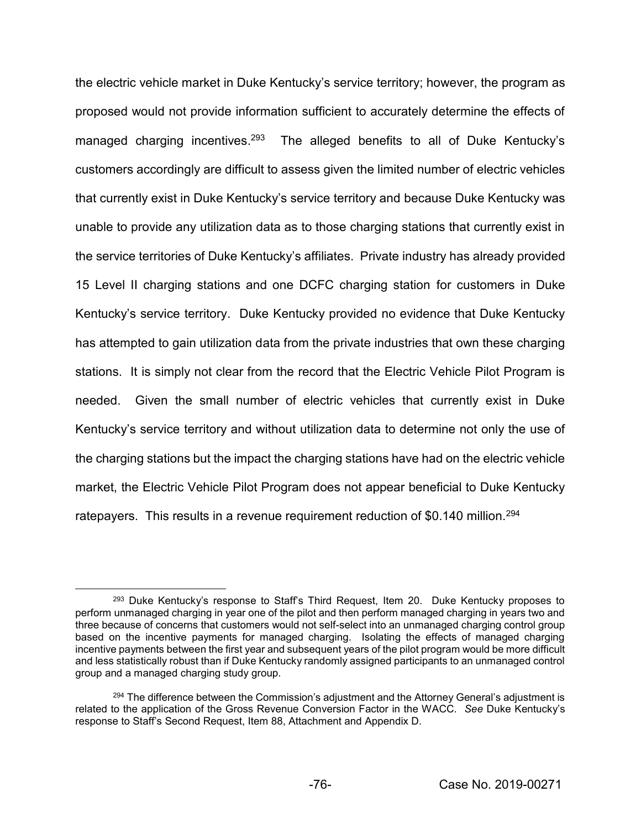the electric vehicle market in Duke Kentucky's service territory; however, the program as proposed would not provide information sufficient to accurately determine the effects of managed charging incentives.<sup>293</sup> The alleged benefits to all of Duke Kentucky's customers accordingly are difficult to assess given the limited number of electric vehicles that currently exist in Duke Kentucky's service territory and because Duke Kentucky was unable to provide any utilization data as to those charging stations that currently exist in the service territories of Duke Kentucky's affiliates. Private industry has already provided 15 Level II charging stations and one DCFC charging station for customers in Duke Kentucky's service territory. Duke Kentucky provided no evidence that Duke Kentucky has attempted to gain utilization data from the private industries that own these charging stations. It is simply not clear from the record that the Electric Vehicle Pilot Program is needed. Given the small number of electric vehicles that currently exist in Duke Kentucky's service territory and without utilization data to determine not only the use of the charging stations but the impact the charging stations have had on the electric vehicle market, the Electric Vehicle Pilot Program does not appear beneficial to Duke Kentucky ratepayers. This results in a revenue requirement reduction of \$0.140 million.<sup>294</sup>

 $293$  Duke Kentucky's response to Staff's Third Request, Item 20. Duke Kentucky proposes to perform unmanaged charging in year one of the pilot and then perform managed charging in years two and three because of concerns that customers would not self-select into an unmanaged charging control group based on the incentive payments for managed charging. Isolating the effects of managed charging incentive payments between the first year and subsequent years of the pilot program would be more difficult and less statistically robust than if Duke Kentucky randomly assigned participants to an unmanaged control group and a managed charging study group.

 $294$  The difference between the Commission's adjustment and the Attorney General's adjustment is related to the application of the Gross Revenue Conversion Factor in the WACC. See Duke Kentucky's response to Staff's Second Request, Item 88, Attachment and Appendix D.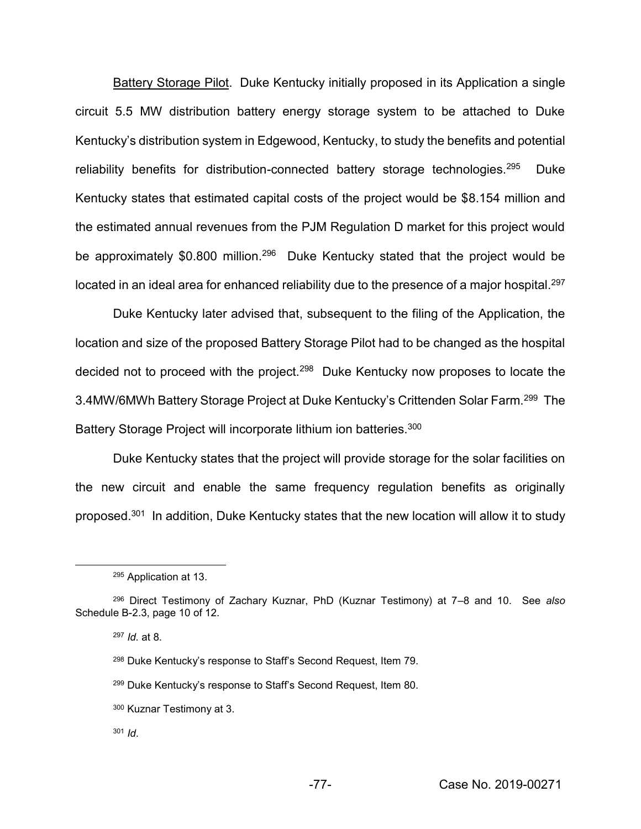Battery Storage Pilot. Duke Kentucky initially proposed in its Application a single circuit 5.5 MW distribution battery energy storage system to be attached to Duke Kentucky's distribution system in Edgewood, Kentucky, to study the benefits and potential reliability benefits for distribution-connected battery storage technologies. $295$  Duke Kentucky states that estimated capital costs of the project would be \$8.154 million and the estimated annual revenues from the PJM Regulation D market for this project would be approximately \$0.800 million.<sup>296</sup> Duke Kentucky stated that the project would be located in an ideal area for enhanced reliability due to the presence of a major hospital.<sup>297</sup>

Duke Kentucky later advised that, subsequent to the filing of the Application, the location and size of the proposed Battery Storage Pilot had to be changed as the hospital decided not to proceed with the project.298 Duke Kentucky now proposes to locate the 3.4MW/6MWh Battery Storage Project at Duke Kentucky's Crittenden Solar Farm.<sup>299</sup> The Battery Storage Project will incorporate lithium ion batteries.300

Duke Kentucky states that the project will provide storage for the solar facilities on the new circuit and enable the same frequency regulation benefits as originally proposed.301 In addition, Duke Kentucky states that the new location will allow it to study

<sup>297</sup> *Id.* at 8.

<sup>299</sup> Duke Kentucky's response to Staff's Second Request, Item 80.

 <sup>295</sup> Application at 13.

<sup>&</sup>lt;sup>296</sup> Direct Testimony of Zachary Kuznar, PhD (Kuznar Testimony) at 7-8 and 10. See also Schedule B-2.3, page 10 of 12.

<sup>&</sup>lt;sup>298</sup> Duke Kentucky's response to Staff's Second Request, Item 79.

<sup>300</sup> Kuznar Testimony at 3.

<sup>301</sup> *Id*.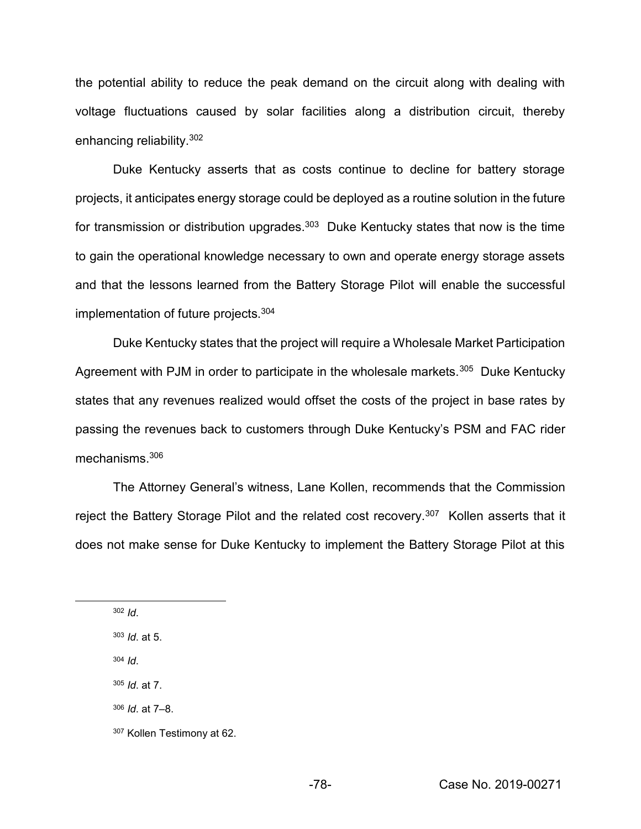the potential ability to reduce the peak demand on the circuit along with dealing with voltage fluctuations caused by solar facilities along a distribution circuit, thereby enhancing reliability.302

Duke Kentucky asserts that as costs continue to decline for battery storage projects, it anticipates energy storage could be deployed as a routine solution in the future for transmission or distribution upgrades.<sup>303</sup> Duke Kentucky states that now is the time to gain the operational knowledge necessary to own and operate energy storage assets and that the lessons learned from the Battery Storage Pilot will enable the successful implementation of future projects.304

Duke Kentucky states that the project will require a Wholesale Market Participation Agreement with PJM in order to participate in the wholesale markets.<sup>305</sup> Duke Kentucky states that any revenues realized would offset the costs of the project in base rates by passing the revenues back to customers through Duke Kentucky's PSM and FAC rider mechanisms.306

The Attorney General's witness, Lane Kollen, recommends that the Commission reject the Battery Storage Pilot and the related cost recovery.<sup>307</sup> Kollen asserts that it does not make sense for Duke Kentucky to implement the Battery Storage Pilot at this

<sup>303</sup> *Id*. at 5.

<sup>304</sup> *Id*.

<sup>305</sup> *Id*. at 7.

306 *Id.* at 7-8.

 <sup>302</sup> *Id*.

<sup>307</sup> Kollen Testimony at 62.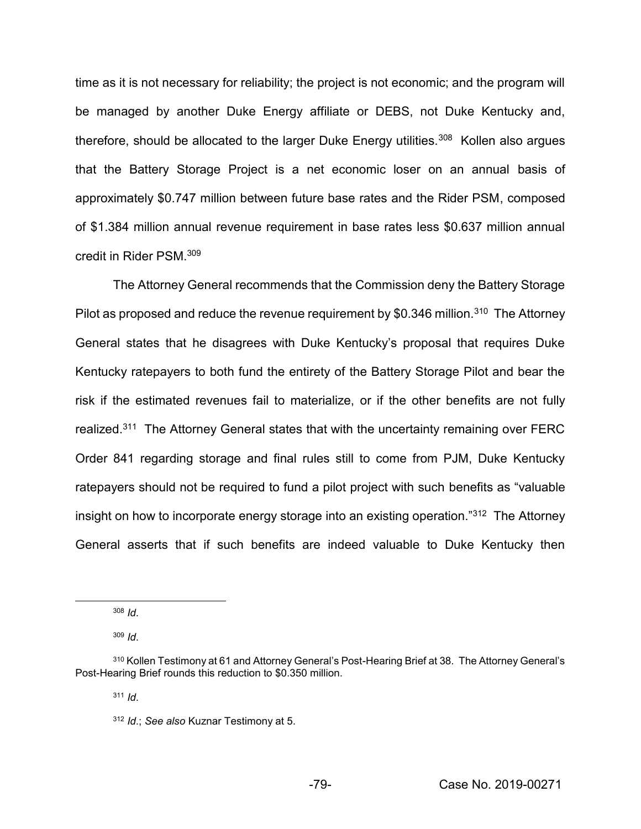time as it is not necessary for reliability; the project is not economic; and the program will be managed by another Duke Energy affiliate or DEBS, not Duke Kentucky and, therefore, should be allocated to the larger Duke Energy utilities.<sup>308</sup> Kollen also argues that the Battery Storage Project is a net economic loser on an annual basis of approximately \$0.747 million between future base rates and the Rider PSM, composed of \$1.384 million annual revenue requirement in base rates less \$0.637 million annual credit in Rider PSM.309

The Attorney General recommends that the Commission deny the Battery Storage Pilot as proposed and reduce the revenue requirement by \$0.346 million.<sup>310</sup> The Attorney General states that he disagrees with Duke Kentucky's proposal that requires Duke Kentucky ratepayers to both fund the entirety of the Battery Storage Pilot and bear the risk if the estimated revenues fail to materialize, or if the other benefits are not fully realized.311 The Attorney General states that with the uncertainty remaining over FERC Order 841 regarding storage and final rules still to come from PJM, Duke Kentucky ratepayers should not be required to fund a pilot project with such benefits as "valuable insight on how to incorporate energy storage into an existing operation.<sup> $312$ </sup> The Attorney General asserts that if such benefits are indeed valuable to Duke Kentucky then

308 *Id*.

<sup>309</sup> *Id*.

<sup>310</sup> Kollen Testimony at 61 and Attorney General's Post-Hearing Brief at 38. The Attorney General's Post-Hearing Brief rounds this reduction to \$0.350 million.

<sup>311</sup> *Id*.

<sup>312</sup> *Id*.; *See also* Kuznar Testimony at 5.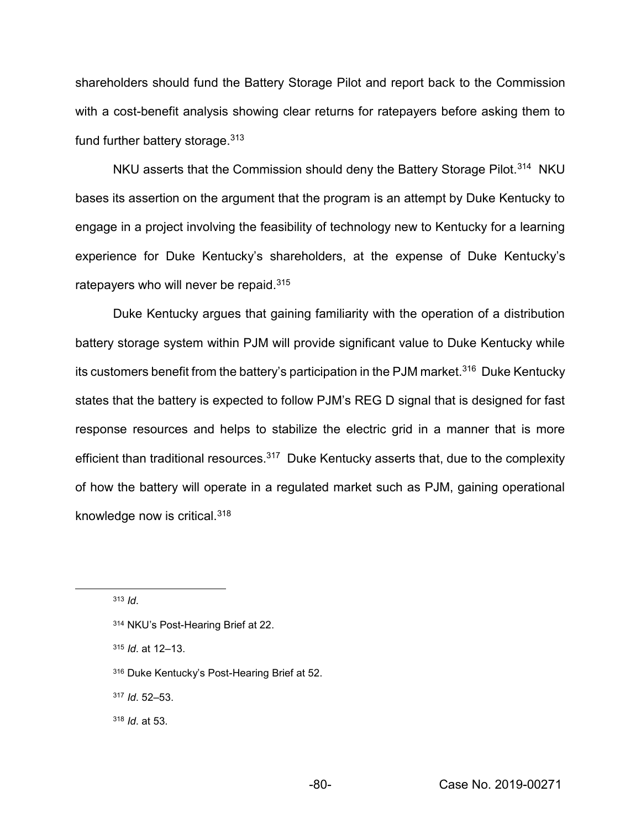shareholders should fund the Battery Storage Pilot and report back to the Commission with a cost-benefit analysis showing clear returns for ratepayers before asking them to fund further battery storage.<sup>313</sup>

NKU asserts that the Commission should deny the Battery Storage Pilot.<sup>314</sup> NKU bases its assertion on the argument that the program is an attempt by Duke Kentucky to engage in a project involving the feasibility of technology new to Kentucky for a learning experience for Duke Kentucky's shareholders, at the expense of Duke Kentucky's ratepayers who will never be repaid.<sup>315</sup>

Duke Kentucky argues that gaining familiarity with the operation of a distribution battery storage system within PJM will provide significant value to Duke Kentucky while its customers benefit from the battery's participation in the PJM market.<sup>316</sup> Duke Kentucky states that the battery is expected to follow PJM's REG D signal that is designed for fast response resources and helps to stabilize the electric grid in a manner that is more efficient than traditional resources.<sup>317</sup> Duke Kentucky asserts that, due to the complexity of how the battery will operate in a regulated market such as PJM, gaining operational knowledge now is critical.318

315 *Id.* at 12-13.

316 Duke Kentucky's Post-Hearing Brief at 52.

317 *Id.* 52-53.

<sup>318</sup> *Id*. at 53.

 <sup>313</sup> *Id*.

<sup>314</sup> NKU's Post-Hearing Brief at 22.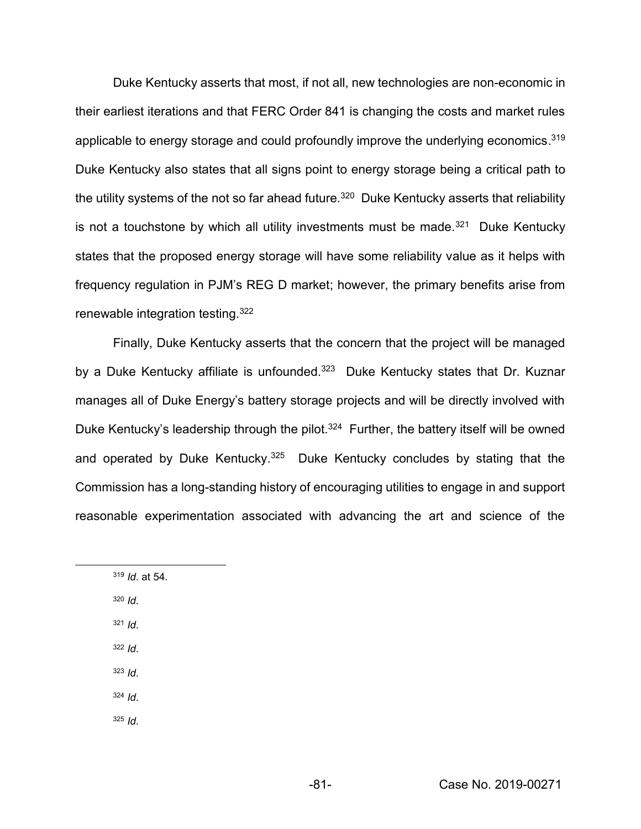Duke Kentucky asserts that most, if not all, new technologies are non-economic in their earliest iterations and that FERC Order 841 is changing the costs and market rules applicable to energy storage and could profoundly improve the underlying economics. $319$ Duke Kentucky also states that all signs point to energy storage being a critical path to the utility systems of the not so far ahead future.<sup>320</sup> Duke Kentucky asserts that reliability is not a touchstone by which all utility investments must be made.<sup>321</sup> Duke Kentucky states that the proposed energy storage will have some reliability value as it helps with frequency regulation in PJM's REG D market; however, the primary benefits arise from renewable integration testing.322

Finally, Duke Kentucky asserts that the concern that the project will be managed by a Duke Kentucky affiliate is unfounded.<sup>323</sup> Duke Kentucky states that Dr. Kuznar manages all of Duke Energy's battery storage projects and will be directly involved with Duke Kentucky's leadership through the pilot.<sup>324</sup> Further, the battery itself will be owned and operated by Duke Kentucky.<sup>325</sup> Duke Kentucky concludes by stating that the Commission has a long-standing history of encouraging utilities to engage in and support reasonable experimentation associated with advancing the art and science of the

<sup>320</sup> *Id*.

<sup>321</sup> *Id*.

<sup>322</sup> *Id*.

<sup>323</sup> *Id*.

<sup>324</sup> *Id*.

<sup>325</sup> *Id*.

 <sup>319</sup> *Id*. at 54.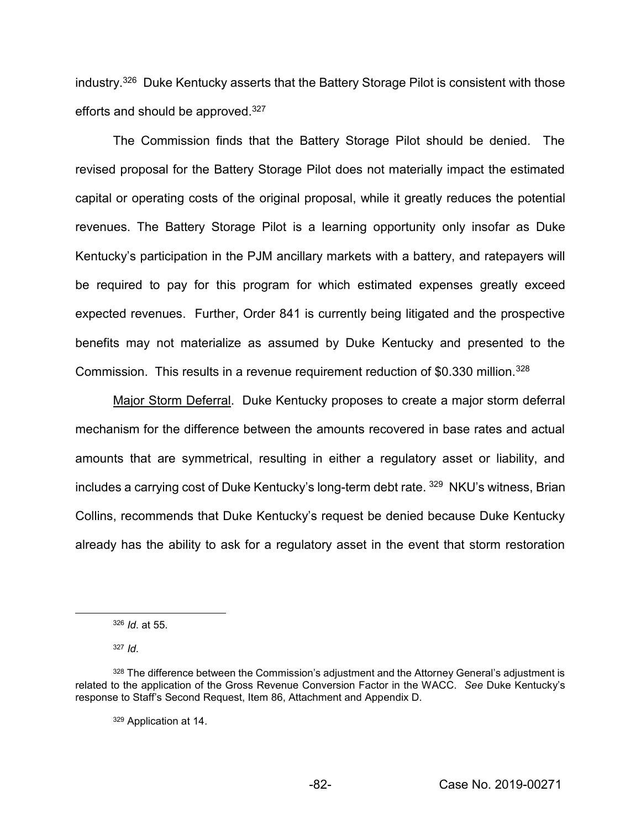industry.326 Duke Kentucky asserts that the Battery Storage Pilot is consistent with those efforts and should be approved.327

The Commission finds that the Battery Storage Pilot should be denied. The revised proposal for the Battery Storage Pilot does not materially impact the estimated capital or operating costs of the original proposal, while it greatly reduces the potential revenues. The Battery Storage Pilot is a learning opportunity only insofar as Duke Kentucky's participation in the PJM ancillary markets with a battery, and ratepayers will be required to pay for this program for which estimated expenses greatly exceed expected revenues. Further, Order 841 is currently being litigated and the prospective benefits may not materialize as assumed by Duke Kentucky and presented to the Commission. This results in a revenue requirement reduction of \$0.330 million.328

Major Storm Deferral. Duke Kentucky proposes to create a major storm deferral mechanism for the difference between the amounts recovered in base rates and actual amounts that are symmetrical, resulting in either a regulatory asset or liability, and includes a carrying cost of Duke Kentucky's long-term debt rate.  $329\,$  NKU's witness, Brian Collins, recommends that Duke Kentucky's request be denied because Duke Kentucky already has the ability to ask for a regulatory asset in the event that storm restoration

 <sup>326</sup> *Id*. at 55.

<sup>327</sup> *Id*.

<sup>328</sup> The difference between the Commission's adjustment and the Attorney General's adjustment is related to the application of the Gross Revenue Conversion Factor in the WACC. See Duke Kentucky's response to Staff's Second Request, Item 86, Attachment and Appendix D.

<sup>329</sup> Application at 14.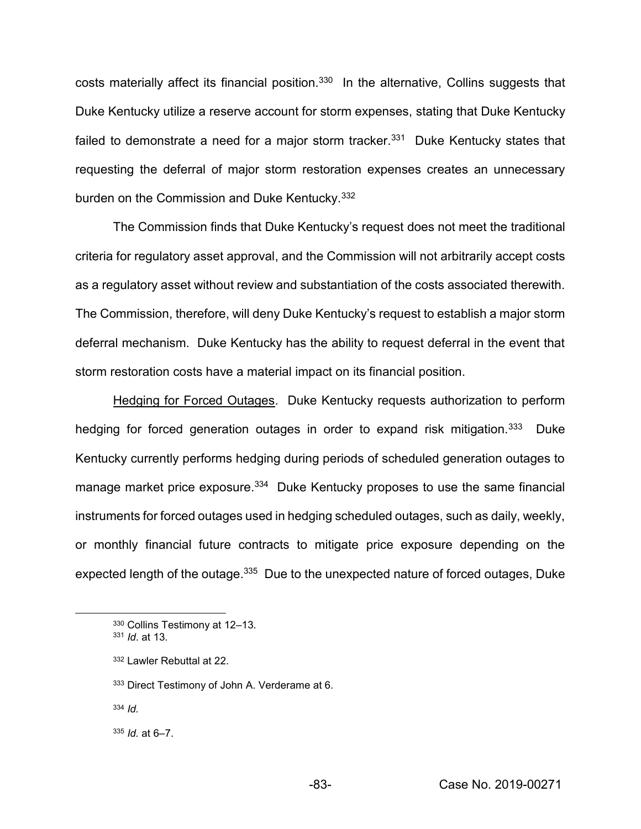costs materially affect its financial position.<sup>330</sup> In the alternative, Collins suggests that Duke Kentucky utilize a reserve account for storm expenses, stating that Duke Kentucky failed to demonstrate a need for a major storm tracker. $331$  Duke Kentucky states that requesting the deferral of major storm restoration expenses creates an unnecessary burden on the Commission and Duke Kentucky.332

The Commission finds that Duke Kentucky's request does not meet the traditional criteria for regulatory asset approval, and the Commission will not arbitrarily accept costs as a regulatory asset without review and substantiation of the costs associated therewith. The Commission, therefore, will deny Duke Kentucky's request to establish a major storm deferral mechanism. Duke Kentucky has the ability to request deferral in the event that storm restoration costs have a material impact on its financial position.

Hedging for Forced Outages. Duke Kentucky requests authorization to perform hedging for forced generation outages in order to expand risk mitigation.<sup>333</sup> Duke Kentucky currently performs hedging during periods of scheduled generation outages to manage market price exposure.<sup>334</sup> Duke Kentucky proposes to use the same financial instruments for forced outages used in hedging scheduled outages, such as daily, weekly, or monthly financial future contracts to mitigate price exposure depending on the expected length of the outage.<sup>335</sup> Due to the unexpected nature of forced outages, Duke

- 333 Direct Testimony of John A. Verderame at 6.
- <sup>334</sup> *Id.*

<sup>330</sup> Collins Testimony at 12-13.

<sup>331</sup> *Id*. at 13.

<sup>332</sup> Lawler Rebuttal at 22.

 $335$  *Id.* at  $6 - 7$ .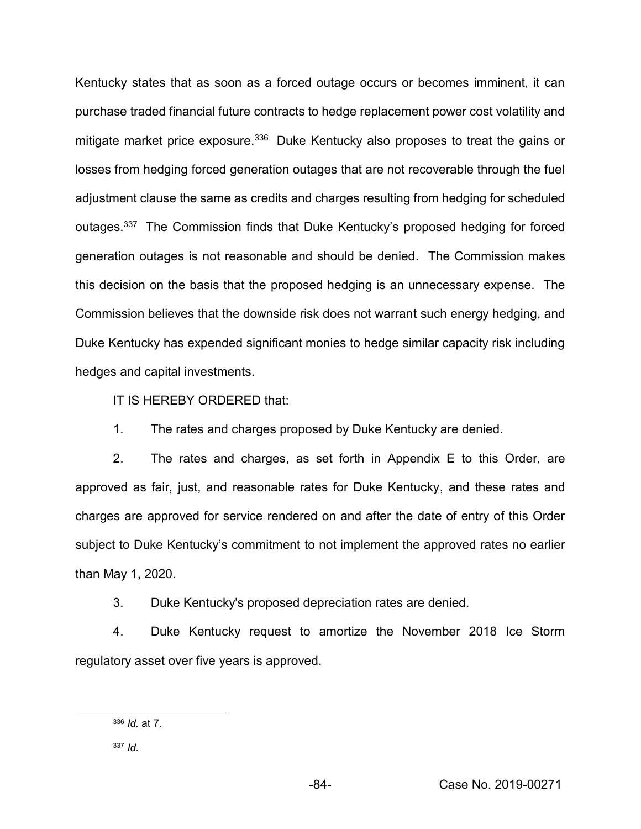Kentucky states that as soon as a forced outage occurs or becomes imminent, it can purchase traded financial future contracts to hedge replacement power cost volatility and mitigate market price exposure.<sup>336</sup> Duke Kentucky also proposes to treat the gains or losses from hedging forced generation outages that are not recoverable through the fuel adjustment clause the same as credits and charges resulting from hedging for scheduled outages.<sup>337</sup> The Commission finds that Duke Kentucky's proposed hedging for forced generation outages is not reasonable and should be denied. The Commission makes this decision on the basis that the proposed hedging is an unnecessary expense. The Commission believes that the downside risk does not warrant such energy hedging, and Duke Kentucky has expended significant monies to hedge similar capacity risk including hedges and capital investments.

IT IS HEREBY ORDERED that:

1. The rates and charges proposed by Duke Kentucky are denied.

2. The rates and charges, as set forth in Appendix E to this Order, are approved as fair, just, and reasonable rates for Duke Kentucky, and these rates and charges are approved for service rendered on and after the date of entry of this Order subject to Duke Kentucky's commitment to not implement the approved rates no earlier than May 1, 2020.

3. Duke Kentucky's proposed depreciation rates are denied.

4. Duke Kentucky request to amortize the November 2018 Ice Storm regulatory asset over five years is approved.

 <sup>336</sup> *Id.* at 7.

<sup>337</sup> *Id.*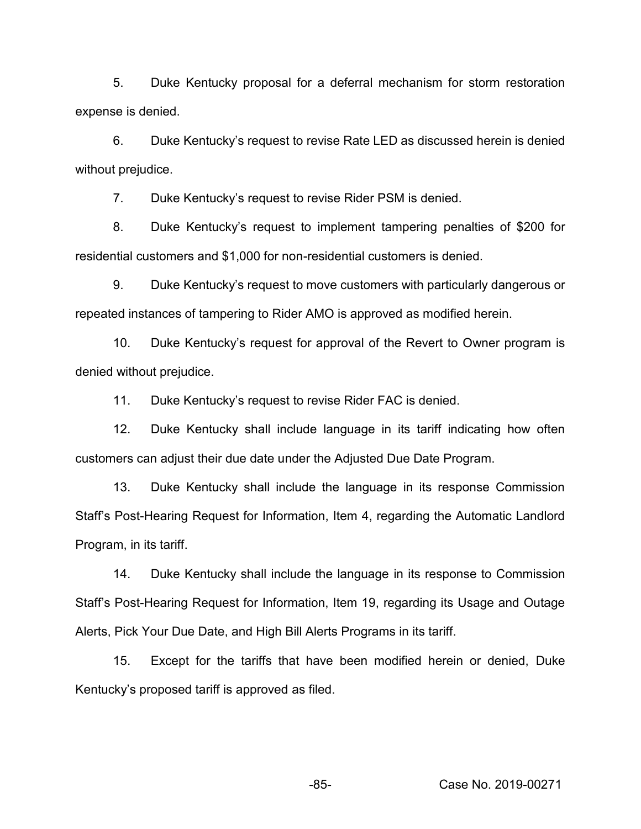5. Duke Kentucky proposal for a deferral mechanism for storm restoration expense is denied.

6. Duke Kentucky's request to revise Rate LED as discussed herein is denied without prejudice.

7. Duke Kentucky's request to revise Rider PSM is denied.

8. Duke Kentucky's request to implement tampering penalties of \$200 for residential customers and \$1,000 for non-residential customers is denied.

9. Duke Kentucky's request to move customers with particularly dangerous or repeated instances of tampering to Rider AMO is approved as modified herein.

10. Duke Kentucky's request for approval of the Revert to Owner program is denied without prejudice.

11. Duke Kentucky's request to revise Rider FAC is denied.

12. Duke Kentucky shall include language in its tariff indicating how often customers can adjust their due date under the Adjusted Due Date Program.

13. Duke Kentucky shall include the language in its response Commission Staff's Post-Hearing Request for Information, Item 4, regarding the Automatic Landlord Program, in its tariff.

14. Duke Kentucky shall include the language in its response to Commission Staff's Post-Hearing Request for Information, Item 19, regarding its Usage and Outage Alerts, Pick Your Due Date, and High Bill Alerts Programs in its tariff.

15. Except for the tariffs that have been modified herein or denied, Duke Kentucky's proposed tariff is approved as filed.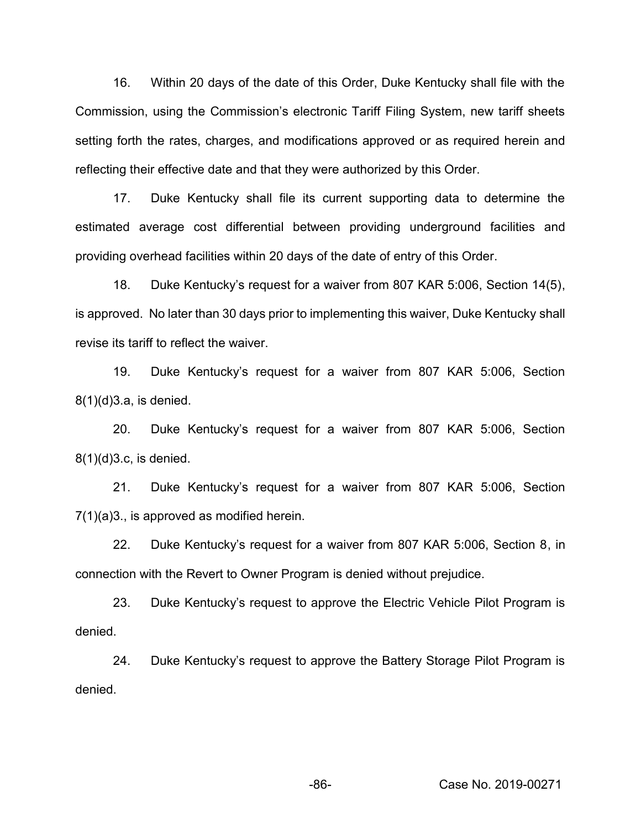16. Within 20 days of the date of this Order, Duke Kentucky shall file with the Commission, using the Commission's electronic Tariff Filing System, new tariff sheets setting forth the rates, charges, and modifications approved or as required herein and reflecting their effective date and that they were authorized by this Order.

17. Duke Kentucky shall file its current supporting data to determine the estimated average cost differential between providing underground facilities and providing overhead facilities within 20 days of the date of entry of this Order.

18. Duke Kentucky's request for a waiver from 807 KAR 5:006, Section 14(5), is approved. No later than 30 days prior to implementing this waiver, Duke Kentucky shall revise its tariff to reflect the waiver.

19. Duke Kentucky's request for a waiver from 807 KAR 5:006, Section 8(1)(d)3.a, is denied.

20. Duke Kentucky's request for a waiver from 807 KAR 5:006, Section 8(1)(d)3.c, is denied.

21. Duke Kentucky's request for a waiver from 807 KAR 5:006, Section 7(1)(a)3., is approved as modified herein.

22. Duke Kentucky's request for a waiver from 807 KAR 5:006, Section 8, in connection with the Revert to Owner Program is denied without prejudice.

23. Duke Kentucky's request to approve the Electric Vehicle Pilot Program is denied.

24. Duke Kentucky's request to approve the Battery Storage Pilot Program is denied.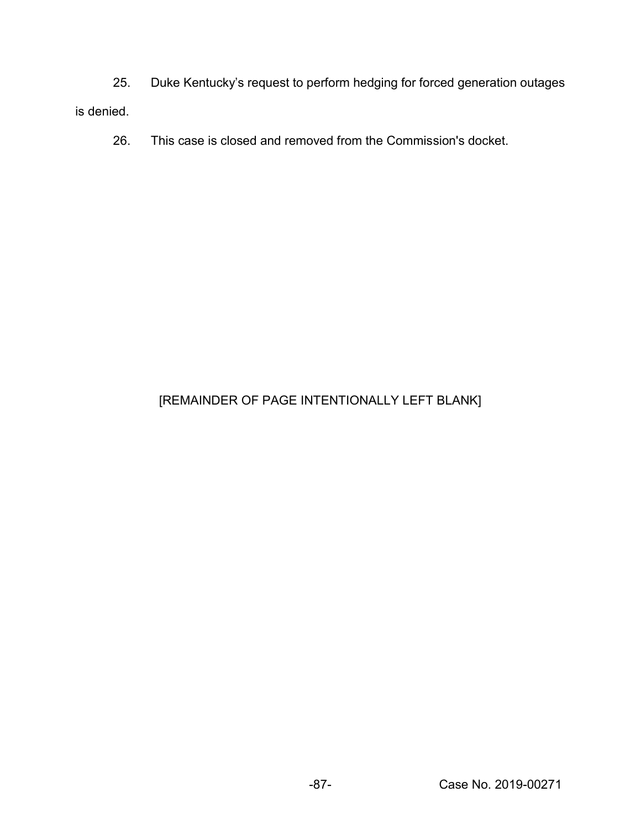25. Duke Kentucky's request to perform hedging for forced generation outages is denied.

26. This case is closed and removed from the Commission's docket.

# [REMAINDER OF PAGE INTENTIONALLY LEFT BLANK]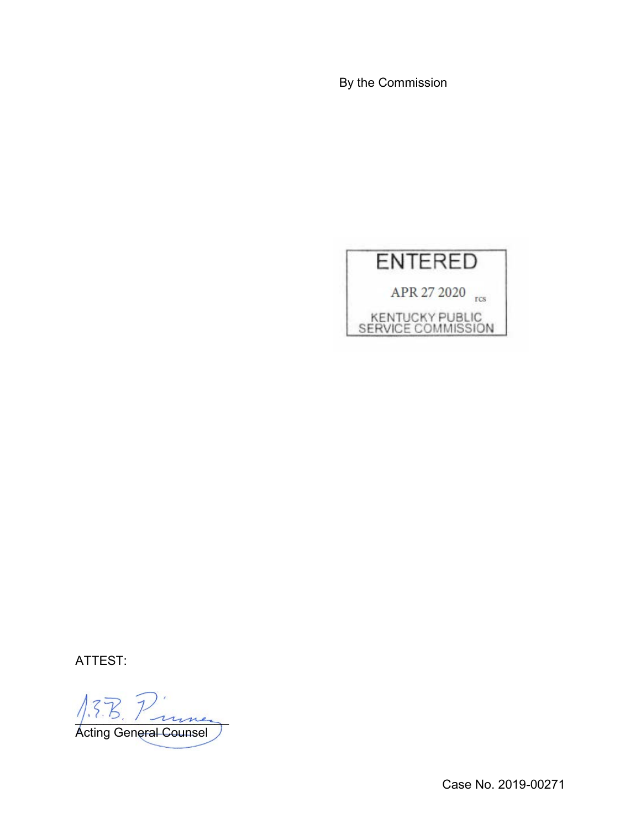By the Commission



ATTEST:

 $\frac{1}{2}$ . 1. une Acting General Counsel

Case No. 2019-00271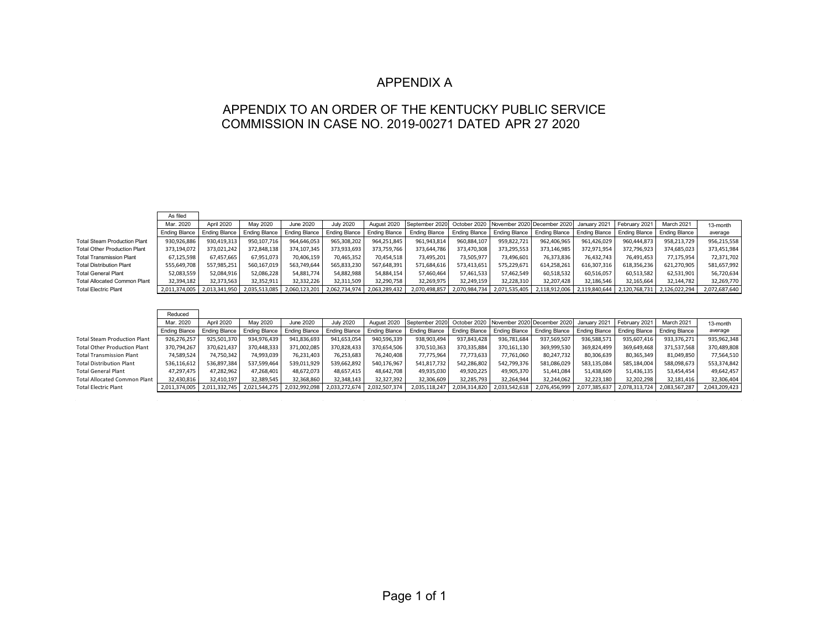### APPENDIX A

### APPENDIX TO AN ORDER OF THE KENTUCKY PUBLIC SERVICE COMMISSION IN CASE NO. 2019-00271 DATED APR 27 2020

|                                     | As filed             |                               |                             |                      |                      |                      |                             |                      |                                          |               |               |                             |                      |               |
|-------------------------------------|----------------------|-------------------------------|-----------------------------|----------------------|----------------------|----------------------|-----------------------------|----------------------|------------------------------------------|---------------|---------------|-----------------------------|----------------------|---------------|
|                                     | Mar. 2020            | April 2020                    | May 2020                    | June 2020            | <b>July 2020</b>     | August 2020          | September 2020              |                      | October 2020 November 2020 December 2020 |               | January 2021  | February 2021               | March 2021           | 13-month      |
|                                     | <b>Ending Blance</b> | <b>Ending Blance</b>          | Ending Blance               | <b>Ending Blance</b> | <b>Ending Blance</b> | <b>Ending Blance</b> | Ending Blance               | <b>Ending Blance</b> | <b>Ending Blance</b>                     | Ending Blance | Ending Blance | <b>Ending Blance</b>        | <b>Ending Blance</b> | average       |
| <b>Total Steam Production Plant</b> | 930,926,886          | 930,419,313                   | 950,107,716                 | 964,646,053          | 965,308,202          | 964,251,845          | 961,943,814                 | 960,884,107          | 959,822,721                              | 962,406,965   | 961,426,029   | 960,444,873                 | 958,213,729          | 956,215,558   |
| <b>Total Other Production Plant</b> | 373,194,072          | 373,021,242                   | 372,848,138                 | 374,107,345          | 373,933,693          | 373,759,766          | 373,644,786                 | 373,470,308          | 373,295,553                              | 373,146,985   | 372,971,954   | 372,796,923                 | 374,685,023          | 373,451,984   |
| <b>Total Transmission Plant</b>     | 67,125,598           | 67.457.665                    | 67.951.073                  | 70.406.159           | 70,465,352           | 70.454.518           | 73,495,201                  | 73,505,977           | 73,496,601                               | 76,373,836    | 76,432,743    | 76,491,453                  | 77.175.954           | 72,371,702    |
| <b>Total Distribution Plant</b>     | 555,649,708          | 557,985,251                   | 560,167,019                 | 563,749,644          | 565,833,230          | 567,648,391          | 571,684,616                 | 573,413,651          | 575,229,671                              | 614,258,261   | 616,307,316   | 618,356,236                 | 621,270,905          | 581,657,992   |
| <b>Total General Plant</b>          | 52,083,559           | 52,084,916                    | 52,086,228                  | 54,881,774           | 54,882,988           | 54,884,154           | 57,460,464                  | 57,461,533           | 57,462,549                               | 60,518,532    | 60,516,057    | 60,513,582                  | 62,531,901           | 56,720,634    |
| <b>Total Allocated Common Plant</b> | 32,394,182           | 32,373,563                    | 32,352,911                  | 32,332,226           | 32,311,509           | 32,290,758           | 32,269,975                  | 32,249,159           | 32,228,310                               | 32,207,428    | 32,186,546    | 32,165,664                  | 32,144,782           | 32,269,770    |
| <b>Total Electric Plant</b>         |                      | 2,011,374,005   2,013,341,950 | 2,035,513,085 2,060,123,201 |                      | 2,062,734,974        | 2,063,289,432        | 2,070,498,857               | 2,070,984,734        | 2,071,535,405                            | 2,118,912,006 | 2,119,840,644 | 2,120,768,731 2,126,022,294 |                      | 2,072,687,640 |
|                                     |                      |                               |                             |                      |                      |                      |                             |                      |                                          |               |               |                             |                      |               |
|                                     |                      |                               |                             |                      |                      |                      |                             |                      |                                          |               |               |                             |                      |               |
|                                     | Reduced              |                               |                             |                      |                      |                      |                             |                      |                                          |               |               |                             |                      |               |
|                                     | Mar. 2020            | April 2020                    | May 2020                    | June 2020            | July 2020            | August 2020          | September 2020              | October 2020         | November 2020 December 2020              |               | January 2021  | February 2021               | March 2021           | 13-month      |
|                                     | Ending Blance        | Ending Blance                 | Ending Blance               | <b>Ending Blance</b> | <b>Ending Blance</b> | <b>Ending Blance</b> | Ending Blance Ending Blance |                      | Ending Blance                            | Ending Blance | Ending Blance | Ending Blance               | <b>Ending Blance</b> | average       |
| Total Steam Production Plant        | 026 276 257          | 025 501 270                   | 934 976 439                 | 041 936 603          | 041 652 054          | 040 596 229          | 028 002 404                 | 027 942 479          | 026 791 694                              | 027 560 507   | 026 588 571   | 935 607 416                 | 022 276 271          | 935 962 348   |

|                                     |             | LININ DRIICE LININ DRIICE   |             | LININ DRIIC LININ DRIIC LININ DRIIC LININ DRIIC LININ DRIIC |             |             | LININ DRING                 | LININ DRING |                                           |             |             | LINING PRINC LINING DRIICE LINING DRIICE LINING DRIICE LINING DRIICE |             | avorago       |
|-------------------------------------|-------------|-----------------------------|-------------|-------------------------------------------------------------|-------------|-------------|-----------------------------|-------------|-------------------------------------------|-------------|-------------|----------------------------------------------------------------------|-------------|---------------|
| <b>Total Steam Production Plant</b> | 926.276.257 | 925.501.370                 | 934,976,439 | 941.836.693                                                 | 941,653,054 | 940,596,339 | 938.903.494                 | 937.843.428 | 936.781.684                               | 937.569.507 | 936,588,571 | 935,607,416                                                          | 933.376.271 | 935,962,348   |
| <b>Total Other Production Plant</b> | 370,794,267 | 370.621.437                 | 370.448.333 | 371.002.085                                                 | 370,828,433 | 370,654,506 | 370.510.363                 | 370,335,884 | 370.161.130                               | 369.999.530 | 369,824,499 | 369.649.468                                                          | 371.537.568 | 370,489,808   |
| Total Transmission Plant            | 74,589,524  | 74,750,342                  | 74,993,039  | 76,231,403                                                  | 76,253,683  | 76,240,408  | 77.775.964                  | 77.773.633  | 77.761.060                                | 80.247.732  | 80,306,639  | 80,365,349                                                           | 81,049,850  | 77,564,510    |
| Total Distribution Plant            | 536,116,612 | 536.897.384                 | 537.599.464 | 539,011,929                                                 | 539.662.892 | 540,176,967 | 541.817.732                 | 542.286.802 | 542.799.376                               | 581.086.029 | 583,135,084 | 585.184.004                                                          | 588,098,673 | 553,374,842   |
| Total General Plant                 | 47.297.475  | 47.282.962                  | 47.268.401  | 48.672.073                                                  | 48.657.415  | 48.642.708  | 49,935,030                  | 49,920,225  | 49.905.370                                | 51.441.084  | 51.438.609  | 51.436.135                                                           | 53.454.454  | 49,642,457    |
| Total Allocated Common Plant        | 32.430.816  | 32.410.197                  | 32.389.545  | 32.368.860                                                  | 32.348.143  | 32.327.392  | 32.306.609                  | 32.285.793  | 32.264.944                                | 32.244.062  | 32.223.180  | 32.202.298                                                           | 32.181.416  | 32,306,404    |
| Total Electric Plant                |             | 2,011,374,005 2,011,332,745 |             | 2,021,544,275 2,032,992,098 2,033,272,674 2,032,507,374     |             |             | 2,035,118,247 2,034,314,820 |             | 2,033,542,618 2,076,456,999 2,077,385,637 |             |             | 2,078,313,724 2,083,567,287                                          |             | 2,043,209,423 |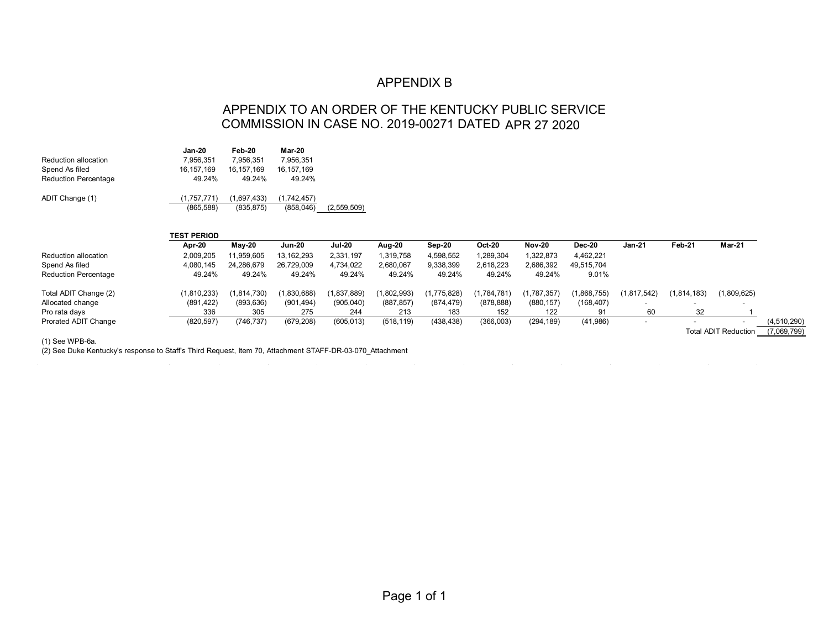## APPENDIX B

## APPENDIX TO AN ORDER OF THE KENTUCKY PUBLIC SERVICE COMMISSION IN CASE NO. 2019-00271 DATED APR 27 2020

|                             | Jan-20       | Feb-20      | <b>Mar-20</b> |             |
|-----------------------------|--------------|-------------|---------------|-------------|
| Reduction allocation        | 7,956,351    | 7.956.351   | 7,956,351     |             |
| Spend As filed              | 16, 157, 169 | 16.157.169  | 16, 157, 169  |             |
| <b>Reduction Percentage</b> | 49.24%       | 49.24%      | 49.24%        |             |
| ADIT Change (1)             | (1,757,771)  | (1,697,433) | (1,742,457)   |             |
|                             | (865, 588)   | (835, 875)  | (858,046)     | (2,559,509) |
|                             |              |             |               |             |

|                             | <b>TEST PERIOD</b> |             |               |               |             |             |               |               |             |               |             |                             |             |
|-----------------------------|--------------------|-------------|---------------|---------------|-------------|-------------|---------------|---------------|-------------|---------------|-------------|-----------------------------|-------------|
|                             | Apr-20             | Mav-20      | <b>Jun-20</b> | <b>Jul-20</b> | Aug-20      | Sep-20      | <b>Oct-20</b> | <b>Nov-20</b> | Dec-20      | Jan-21        | Feb-21      | <b>Mar-21</b>               |             |
| Reduction allocation        | 2,009,205          | 11.959.605  | 13, 162, 293  | 2.331.197     | ,319,758    | 4,598,552   | 1.289.304     | 1,322,873     | 4.462.221   |               |             |                             |             |
| Spend As filed              | 4,080,145          | 24,286,679  | 26,729,009    | 4,734,022     | 2,680,067   | 9,338,399   | 2,618,223     | 2,686,392     | 49,515,704  |               |             |                             |             |
| <b>Reduction Percentage</b> | 49.24%             | 49.24%      | 49.24%        | 49.24%        | 49.24%      | 49.24%      | 49.24%        | 49.24%        | 9.01%       |               |             |                             |             |
| Total ADIT Change (2)       | (1,810,233)        | (1,814,730) | 1,830,688)    | (1,837,889)   | (1,802,993) | (1,775,828) | (1,784,781)   | 1,787,357)    | (1,868,755) | (1, 817, 542) | (1,814,183) | (1,809,625)                 |             |
| Allocated change            | (891, 422)         | (893, 636)  | (901, 494)    | (905, 040)    | (887, 857)  | (874, 479)  | (878, 888)    | (880, 157)    | (168, 407)  |               | $\sim$      |                             |             |
| Pro rata days               | 336                | 305         | 275           | 244           | 213         | 183         | 152           | 122           | 91          | 60            | 32          |                             |             |
| Prorated ADIT Change        | (820, 597)         | (746, 737)  | (679, 208)    | (605, 013)    | (518, 119)  | (438, 438)  | (366,003)     | (294, 189)    | (41,986)    |               |             |                             | (4,510,290) |
|                             |                    |             |               |               |             |             |               |               |             |               |             | <b>Total ADIT Reduction</b> | (7,069,799) |

 $\sim 10^{11}$ 

 $\mathcal{L}^{\text{max}}_{\text{max}}$ 

 $\sim 100$ 

 $\sim$   $\sim$ 

 $\sim$   $\sim$ 

 $\sim$   $\sim$ 

 $\sim$   $\sim$ 

 $\mathcal{L}^{\text{max}}_{\text{max}}$ 

 $\mathcal{L}^{\text{max}}_{\text{max}}$ 

(1) See WPB-6a.

(2) See Duke Kentucky's response to Staff's Third Request, Item 70, Attachment STAFF-DR-03-070\_Attachment  $\sim 10^{-1}$ 

 $\mathcal{L}^{\text{max}}_{\text{max}}$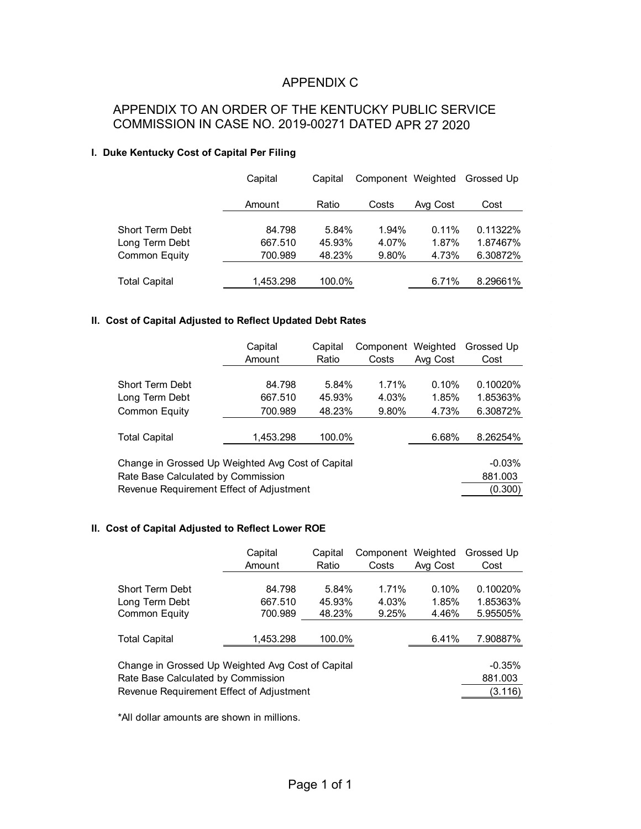#### APPENDIX C

### APPENDIX TO AN ORDER OF THE KENTUCKY PUBLIC SERVICE COMMISSION IN CASE NO. 2019-00271 DATED APR 27 2020

#### **I. Duke Kentucky Cost of Capital Per Filing**

|                      | Capital   | Capital | Component Weighted |          | Grossed Up |
|----------------------|-----------|---------|--------------------|----------|------------|
|                      | Amount    | Ratio   | Costs              | Avg Cost | Cost       |
| Short Term Debt      | 84.798    | 5.84%   | 1.94%              | 0.11%    | 0.11322%   |
| Long Term Debt       | 667.510   | 45.93%  | 4.07%              | 1.87%    | 1.87467%   |
| Common Equity        | 700.989   | 48.23%  | 9.80%              | 4.73%    | 6.30872%   |
|                      |           |         |                    |          |            |
| <b>Total Capital</b> | 1,453.298 | 100.0%  |                    | 6.71%    | 8.29661%   |

#### **II. Cost of Capital Adjusted to Reflect Updated Debt Rates**

|                                                   | Capital<br>Amount | Capital<br>Ratio | Component Weighted<br>Costs | Avg Cost | Grossed Up<br>Cost |
|---------------------------------------------------|-------------------|------------------|-----------------------------|----------|--------------------|
|                                                   |                   |                  |                             |          |                    |
| Short Term Debt                                   | 84.798            | 5.84%            | 1.71%                       | 0.10%    | 0.10020%           |
| Long Term Debt                                    | 667.510           | 45.93%           | 4.03%                       | 1.85%    | 1.85363%           |
| Common Equity                                     | 700.989           | 48.23%           | 9.80%                       | 4.73%    | 6.30872%           |
| <b>Total Capital</b>                              | 1,453.298         | 100.0%           |                             | 6.68%    | 8.26254%           |
| Change in Grossed Up Weighted Avg Cost of Capital |                   |                  |                             |          | $-0.03%$           |
| Rate Base Calculated by Commission                |                   |                  |                             | 881.003  |                    |
| Revenue Requirement Effect of Adjustment          |                   |                  |                             | (0.300)  |                    |

#### **II. Cost of Capital Adjusted to Reflect Lower ROE**

|                                                   | Capital<br>Amount | Capital<br>Ratio | Component<br>Costs | Weighted<br>Avg Cost | Grossed Up<br>Cost |  |
|---------------------------------------------------|-------------------|------------------|--------------------|----------------------|--------------------|--|
|                                                   |                   |                  |                    |                      |                    |  |
| <b>Short Term Debt</b>                            | 84.798            | 5.84%            | 1.71%              | 0.10%                | 0.10020%           |  |
| Long Term Debt                                    | 667.510           | 45.93%           | 4.03%              | 1.85%                | 1.85363%           |  |
| Common Equity                                     | 700.989           | 48.23%           | 9.25%              | 4.46%                | 5.95505%           |  |
|                                                   |                   |                  |                    |                      |                    |  |
| <b>Total Capital</b>                              | 1,453.298         | 100.0%           |                    | 6.41%                | 7.90887%           |  |
|                                                   |                   |                  |                    |                      |                    |  |
| Change in Grossed Up Weighted Avg Cost of Capital |                   |                  |                    |                      | $-0.35%$           |  |
| Rate Base Calculated by Commission                |                   |                  |                    |                      |                    |  |
| Revenue Requirement Effect of Adjustment          |                   |                  |                    |                      |                    |  |

\*All dollar amounts are shown in millions.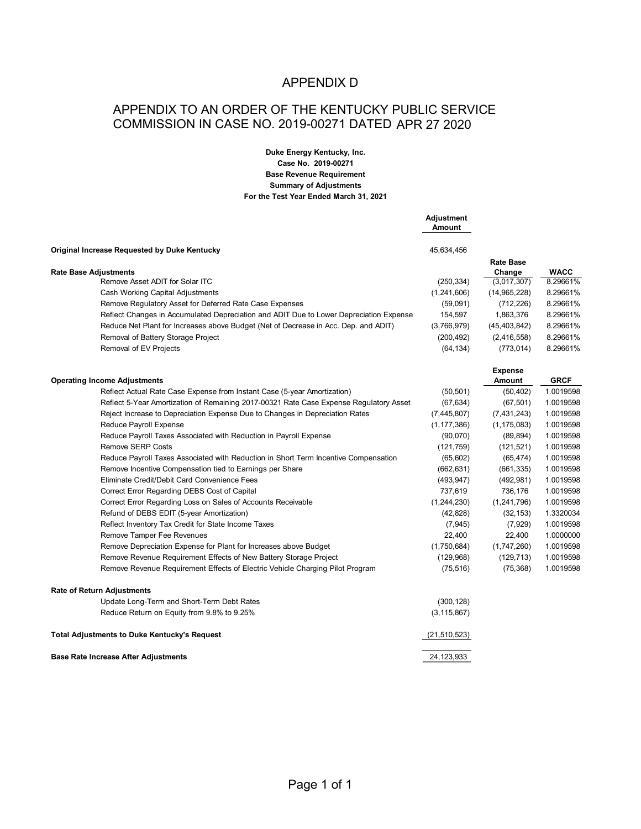### APPENDIX D

### APPENDIX TO AN ORDER OF THE KENTUCKY PUBLIC SERVICE COMMISSION IN CASE NO. 2019-00271 DATED APR 27 2020

**Duke Energy Kentucky, Inc. Case No. 2019-00271 Base Revenue Requirement Summary of Adjustments For the Test Year Ended March 31, 2021**

|                                                                                        | <b>Adjustment</b><br>Amount |                          |             |
|----------------------------------------------------------------------------------------|-----------------------------|--------------------------|-------------|
| Original Increase Requested by Duke Kentucky                                           | 45,634,456                  |                          |             |
|                                                                                        |                             | <b>Rate Base</b>         |             |
| <b>Rate Base Adjustments</b>                                                           |                             | Change                   | <b>WACC</b> |
| Remove Asset ADIT for Solar ITC                                                        | (250, 334)                  | (3,017,307)              | 8.29661%    |
| Cash Working Capital Adjustments                                                       | (1,241,606)                 | (14,965,228)             | 8.29661%    |
| Remove Regulatory Asset for Deferred Rate Case Expenses                                | (59,091)                    | (712, 226)               | 8.29661%    |
| Reflect Changes in Accumulated Depreciation and ADIT Due to Lower Depreciation Expense | 154,597                     | 1,863,376                | 8.29661%    |
| Reduce Net Plant for Increases above Budget (Net of Decrease in Acc. Dep. and ADIT)    | (3,766,979)                 | (45, 403, 842)           | 8.29661%    |
| Removal of Battery Storage Project                                                     | (200, 492)                  | (2, 416, 558)            | 8.29661%    |
| Removal of EV Projects                                                                 | (64, 134)                   | (773, 014)               | 8.29661%    |
| <b>Operating Income Adjustments</b>                                                    |                             | <b>Expense</b><br>Amount | <b>GRCF</b> |
| Reflect Actual Rate Case Expense from Instant Case (5-year Amortization)               | (50, 501)                   | (50, 402)                | 1.0019598   |
| Reflect 5-Year Amortization of Remaining 2017-00321 Rate Case Expense Regulatory Asset | (67, 634)                   | (67, 501)                | 1.0019598   |
| Reject Increase to Depreciation Expense Due to Changes in Depreciation Rates           | (7, 445, 807)               | (7, 431, 243)            | 1.0019598   |
| Reduce Payroll Expense                                                                 | (1, 177, 386)               | (1, 175, 083)            | 1.0019598   |
| Reduce Payroll Taxes Associated with Reduction in Payroll Expense                      | (90,070)                    | (89, 894)                | 1.0019598   |
| Remove SERP Costs                                                                      | (121, 759)                  | (121, 521)               | 1.0019598   |
| Reduce Payroll Taxes Associated with Reduction in Short Term Incentive Compensation    | (65, 602)                   | (65, 474)                | 1.0019598   |
| Remove Incentive Compensation tied to Earnings per Share                               | (662, 631)                  | (661, 335)               | 1.0019598   |
| Eliminate Credit/Debit Card Convenience Fees                                           | (493, 947)                  | (492, 981)               | 1.0019598   |
| Correct Error Regarding DEBS Cost of Capital                                           | 737,619                     | 736,176                  | 1.0019598   |
| Correct Error Regarding Loss on Sales of Accounts Receivable                           | (1,244,230)                 | (1,241,796)              | 1.0019598   |
| Refund of DEBS EDIT (5-year Amortization)                                              | (42, 828)                   | (32, 153)                | 1.3320034   |
| Reflect Inventory Tax Credit for State Income Taxes                                    | (7, 945)                    | (7,929)                  | 1.0019598   |
| Remove Tamper Fee Revenues                                                             | 22,400                      | 22,400                   | 1.0000000   |
| Remove Depreciation Expense for Plant for Increases above Budget                       | (1,750,684)                 | (1,747,260)              | 1.0019598   |
| Remove Revenue Requirement Effects of New Battery Storage Project                      | (129, 968)                  | (129, 713)               | 1.0019598   |
| Remove Revenue Requirement Effects of Electric Vehicle Charging Pilot Program          | (75, 516)                   | (75, 368)                | 1.0019598   |
| <b>Rate of Return Adjustments</b>                                                      |                             |                          |             |
| Update Long-Term and Short-Term Debt Rates                                             | (300, 128)                  |                          |             |
| Reduce Return on Equity from 9.8% to 9.25%                                             | (3, 115, 867)               |                          |             |
| <b>Total Adjustments to Duke Kentucky's Request</b>                                    | (21, 510, 523)              |                          |             |
| <b>Base Rate Increase After Adjustments</b>                                            | 24, 123, 933                |                          |             |
|                                                                                        |                             |                          |             |

 $\mathcal{L}_{\mathcal{A}}$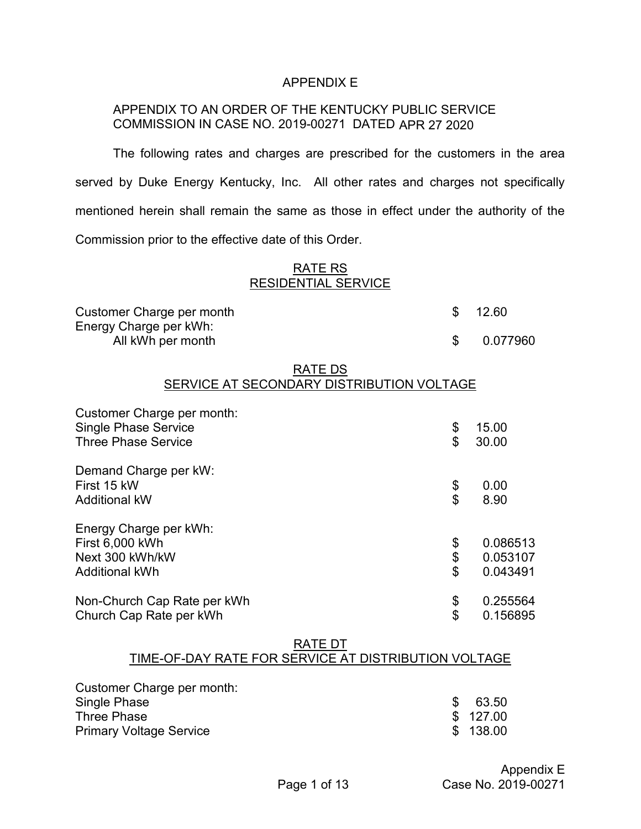#### APPENDIX E

### APPENDIX TO AN ORDER OF THE KENTUCKY PUBLIC SERVICE COMMISSION IN CASE NO. 2019-00271 DATED APR 27 2020

The following rates and charges are prescribed for the customers in the area served by Duke Energy Kentucky, Inc. All other rates and charges not specifically mentioned herein shall remain the same as those in effect under the authority of the Commission prior to the effective date of this Order.

#### RATE RS RESIDENTIAL SERVICE

Customer Charge per month  $\frac{1}{2}$  \$ 12.60 Energy Charge per kWh: All kWh per month  $\sim$  8 0.077960

#### RATE DS SERVICE AT SECONDARY DISTRIBUTION VOLTAGE

| Customer Charge per month:  |                |          |
|-----------------------------|----------------|----------|
| <b>Single Phase Service</b> | \$             | 15.00    |
| <b>Three Phase Service</b>  | \$             | 30.00    |
| Demand Charge per kW:       |                |          |
| First 15 kW                 | \$             | 0.00     |
| <b>Additional kW</b>        | \$             | 8.90     |
| Energy Charge per kWh:      |                |          |
| First 6,000 kWh             | \$             | 0.086513 |
| Next 300 kWh/kW             | \$             | 0.053107 |
| <b>Additional kWh</b>       | $\mathfrak{S}$ | 0.043491 |
| Non-Church Cap Rate per kWh | \$             | 0.255564 |
| Church Cap Rate per kWh     | \$             | 0.156895 |

#### RATE DT TIME-OF-DAY RATE FOR SERVICE AT DISTRIBUTION VOLTAGE

| Customer Charge per month:     |    |          |
|--------------------------------|----|----------|
| Single Phase                   | S. | 63.50    |
| Three Phase                    |    | \$127.00 |
| <b>Primary Voltage Service</b> |    | \$138.00 |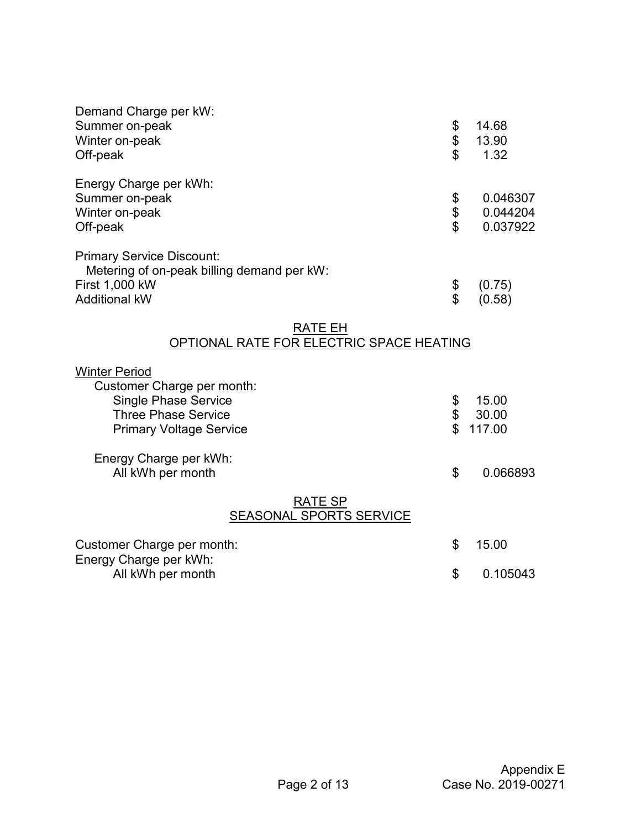| Demand Charge per kW:<br>Summer on-peak<br>Winter on-peak<br>Off-peak                                                                             | \$<br>\$<br>\$             | 14.68<br>13.90<br>1.32           |
|---------------------------------------------------------------------------------------------------------------------------------------------------|----------------------------|----------------------------------|
| Energy Charge per kWh:<br>Summer on-peak<br>Winter on-peak<br>Off-peak                                                                            | \$<br>\$<br>\$             | 0.046307<br>0.044204<br>0.037922 |
| <b>Primary Service Discount:</b><br>Metering of on-peak billing demand per kW:<br>First 1,000 kW<br><b>Additional kW</b>                          | \$<br>\$                   | (0.75)<br>(0.58)                 |
| RATE EH<br>OPTIONAL RATE FOR ELECTRIC SPACE HEATING                                                                                               |                            |                                  |
| <b>Winter Period</b><br>Customer Charge per month:<br><b>Single Phase Service</b><br><b>Three Phase Service</b><br><b>Primary Voltage Service</b> | \$<br>\$<br>$\mathfrak{L}$ | 15.00<br>30.00<br>117.00         |
| Energy Charge per kWh:<br>All kWh per month                                                                                                       | \$                         | 0.066893                         |
| <b>RATE SP</b><br><b>SEASONAL SPORTS SERVICE</b>                                                                                                  |                            |                                  |
| Customer Charge per month:<br>Energy Charge per kWh:                                                                                              | \$                         | 15.00                            |
| All kWh per month                                                                                                                                 | \$                         | 0.105043                         |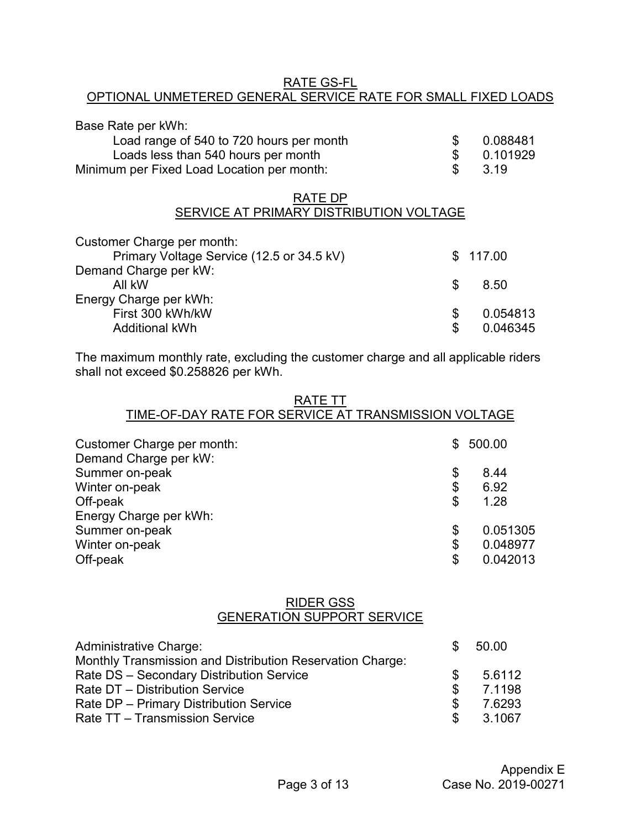#### RATE GS-FL OPTIONAL UNMETERED GENERAL SERVICE RATE FOR SMALL FIXED LOADS

| Base Rate per kWh:                         |     |          |
|--------------------------------------------|-----|----------|
| Load range of 540 to 720 hours per month   |     | 0.088481 |
| Loads less than 540 hours per month        |     | 0.101929 |
| Minimum per Fixed Load Location per month: | SS. | 3.19     |

### RATE DP SERVICE AT PRIMARY DISTRIBUTION VOLTAGE

| \$117.00 |
|----------|
|          |
| 8.50     |
|          |
| 0.054813 |
| 0.046345 |
|          |

The maximum monthly rate, excluding the customer charge and all applicable riders shall not exceed \$0.258826 per kWh.

| <b>RATE TT</b>                                       |                |
|------------------------------------------------------|----------------|
| TIME-OF-DAY RATE FOR SERVICE AT TRANSMISSION VOLTAGE |                |
| Customer Charge per month:                           | \$<br>500.00   |
| Demand Charge per kW:                                |                |
| Summer on-peak                                       | \$<br>8.44     |
| Winter on-peak                                       | \$<br>6.92     |
| Off-peak                                             | \$<br>1.28     |
| Energy Charge per kWh:                               |                |
| Summer on-peak                                       | \$<br>0.051305 |
| Winter on-peak                                       | \$<br>0.048977 |
| Off-peak                                             | \$<br>0.042013 |
|                                                      |                |

#### RIDER GSS GENERATION SUPPORT SERVICE

| <b>Administrative Charge:</b>                             | \$. | 50.00  |
|-----------------------------------------------------------|-----|--------|
| Monthly Transmission and Distribution Reservation Charge: |     |        |
| Rate DS - Secondary Distribution Service                  | \$. | 5.6112 |
| Rate DT - Distribution Service                            | S.  | 7.1198 |
| Rate DP - Primary Distribution Service                    | \$. | 7.6293 |
| Rate TT - Transmission Service                            | \$  | 3.1067 |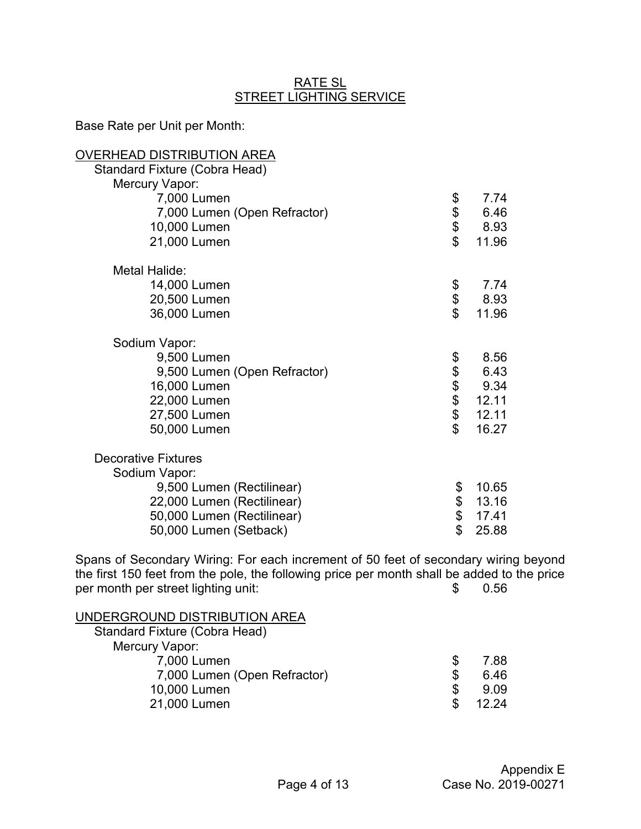#### <u>RATE SL</u> STREET LIGHTING SERVICE

Base Rate per Unit per Month:

| <b>OVERHEAD DISTRIBUTION AREA</b> |                |       |
|-----------------------------------|----------------|-------|
| Standard Fixture (Cobra Head)     |                |       |
| Mercury Vapor:                    |                |       |
| 7,000 Lumen                       | \$             | 7.74  |
| 7,000 Lumen (Open Refractor)      | \$             | 6.46  |
| 10,000 Lumen                      | \$             | 8.93  |
| 21,000 Lumen                      | $\mathfrak{S}$ | 11.96 |
| Metal Halide:                     |                |       |
| 14,000 Lumen                      | \$             | 7.74  |
| 20,500 Lumen                      | \$             | 8.93  |
| 36,000 Lumen                      | $\mathfrak{S}$ | 11.96 |
| Sodium Vapor:                     |                |       |
| 9,500 Lumen                       | \$             | 8.56  |
| 9,500 Lumen (Open Refractor)      |                | 6.43  |
| 16,000 Lumen                      | \$\$\$\$       | 9.34  |
| 22,000 Lumen                      |                | 12.11 |
| 27,500 Lumen                      |                | 12.11 |
| 50,000 Lumen                      | $\mathfrak{L}$ | 16.27 |
| <b>Decorative Fixtures</b>        |                |       |
| Sodium Vapor:                     |                |       |
| 9,500 Lumen (Rectilinear)         | \$             | 10.65 |
| 22,000 Lumen (Rectilinear)        | \$             | 13.16 |
| 50,000 Lumen (Rectilinear)        |                | 17.41 |
| 50,000 Lumen (Setback)            | \$<br>\$       | 25.88 |

Spans of Secondary Wiring: For each increment of 50 feet of secondary wiring beyond the first 150 feet from the pole, the following price per month shall be added to the price per month per street lighting unit:  $\qquad \qquad$  \$ 0.56

| UNDERGROUND DISTRIBUTION AREA |    |       |
|-------------------------------|----|-------|
| Standard Fixture (Cobra Head) |    |       |
| Mercury Vapor:                |    |       |
| 7,000 Lumen                   |    | 7.88  |
| 7,000 Lumen (Open Refractor)  | S  | 6.46  |
| 10,000 Lumen                  | \$ | 9.09  |
| 21,000 Lumen                  |    | 12.24 |
|                               |    |       |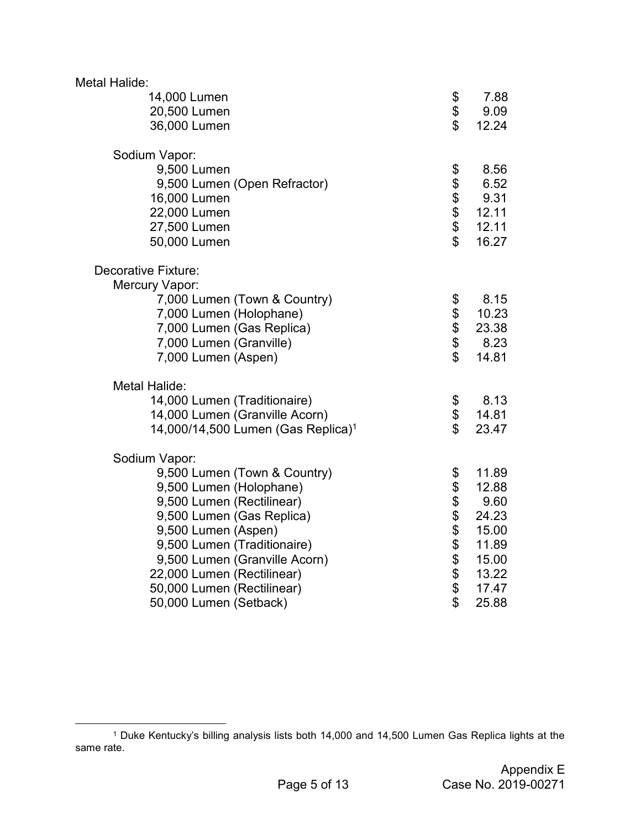| Metal Halide:                                  |                          |       |
|------------------------------------------------|--------------------------|-------|
| 14,000 Lumen                                   |                          | 7.88  |
| 20,500 Lumen                                   | \$<br>\$                 | 9.09  |
| 36,000 Lumen                                   |                          | 12.24 |
| Sodium Vapor:                                  |                          |       |
| 9,500 Lumen                                    |                          | 8.56  |
| 9,500 Lumen (Open Refractor)                   | <b>888888</b>            | 6.52  |
| 16,000 Lumen                                   |                          | 9.31  |
| 22,000 Lumen                                   |                          | 12.11 |
| 27,500 Lumen                                   |                          | 12.11 |
| 50,000 Lumen                                   |                          | 16.27 |
| Decorative Fixture:                            |                          |       |
| Mercury Vapor:                                 |                          |       |
| 7,000 Lumen (Town & Country)                   | \$                       | 8.15  |
| 7,000 Lumen (Holophane)                        |                          | 10.23 |
| 7,000 Lumen (Gas Replica)                      | \$\$\$\$                 | 23.38 |
| 7,000 Lumen (Granville)                        |                          | 8.23  |
| 7,000 Lumen (Aspen)                            |                          | 14.81 |
| Metal Halide:                                  |                          |       |
| 14,000 Lumen (Traditionaire)                   | \$                       | 8.13  |
| 14,000 Lumen (Granville Acorn)                 | \$<br>\$                 | 14.81 |
| 14,000/14,500 Lumen (Gas Replica) <sup>1</sup> |                          | 23.47 |
| Sodium Vapor:                                  |                          |       |
| 9,500 Lumen (Town & Country)                   |                          | 11.89 |
| 9,500 Lumen (Holophane)                        |                          | 12.88 |
| 9,500 Lumen (Rectilinear)                      |                          | 9.60  |
| 9,500 Lumen (Gas Replica)                      |                          | 24.23 |
| 9,500 Lumen (Aspen)                            |                          | 15.00 |
| 9,500 Lumen (Traditionaire)                    |                          | 11.89 |
| 9,500 Lumen (Granville Acorn)                  |                          | 15.00 |
| 22,000 Lumen (Rectilinear)                     | \$\$\$\$\$\$\$\$\$\$\$\$ | 13.22 |
| 50,000 Lumen (Rectilinear)                     |                          | 17.47 |
| 50,000 Lumen (Setback)                         |                          | 25.88 |

 $1$  Duke Kentucky's billing analysis lists both 14,000 and 14,500 Lumen Gas Replica lights at the same rate.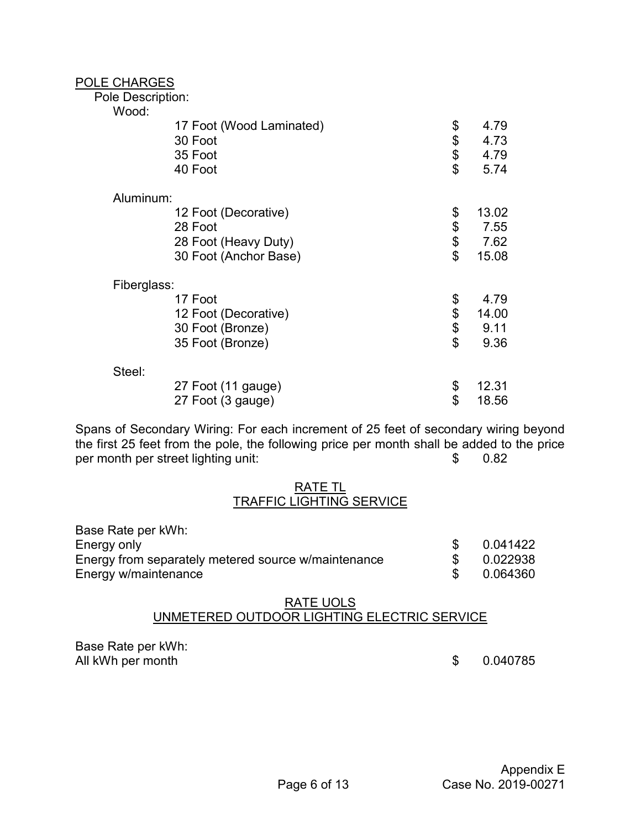| POLE CHARGES      |                          |             |
|-------------------|--------------------------|-------------|
| Pole Description: |                          |             |
| Wood:             |                          |             |
|                   | 17 Foot (Wood Laminated) | \$<br>4.79  |
|                   | 30 Foot                  | \$<br>4.73  |
|                   | 35 Foot                  | \$<br>4.79  |
|                   | 40 Foot                  | \$<br>5.74  |
| Aluminum:         |                          |             |
|                   | 12 Foot (Decorative)     | \$<br>13.02 |
|                   | 28 Foot                  | \$<br>7.55  |
|                   | 28 Foot (Heavy Duty)     | \$<br>7.62  |
|                   | 30 Foot (Anchor Base)    | \$<br>15.08 |
| Fiberglass:       |                          |             |
|                   | 17 Foot                  | \$<br>4.79  |
|                   | 12 Foot (Decorative)     | \$<br>14.00 |
|                   | 30 Foot (Bronze)         | \$<br>9.11  |
|                   | 35 Foot (Bronze)         | \$<br>9.36  |
| Steel:            |                          |             |
|                   | 27 Foot (11 gauge)       | \$<br>12.31 |
|                   | 27 Foot (3 gauge)        | \$<br>18.56 |

Spans of Secondary Wiring: For each increment of 25 feet of secondary wiring beyond the first 25 feet from the pole, the following price per month shall be added to the price<br>per month per street lighting unit:<br> $$ 0.82$ per month per street lighting unit:  $\frac{1}{2}$ 

#### RATE TL TRAFFIC LIGHTING SERVICE

| Base Rate per kWh:                                  |          |
|-----------------------------------------------------|----------|
| Energy only                                         | 0.041422 |
| Energy from separately metered source w/maintenance | 0.022938 |
| Energy w/maintenance                                | 0.064360 |

#### RATE UOLS UNMETERED OUTDOOR LIGHTING ELECTRIC SERVICE

Base Rate per kWh: All kWh per month  $\sim$  0.040785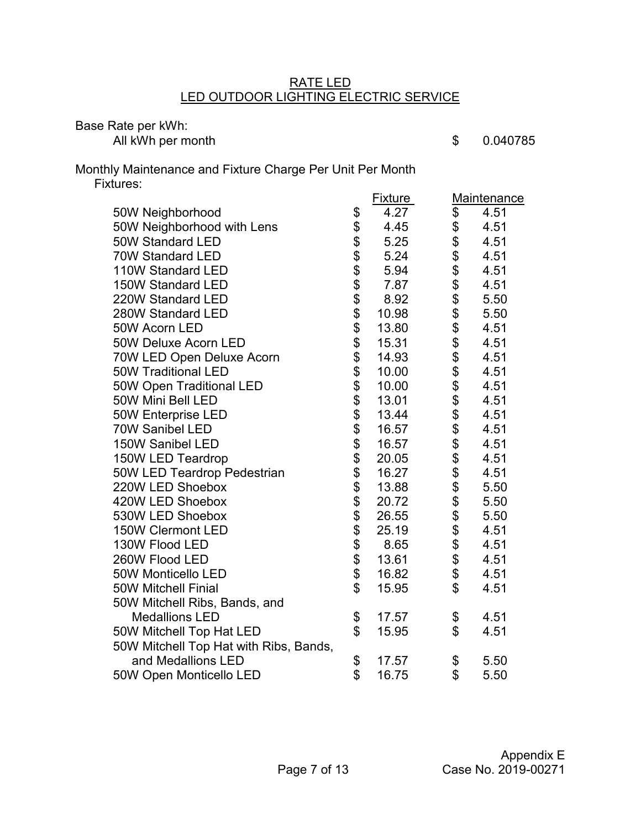#### RATE LED LED OUTDOOR LIGHTING ELECTRIC SERVICE

Base Rate per kWh:

All kWh per month  $\frac{1}{2}$  0.040785

## Monthly Maintenance and Fixture Charge Per Unit Per Month Fixtures:

| เนเธง.                                 |            |                |                                                                  |                    |
|----------------------------------------|------------|----------------|------------------------------------------------------------------|--------------------|
|                                        |            | <u>Fixture</u> |                                                                  | <b>Maintenance</b> |
| 50W Neighborhood                       |            | 4.27           |                                                                  | 4.51               |
| 50W Neighborhood with Lens             |            | 4.45           |                                                                  | 4.51               |
| 50W Standard LED                       |            | 5.25           |                                                                  | 4.51               |
| 70W Standard LED                       |            | 5.24           |                                                                  | 4.51               |
| 110W Standard LED                      |            | 5.94           |                                                                  | 4.51               |
| 150W Standard LED                      |            | 7.87           |                                                                  | 4.51               |
| 220W Standard LED                      |            | 8.92           |                                                                  | 5.50               |
| 280W Standard LED                      |            | 10.98          |                                                                  | 5.50               |
| 50W Acorn LED                          |            | 13.80          |                                                                  | 4.51               |
| 50W Deluxe Acorn LED                   |            | 15.31          |                                                                  | 4.51               |
| 70W LED Open Deluxe Acorn              |            | 14.93          |                                                                  | 4.51               |
| <b>50W Traditional LED</b>             |            | 10.00          |                                                                  | 4.51               |
| 50W Open Traditional LED               |            | 10.00          |                                                                  | 4.51               |
| 50W Mini Bell LED                      |            | 13.01          |                                                                  | 4.51               |
| 50W Enterprise LED                     |            | 13.44          |                                                                  | 4.51               |
| 70W Sanibel LED                        |            | 16.57          | \$\$\$\$\$\$\$\$\$\$\$\$\$\$\$\$\$\$\$\$\$\$\$\$\$\$\$\$\$\$\$\$ | 4.51               |
| 150W Sanibel LED                       |            | 16.57          |                                                                  | 4.51               |
| 150W LED Teardrop                      |            | 20.05          |                                                                  | 4.51               |
| 50W LED Teardrop Pedestrian            |            | 16.27          |                                                                  | 4.51               |
| 220W LED Shoebox                       |            | 13.88          |                                                                  | 5.50               |
| 420W LED Shoebox                       |            | 20.72          |                                                                  | 5.50               |
| 530W LED Shoebox                       |            | 26.55          |                                                                  | 5.50               |
| 150W Clermont LED                      |            | 25.19          |                                                                  | 4.51               |
| 130W Flood LED                         |            | 8.65           |                                                                  | 4.51               |
| 260W Flood LED                         |            | 13.61          |                                                                  | 4.51               |
| 50W Monticello LED                     |            | 16.82          |                                                                  | 4.51               |
| 50W Mitchell Finial                    |            | 15.95          | \$                                                               | 4.51               |
| 50W Mitchell Ribs, Bands, and          |            |                |                                                                  |                    |
| <b>Medallions LED</b>                  | \$         | 17.57          | \$                                                               | 4.51               |
| 50W Mitchell Top Hat LED               | $\dot{\$}$ | 15.95          | $\dot{\$}$                                                       | 4.51               |
| 50W Mitchell Top Hat with Ribs, Bands, |            |                |                                                                  |                    |
| and Medallions LED                     | \$         | 17.57          | \$                                                               | 5.50               |
| 50W Open Monticello LED                | \$         | 16.75          | \$                                                               | 5.50               |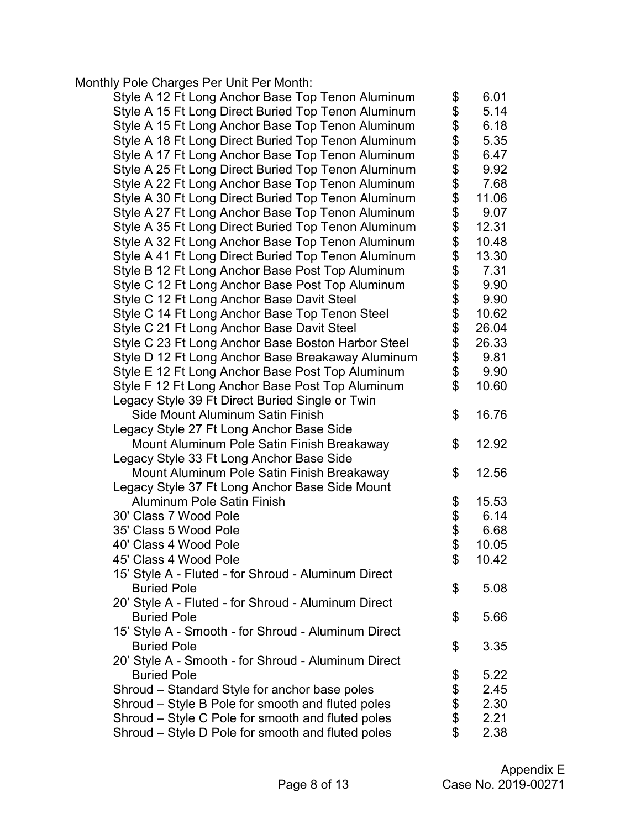Monthly Pole Charges Per Unit Per Month:

| Style A 12 Ft Long Anchor Base Top Tenon Aluminum   | \$       | 6.01  |
|-----------------------------------------------------|----------|-------|
| Style A 15 Ft Long Direct Buried Top Tenon Aluminum | \$       | 5.14  |
| Style A 15 Ft Long Anchor Base Top Tenon Aluminum   | \$       | 6.18  |
| Style A 18 Ft Long Direct Buried Top Tenon Aluminum | \$       | 5.35  |
| Style A 17 Ft Long Anchor Base Top Tenon Aluminum   | \$       | 6.47  |
| Style A 25 Ft Long Direct Buried Top Tenon Aluminum | \$       | 9.92  |
| Style A 22 Ft Long Anchor Base Top Tenon Aluminum   | \$       | 7.68  |
| Style A 30 Ft Long Direct Buried Top Tenon Aluminum | \$       | 11.06 |
| Style A 27 Ft Long Anchor Base Top Tenon Aluminum   | \$       | 9.07  |
| Style A 35 Ft Long Direct Buried Top Tenon Aluminum | \$       | 12.31 |
| Style A 32 Ft Long Anchor Base Top Tenon Aluminum   | \$       | 10.48 |
| Style A 41 Ft Long Direct Buried Top Tenon Aluminum | \$       | 13.30 |
| Style B 12 Ft Long Anchor Base Post Top Aluminum    | \$       | 7.31  |
| Style C 12 Ft Long Anchor Base Post Top Aluminum    | \$       | 9.90  |
| Style C 12 Ft Long Anchor Base Davit Steel          | \$       | 9.90  |
| Style C 14 Ft Long Anchor Base Top Tenon Steel      | \$       | 10.62 |
| Style C 21 Ft Long Anchor Base Davit Steel          | \$       | 26.04 |
| Style C 23 Ft Long Anchor Base Boston Harbor Steel  | \$       | 26.33 |
| Style D 12 Ft Long Anchor Base Breakaway Aluminum   | \$       | 9.81  |
| Style E 12 Ft Long Anchor Base Post Top Aluminum    | \$       | 9.90  |
| Style F 12 Ft Long Anchor Base Post Top Aluminum    | \$       | 10.60 |
| Legacy Style 39 Ft Direct Buried Single or Twin     |          |       |
| Side Mount Aluminum Satin Finish                    | \$       | 16.76 |
| Legacy Style 27 Ft Long Anchor Base Side            |          |       |
| Mount Aluminum Pole Satin Finish Breakaway          | \$       | 12.92 |
| Legacy Style 33 Ft Long Anchor Base Side            |          |       |
| Mount Aluminum Pole Satin Finish Breakaway          | \$       | 12.56 |
| Legacy Style 37 Ft Long Anchor Base Side Mount      |          |       |
| <b>Aluminum Pole Satin Finish</b>                   | \$       | 15.53 |
| 30' Class 7 Wood Pole                               | \$       | 6.14  |
| 35' Class 5 Wood Pole                               | \$       | 6.68  |
| 40' Class 4 Wood Pole                               | \$       | 10.05 |
| 45' Class 4 Wood Pole                               | \$       | 10.42 |
| 15' Style A - Fluted - for Shroud - Aluminum Direct |          |       |
| <b>Buried Pole</b>                                  | \$       | 5.08  |
| 20' Style A - Fluted - for Shroud - Aluminum Direct |          |       |
| <b>Buried Pole</b>                                  | \$       | 5.66  |
| 15' Style A - Smooth - for Shroud - Aluminum Direct |          |       |
| <b>Buried Pole</b>                                  | \$       | 3.35  |
| 20' Style A - Smooth - for Shroud - Aluminum Direct |          |       |
| <b>Buried Pole</b>                                  | \$       | 5.22  |
| Shroud – Standard Style for anchor base poles       |          | 2.45  |
| Shroud – Style B Pole for smooth and fluted poles   | \$<br>\$ | 2.30  |
| Shroud - Style C Pole for smooth and fluted poles   | \$       | 2.21  |
| Shroud – Style D Pole for smooth and fluted poles   | \$       | 2.38  |
|                                                     |          |       |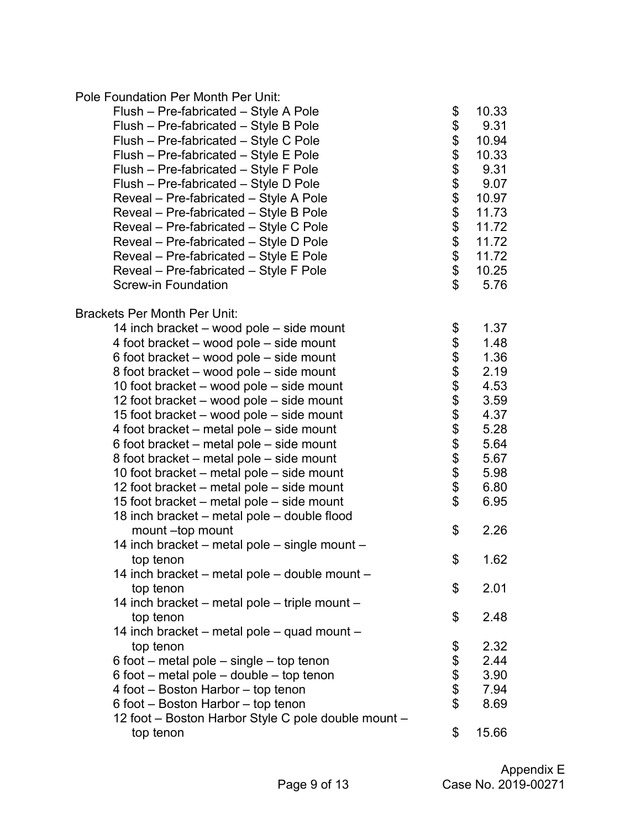| Pole Foundation Per Month Per Unit:                 |                          |       |
|-----------------------------------------------------|--------------------------|-------|
| Flush - Pre-fabricated - Style A Pole               | \$                       | 10.33 |
| Flush - Pre-fabricated - Style B Pole               | \$                       | 9.31  |
| Flush - Pre-fabricated - Style C Pole               |                          | 10.94 |
| Flush - Pre-fabricated - Style E Pole               |                          | 10.33 |
| Flush - Pre-fabricated - Style F Pole               |                          | 9.31  |
| Flush - Pre-fabricated - Style D Pole               |                          | 9.07  |
| Reveal – Pre-fabricated – Style A Pole              |                          | 10.97 |
| Reveal - Pre-fabricated - Style B Pole              |                          | 11.73 |
| Reveal - Pre-fabricated - Style C Pole              | \$\$\$\$\$\$\$\$\$\$     | 11.72 |
| Reveal - Pre-fabricated - Style D Pole              |                          | 11.72 |
| Reveal - Pre-fabricated - Style E Pole              |                          | 11.72 |
| Reveal - Pre-fabricated - Style F Pole              | \$                       | 10.25 |
| Screw-in Foundation                                 | $\mathfrak{S}$           | 5.76  |
|                                                     |                          |       |
| <b>Brackets Per Month Per Unit:</b>                 |                          |       |
| 14 inch bracket – wood pole – side mount            | \$                       | 1.37  |
| 4 foot bracket – wood pole – side mount             |                          | 1.48  |
| 6 foot bracket – wood pole – side mount             |                          | 1.36  |
| 8 foot bracket – wood pole – side mount             |                          | 2.19  |
| 10 foot bracket – wood pole – side mount            |                          | 4.53  |
| 12 foot bracket – wood pole – side mount            |                          | 3.59  |
| 15 foot bracket – wood pole – side mount            |                          | 4.37  |
| 4 foot bracket – metal pole – side mount            | \$\$\$\$\$\$\$\$\$\$\$\$ | 5.28  |
| 6 foot bracket – metal pole – side mount            |                          | 5.64  |
| 8 foot bracket – metal pole – side mount            |                          | 5.67  |
| 10 foot bracket – metal pole – side mount           |                          | 5.98  |
| 12 foot bracket – metal pole – side mount           |                          | 6.80  |
| 15 foot bracket – metal pole – side mount           | \$                       | 6.95  |
| 18 inch bracket – metal pole – double flood         |                          |       |
| mount-top mount                                     | \$                       | 2.26  |
| 14 inch bracket - metal pole - single mount -       |                          |       |
| top tenon                                           | \$                       | 1.62  |
| 14 inch bracket – metal pole – double mount –       |                          |       |
| top tenon                                           | \$                       | 2.01  |
| 14 inch bracket – metal pole – triple mount –       |                          |       |
| top tenon                                           | \$                       | 2.48  |
| 14 inch bracket - metal pole - quad mount -         |                          |       |
| top tenon                                           | \$                       | 2.32  |
| $6$ foot – metal pole – single – top tenon          |                          | 2.44  |
| $6$ foot – metal pole – double – top tenon          | \$\$                     | 3.90  |
| 4 foot - Boston Harbor - top tenon                  |                          | 7.94  |
| 6 foot - Boston Harbor - top tenon                  | \$                       | 8.69  |
| 12 foot - Boston Harbor Style C pole double mount - |                          |       |
| top tenon                                           | \$                       | 15.66 |
|                                                     |                          |       |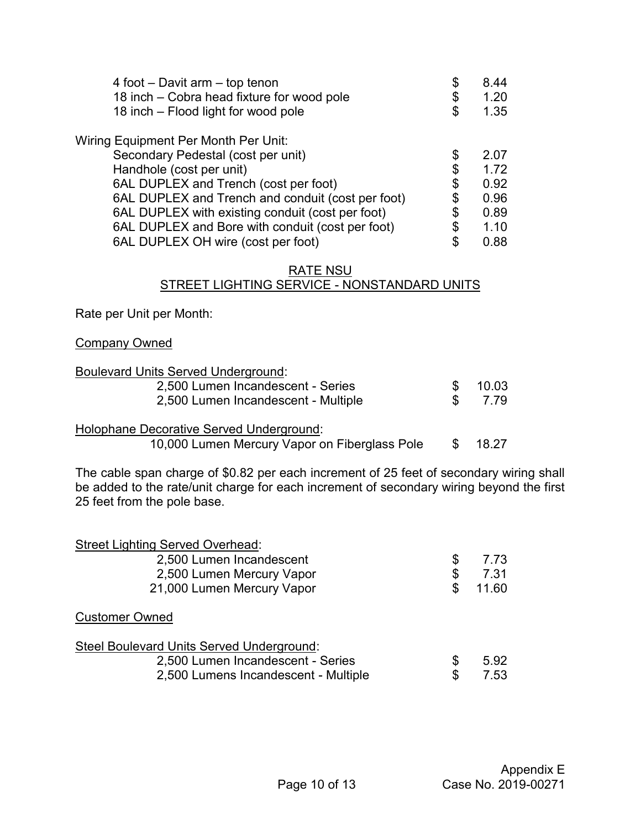| $4$ foot – Davit arm – top tenon<br>18 inch - Cobra head fixture for wood pole<br>18 inch – Flood light for wood pole | S<br>\$<br>\$ | 8.44<br>1.20<br>1.35 |
|-----------------------------------------------------------------------------------------------------------------------|---------------|----------------------|
| Wiring Equipment Per Month Per Unit:                                                                                  |               |                      |
| Secondary Pedestal (cost per unit)                                                                                    |               | 2.07                 |
| Handhole (cost per unit)                                                                                              | \$            | 1.72                 |
| 6AL DUPLEX and Trench (cost per foot)                                                                                 | \$            | 0.92                 |
| 6AL DUPLEX and Trench and conduit (cost per foot)                                                                     | \$            | 0.96                 |
| 6AL DUPLEX with existing conduit (cost per foot)                                                                      | \$            | 0.89                 |
| 6AL DUPLEX and Bore with conduit (cost per foot)                                                                      | \$            | 1.10                 |
| 6AL DUPLEX OH wire (cost per foot)                                                                                    |               | 0.88                 |

### RATE NSU STREET LIGHTING SERVICE - NONSTANDARD UNITS

Rate per Unit per Month:

#### Company Owned

| <b>Boulevard Units Served Underground:</b>    |     |       |
|-----------------------------------------------|-----|-------|
| 2,500 Lumen Incandescent - Series             |     | 10.03 |
| 2,500 Lumen Incandescent - Multiple           |     | 7 79  |
| Holophane Decorative Served Underground:      |     |       |
| 10,000 Lumen Mercury Vapor on Fiberglass Pole | \$. | 18.27 |

The cable span charge of \$0.82 per each increment of 25 feet of secondary wiring shall be added to the rate/unit charge for each increment of secondary wiring beyond the first 25 feet from the pole base.

| <b>Street Lighting Served Overhead:</b>   |             |
|-------------------------------------------|-------------|
| 2,500 Lumen Incandescent                  | \$<br>7.73  |
| 2,500 Lumen Mercury Vapor                 | \$<br>7.31  |
| 21,000 Lumen Mercury Vapor                | \$<br>11.60 |
| <b>Customer Owned</b>                     |             |
| Steel Boulevard Units Served Underground: |             |
| 2,500 Lumen Incandescent - Series         | \$<br>5.92  |
| 2,500 Lumens Incandescent - Multiple      | \$<br>7.53  |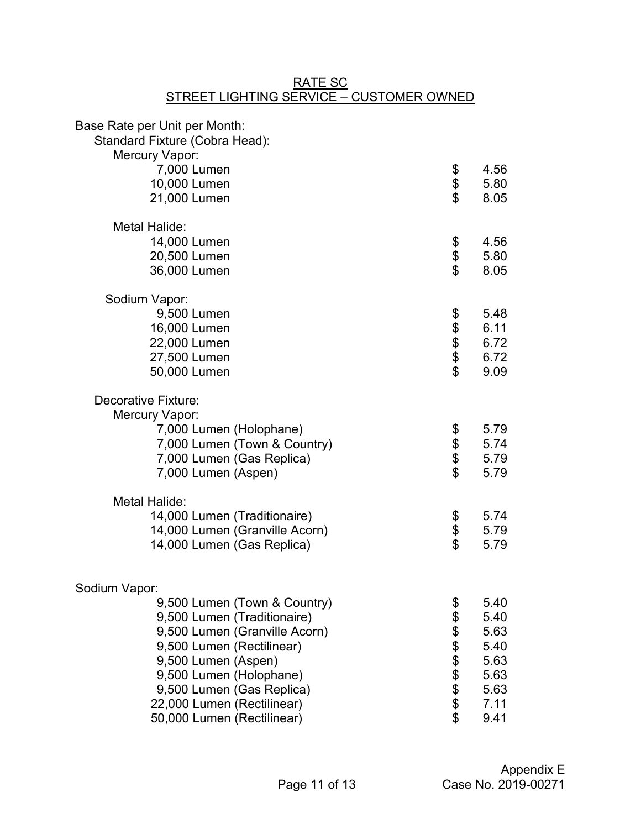| Base Rate per Unit per Month:<br>Standard Fixture (Cobra Head):<br>Mercury Vapor:                                                                                                                                                                                                     |                |                                                                      |
|---------------------------------------------------------------------------------------------------------------------------------------------------------------------------------------------------------------------------------------------------------------------------------------|----------------|----------------------------------------------------------------------|
| 7,000 Lumen<br>10,000 Lumen<br>21,000 Lumen                                                                                                                                                                                                                                           | \$<br>\$       | 4.56<br>5.80<br>8.05                                                 |
| Metal Halide:<br>14,000 Lumen<br>20,500 Lumen<br>36,000 Lumen                                                                                                                                                                                                                         | \$<br>\$       | 4.56<br>5.80<br>8.05                                                 |
| Sodium Vapor:<br>9,500 Lumen<br>16,000 Lumen<br>22,000 Lumen<br>27,500 Lumen<br>50,000 Lumen                                                                                                                                                                                          | 88888          | 5.48<br>6.11<br>6.72<br>6.72<br>9.09                                 |
| Decorative Fixture:<br>Mercury Vapor:<br>7,000 Lumen (Holophane)<br>7,000 Lumen (Town & Country)<br>7,000 Lumen (Gas Replica)<br>7,000 Lumen (Aspen)                                                                                                                                  | \$\$\$\$       | 5.79<br>5.74<br>5.79<br>5.79                                         |
| Metal Halide:<br>14,000 Lumen (Traditionaire)<br>14,000 Lumen (Granville Acorn)<br>14,000 Lumen (Gas Replica)                                                                                                                                                                         | \$<br>\$<br>\$ | 5.74<br>5.79<br>5.79                                                 |
| Sodium Vapor:<br>9,500 Lumen (Town & Country)<br>9,500 Lumen (Traditionaire)<br>9,500 Lumen (Granville Acorn)<br>9,500 Lumen (Rectilinear)<br>9,500 Lumen (Aspen)<br>9,500 Lumen (Holophane)<br>9,500 Lumen (Gas Replica)<br>22,000 Lumen (Rectilinear)<br>50,000 Lumen (Rectilinear) | 88888888       | 5.40<br>5.40<br>5.63<br>5.40<br>5.63<br>5.63<br>5.63<br>7.11<br>9.41 |

#### RATE SC <u>STREET LIGHTING SERVICE – CUSTOMER OWNED</u>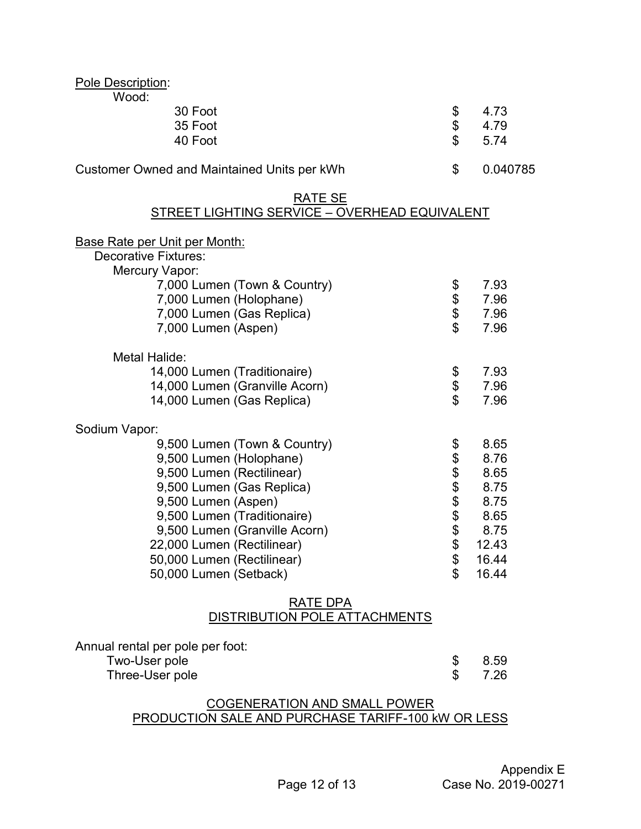Pole Description:

Wood:

| 30 Foot |    | 4.73   |
|---------|----|--------|
| 35 Foot | S. | 4.79   |
| 40 Foot |    | \$5.74 |

Customer Owned and Maintained Units per kWh  $$ 0.040785$ 

## RATE SE STREET LIGHTING SERVICE - OVERHEAD EQUIVALENT

| Base Rate per Unit per Month:  |          |       |
|--------------------------------|----------|-------|
| Decorative Fixtures:           |          |       |
| Mercury Vapor:                 |          |       |
| 7,000 Lumen (Town & Country)   | \$       | 7.93  |
| 7,000 Lumen (Holophane)        | \$       | 7.96  |
| 7,000 Lumen (Gas Replica)      | \$       | 7.96  |
| 7,000 Lumen (Aspen)            | \$       | 7.96  |
| Metal Halide:                  |          |       |
| 14,000 Lumen (Traditionaire)   | \$       | 7.93  |
| 14,000 Lumen (Granville Acorn) | \$       | 7.96  |
| 14,000 Lumen (Gas Replica)     | \$       | 7.96  |
| Sodium Vapor:                  |          |       |
| 9,500 Lumen (Town & Country)   | \$       | 8.65  |
| 9,500 Lumen (Holophane)        | \$       | 8.76  |
| 9,500 Lumen (Rectilinear)      |          | 8.65  |
| 9,500 Lumen (Gas Replica)      | \$<br>\$ | 8.75  |
| 9,500 Lumen (Aspen)            | \$       | 8.75  |
| 9,500 Lumen (Traditionaire)    | \$       | 8.65  |
| 9,500 Lumen (Granville Acorn)  | \$       | 8.75  |
| 22,000 Lumen (Rectilinear)     | \$       | 12.43 |
| 50,000 Lumen (Rectilinear)     | \$       | 16.44 |
| 50,000 Lumen (Setback)         | \$       | 16.44 |

## RATE DPA DISTRIBUTION POLE ATTACHMENTS

| Annual rental per pole per foot: |      |
|----------------------------------|------|
| Two-User pole                    | 8.59 |
| Three-User pole                  | 7.26 |

### COGENERATION AND SMALL POWER PRODUCTION SALE AND PURCHASE TARIFF-100 kW OR LESS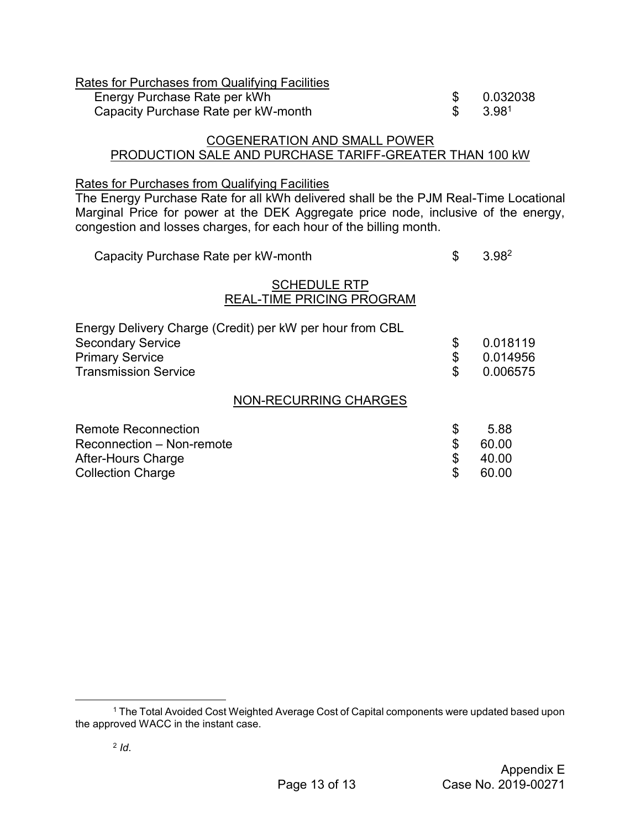| Rates for Purchases from Qualifying Facilities |          |
|------------------------------------------------|----------|
| Energy Purchase Rate per kWh                   | 0.032038 |
| Capacity Purchase Rate per kW-month            | 3.981    |

#### COGENERATION AND SMALL POWER PRODUCTION SALE AND PURCHASE TARIFF-GREATER THAN 100 kW

#### Rates for Purchases from Qualifying Facilities

The Energy Purchase Rate for all kWh delivered shall be the PJM Real-Time Locational Marginal Price for power at the DEK Aggregate price node, inclusive of the energy, congestion and losses charges, for each hour of the billing month.

| Capacity Purchase Rate per kW-month                                                                                                           | \$                   | 3.98 <sup>2</sup>                |
|-----------------------------------------------------------------------------------------------------------------------------------------------|----------------------|----------------------------------|
| <b>SCHEDULE RTP</b><br><b>REAL-TIME PRICING PROGRAM</b>                                                                                       |                      |                                  |
| Energy Delivery Charge (Credit) per kW per hour from CBL<br><b>Secondary Service</b><br><b>Primary Service</b><br><b>Transmission Service</b> | \$<br>\$<br>\$       | 0.018119<br>0.014956<br>0.006575 |
| <b>NON-RECURRING CHARGES</b>                                                                                                                  |                      |                                  |
| <b>Remote Reconnection</b><br>Reconnection - Non-remote<br>After-Hours Charge<br><b>Collection Charge</b>                                     | \$<br>\$<br>\$<br>\$ | 5.88<br>60.00<br>40.00<br>60.00  |

<sup>&</sup>lt;sup>1</sup> The Total Avoided Cost Weighted Average Cost of Capital components were updated based upon the approved WACC in the instant case.